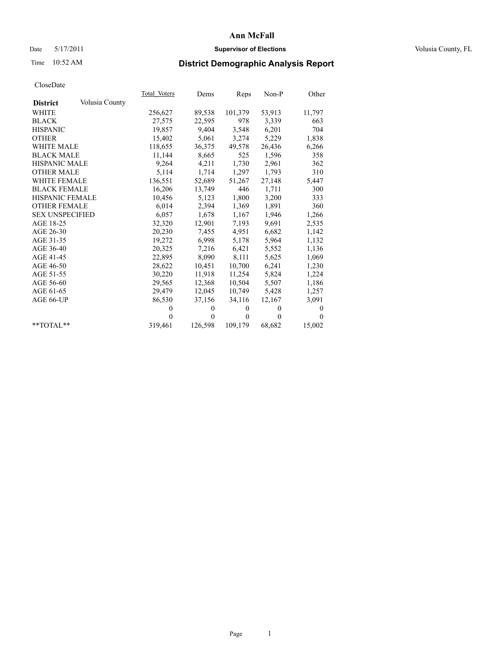## Date 5/17/2011 **Supervisor of Elections Supervisor of Elections** Volusia County, FL

# Time 10:52 AM **District Demographic Analysis Report**

|                                   | Total Voters | Dems         | Reps     | $Non-P$  | Other        |
|-----------------------------------|--------------|--------------|----------|----------|--------------|
| Volusia County<br><b>District</b> |              |              |          |          |              |
| <b>WHITE</b>                      | 256,627      | 89,538       | 101,379  | 53,913   | 11,797       |
| <b>BLACK</b>                      | 27,575       | 22,595       | 978      | 3,339    | 663          |
| <b>HISPANIC</b>                   | 19,857       | 9,404        | 3,548    | 6,201    | 704          |
| <b>OTHER</b>                      | 15,402       | 5,061        | 3,274    | 5,229    | 1,838        |
| <b>WHITE MALE</b>                 | 118,655      | 36,375       | 49,578   | 26,436   | 6,266        |
| <b>BLACK MALE</b>                 | 11,144       | 8,665        | 525      | 1,596    | 358          |
| <b>HISPANIC MALE</b>              | 9,264        | 4,211        | 1,730    | 2,961    | 362          |
| <b>OTHER MALE</b>                 | 5,114        | 1,714        | 1,297    | 1,793    | 310          |
| <b>WHITE FEMALE</b>               | 136,551      | 52,689       | 51,267   | 27,148   | 5,447        |
| <b>BLACK FEMALE</b>               | 16,206       | 13,749       | 446      | 1,711    | 300          |
| HISPANIC FEMALE                   | 10,456       | 5,123        | 1,800    | 3,200    | 333          |
| <b>OTHER FEMALE</b>               | 6,014        | 2,394        | 1,369    | 1,891    | 360          |
| <b>SEX UNSPECIFIED</b>            | 6,057        | 1,678        | 1,167    | 1,946    | 1,266        |
| AGE 18-25                         | 32,320       | 12,901       | 7,193    | 9,691    | 2,535        |
| AGE 26-30                         | 20,230       | 7,455        | 4,951    | 6,682    | 1,142        |
| AGE 31-35                         | 19,272       | 6,998        | 5,178    | 5,964    | 1,132        |
| AGE 36-40                         | 20,325       | 7,216        | 6,421    | 5,552    | 1,136        |
| AGE 41-45                         | 22,895       | 8,090        | 8,111    | 5,625    | 1,069        |
| AGE 46-50                         | 28,622       | 10,451       | 10,700   | 6,241    | 1,230        |
| AGE 51-55                         | 30,220       | 11,918       | 11,254   | 5,824    | 1,224        |
| AGE 56-60                         | 29,565       | 12,368       | 10,504   | 5,507    | 1,186        |
| AGE 61-65                         | 29,479       | 12,045       | 10,749   | 5,428    | 1,257        |
| AGE 66-UP                         | 86,530       | 37,156       | 34,116   | 12,167   | 3,091        |
|                                   | $\Omega$     | $\mathbf{0}$ | $\theta$ | $\theta$ | $\mathbf{0}$ |
|                                   | $\theta$     | $\Omega$     | $\theta$ | $\theta$ | $\Omega$     |
| $*$ $TOTAI.**$                    | 319,461      | 126,598      | 109,179  | 68,682   | 15,002       |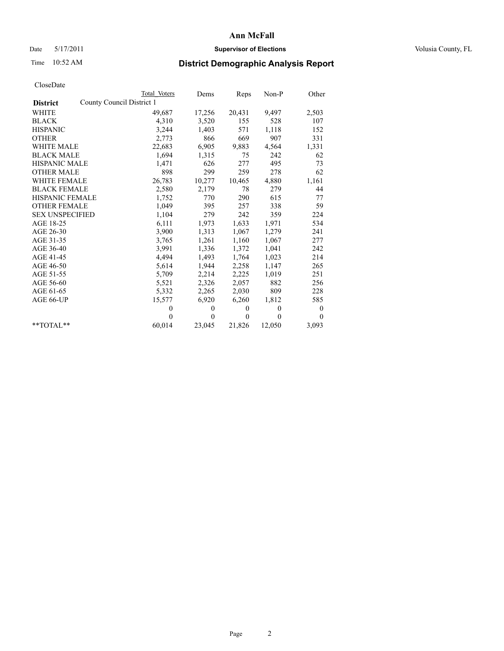## Date 5/17/2011 **Supervisor of Elections Supervisor of Elections** Volusia County, FL

# Time 10:52 AM **District Demographic Analysis Report**

|                                              | <b>Total Voters</b> | Dems     | Reps     | $Non-P$  | Other            |  |
|----------------------------------------------|---------------------|----------|----------|----------|------------------|--|
| County Council District 1<br><b>District</b> |                     |          |          |          |                  |  |
| <b>WHITE</b>                                 | 49,687              | 17,256   | 20,431   | 9,497    | 2,503            |  |
| <b>BLACK</b>                                 | 4,310               | 3,520    | 155      | 528      | 107              |  |
| <b>HISPANIC</b>                              | 3,244               | 1,403    | 571      | 1,118    | 152              |  |
| <b>OTHER</b>                                 | 2,773               | 866      | 669      | 907      | 331              |  |
| <b>WHITE MALE</b>                            | 22,683              | 6,905    | 9,883    | 4,564    | 1,331            |  |
| <b>BLACK MALE</b>                            | 1,694               | 1,315    | 75       | 242      | 62               |  |
| <b>HISPANIC MALE</b>                         | 1,471               | 626      | 277      | 495      | 73               |  |
| <b>OTHER MALE</b>                            | 898                 | 299      | 259      | 278      | 62               |  |
| WHITE FEMALE                                 | 26,783              | 10,277   | 10,465   | 4,880    | 1,161            |  |
| <b>BLACK FEMALE</b>                          | 2,580               | 2,179    | 78       | 279      | 44               |  |
| HISPANIC FEMALE                              | 1,752               | 770      | 290      | 615      | 77               |  |
| <b>OTHER FEMALE</b>                          | 1,049               | 395      | 257      | 338      | 59               |  |
| <b>SEX UNSPECIFIED</b>                       | 1,104               | 279      | 242      | 359      | 224              |  |
| AGE 18-25                                    | 6,111               | 1,973    | 1,633    | 1,971    | 534              |  |
| AGE 26-30                                    | 3,900               | 1,313    | 1,067    | 1,279    | 241              |  |
| AGE 31-35                                    | 3,765               | 1,261    | 1,160    | 1,067    | 277              |  |
| AGE 36-40                                    | 3,991               | 1,336    | 1,372    | 1,041    | 242              |  |
| AGE 41-45                                    | 4,494               | 1,493    | 1,764    | 1,023    | 214              |  |
| AGE 46-50                                    | 5,614               | 1,944    | 2,258    | 1,147    | 265              |  |
| AGE 51-55                                    | 5,709               | 2,214    | 2,225    | 1,019    | 251              |  |
| AGE 56-60                                    | 5,521               | 2,326    | 2,057    | 882      | 256              |  |
| AGE 61-65                                    | 5,332               | 2,265    | 2,030    | 809      | 228              |  |
| AGE 66-UP                                    | 15,577              | 6,920    | 6,260    | 1,812    | 585              |  |
|                                              | $\mathbf{0}$        | $\theta$ | $\theta$ | $\theta$ | $\boldsymbol{0}$ |  |
|                                              | $\theta$            | $\theta$ | $\theta$ | $\theta$ | $\theta$         |  |
| $*$ $TOTAI.**$                               | 60,014              | 23,045   | 21,826   | 12,050   | 3,093            |  |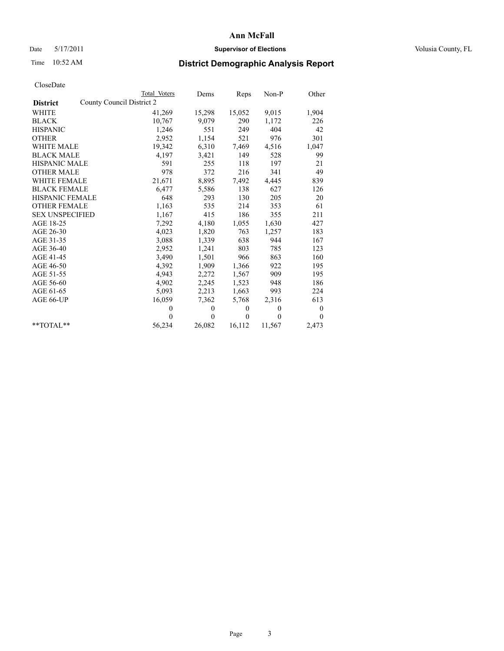## Date 5/17/2011 **Supervisor of Elections Supervisor of Elections** Volusia County, FL

# Time 10:52 AM **District Demographic Analysis Report**

|                                              | Total Voters | Dems         | Reps         | $Non-P$      | Other    |
|----------------------------------------------|--------------|--------------|--------------|--------------|----------|
| County Council District 2<br><b>District</b> |              |              |              |              |          |
| <b>WHITE</b>                                 | 41,269       | 15,298       | 15,052       | 9,015        | 1,904    |
| <b>BLACK</b>                                 | 10,767       | 9,079        | 290          | 1,172        | 226      |
| <b>HISPANIC</b>                              | 1,246        | 551          | 249          | 404          | 42       |
| <b>OTHER</b>                                 | 2,952        | 1,154        | 521          | 976          | 301      |
| <b>WHITE MALE</b>                            | 19,342       | 6,310        | 7,469        | 4,516        | 1,047    |
| <b>BLACK MALE</b>                            | 4,197        | 3,421        | 149          | 528          | 99       |
| <b>HISPANIC MALE</b>                         | 591          | 255          | 118          | 197          | 21       |
| <b>OTHER MALE</b>                            | 978          | 372          | 216          | 341          | 49       |
| <b>WHITE FEMALE</b>                          | 21,671       | 8,895        | 7,492        | 4,445        | 839      |
| <b>BLACK FEMALE</b>                          | 6,477        | 5,586        | 138          | 627          | 126      |
| HISPANIC FEMALE                              | 648          | 293          | 130          | 205          | 20       |
| <b>OTHER FEMALE</b>                          | 1,163        | 535          | 214          | 353          | 61       |
| <b>SEX UNSPECIFIED</b>                       | 1,167        | 415          | 186          | 355          | 211      |
| AGE 18-25                                    | 7,292        | 4,180        | 1,055        | 1,630        | 427      |
| AGE 26-30                                    | 4,023        | 1,820        | 763          | 1,257        | 183      |
| AGE 31-35                                    | 3,088        | 1,339        | 638          | 944          | 167      |
| AGE 36-40                                    | 2,952        | 1,241        | 803          | 785          | 123      |
| AGE 41-45                                    | 3,490        | 1,501        | 966          | 863          | 160      |
| AGE 46-50                                    | 4,392        | 1,909        | 1,366        | 922          | 195      |
| AGE 51-55                                    | 4,943        | 2,272        | 1,567        | 909          | 195      |
| AGE 56-60                                    | 4,902        | 2,245        | 1,523        | 948          | 186      |
| AGE 61-65                                    | 5,093        | 2,213        | 1,663        | 993          | 224      |
| AGE 66-UP                                    | 16,059       | 7,362        | 5,768        | 2,316        | 613      |
|                                              | $\theta$     | $\mathbf{0}$ | $\mathbf{0}$ | $\mathbf{0}$ | $\bf{0}$ |
|                                              | $\Omega$     | $\theta$     | $\Omega$     | $\theta$     | $\theta$ |
| $*$ $TOTAI.**$                               | 56,234       | 26,082       | 16,112       | 11,567       | 2,473    |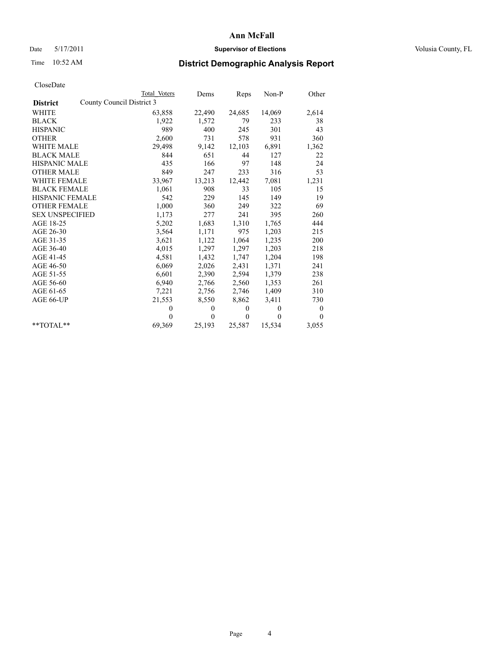## Date 5/17/2011 **Supervisor of Elections Supervisor of Elections** Volusia County, FL

# Time 10:52 AM **District Demographic Analysis Report**

|                                              | Total Voters | Dems         | <b>Reps</b>  | Non-P        | Other            |
|----------------------------------------------|--------------|--------------|--------------|--------------|------------------|
| County Council District 3<br><b>District</b> |              |              |              |              |                  |
| <b>WHITE</b>                                 | 63,858       | 22,490       | 24,685       | 14,069       | 2,614            |
| <b>BLACK</b>                                 | 1,922        | 1,572        | 79           | 233          | 38               |
| <b>HISPANIC</b>                              | 989          | 400          | 245          | 301          | 43               |
| <b>OTHER</b>                                 | 2,600        | 731          | 578          | 931          | 360              |
| <b>WHITE MALE</b>                            | 29,498       | 9,142        | 12,103       | 6,891        | 1,362            |
| <b>BLACK MALE</b>                            | 844          | 651          | 44           | 127          | 22               |
| <b>HISPANIC MALE</b>                         | 435          | 166          | 97           | 148          | 24               |
| <b>OTHER MALE</b>                            | 849          | 247          | 233          | 316          | 53               |
| WHITE FEMALE                                 | 33,967       | 13,213       | 12,442       | 7,081        | 1,231            |
| <b>BLACK FEMALE</b>                          | 1,061        | 908          | 33           | 105          | 15               |
| HISPANIC FEMALE                              | 542          | 229          | 145          | 149          | 19               |
| <b>OTHER FEMALE</b>                          | 1,000        | 360          | 249          | 322          | 69               |
| <b>SEX UNSPECIFIED</b>                       | 1,173        | 277          | 241          | 395          | 260              |
| AGE 18-25                                    | 5,202        | 1,683        | 1,310        | 1,765        | 444              |
| AGE 26-30                                    | 3,564        | 1,171        | 975          | 1,203        | 215              |
| AGE 31-35                                    | 3,621        | 1,122        | 1,064        | 1,235        | 200              |
| AGE 36-40                                    | 4,015        | 1,297        | 1,297        | 1,203        | 218              |
| AGE 41-45                                    | 4,581        | 1,432        | 1,747        | 1,204        | 198              |
| AGE 46-50                                    | 6,069        | 2,026        | 2,431        | 1,371        | 241              |
| AGE 51-55                                    | 6,601        | 2,390        | 2,594        | 1,379        | 238              |
| AGE 56-60                                    | 6,940        | 2,766        | 2,560        | 1,353        | 261              |
| AGE 61-65                                    | 7,221        | 2,756        | 2,746        | 1,409        | 310              |
| AGE 66-UP                                    | 21,553       | 8,550        | 8,862        | 3,411        | 730              |
|                                              | $\theta$     | $\mathbf{0}$ | $\mathbf{0}$ | $\mathbf{0}$ | $\boldsymbol{0}$ |
|                                              | $\theta$     | $\mathbf{0}$ | $\theta$     | $\theta$     | $\theta$         |
| $*$ $TOTAI.**$                               | 69,369       | 25,193       | 25,587       | 15,534       | 3,055            |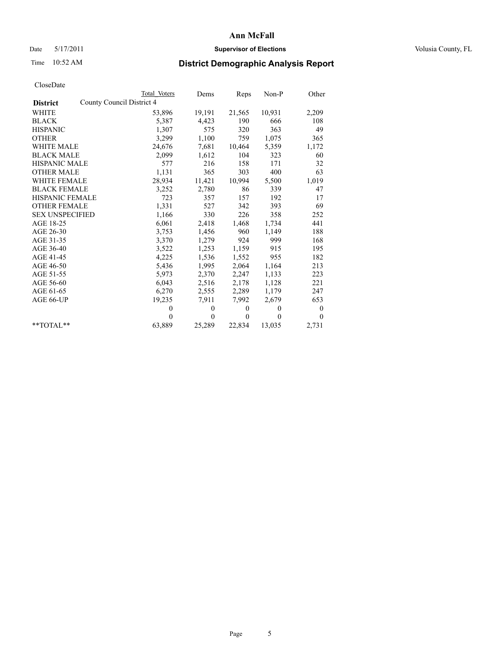## Date 5/17/2011 **Supervisor of Elections Supervisor of Elections** Volusia County, FL

# Time 10:52 AM **District Demographic Analysis Report**

|                                              | <b>Total Voters</b> | Dems         | <b>Reps</b>  | $Non-P$  | Other            |
|----------------------------------------------|---------------------|--------------|--------------|----------|------------------|
| County Council District 4<br><b>District</b> |                     |              |              |          |                  |
| <b>WHITE</b>                                 | 53,896              | 19,191       | 21,565       | 10,931   | 2,209            |
| <b>BLACK</b>                                 | 5,387               | 4,423        | 190          | 666      | 108              |
| <b>HISPANIC</b>                              | 1,307               | 575          | 320          | 363      | 49               |
| <b>OTHER</b>                                 | 3,299               | 1,100        | 759          | 1,075    | 365              |
| <b>WHITE MALE</b>                            | 24,676              | 7,681        | 10,464       | 5,359    | 1,172            |
| <b>BLACK MALE</b>                            | 2,099               | 1,612        | 104          | 323      | 60               |
| <b>HISPANIC MALE</b>                         | 577                 | 216          | 158          | 171      | 32               |
| <b>OTHER MALE</b>                            | 1,131               | 365          | 303          | 400      | 63               |
| WHITE FEMALE                                 | 28,934              | 11,421       | 10,994       | 5,500    | 1,019            |
| <b>BLACK FEMALE</b>                          | 3,252               | 2,780        | 86           | 339      | 47               |
| HISPANIC FEMALE                              | 723                 | 357          | 157          | 192      | 17               |
| <b>OTHER FEMALE</b>                          | 1,331               | 527          | 342          | 393      | 69               |
| <b>SEX UNSPECIFIED</b>                       | 1,166               | 330          | 226          | 358      | 252              |
| AGE 18-25                                    | 6,061               | 2,418        | 1,468        | 1,734    | 441              |
| AGE 26-30                                    | 3,753               | 1,456        | 960          | 1,149    | 188              |
| AGE 31-35                                    | 3,370               | 1,279        | 924          | 999      | 168              |
| AGE 36-40                                    | 3,522               | 1,253        | 1,159        | 915      | 195              |
| AGE 41-45                                    | 4,225               | 1,536        | 1,552        | 955      | 182              |
| AGE 46-50                                    | 5,436               | 1,995        | 2,064        | 1,164    | 213              |
| AGE 51-55                                    | 5,973               | 2,370        | 2,247        | 1,133    | 223              |
| AGE 56-60                                    | 6,043               | 2,516        | 2,178        | 1,128    | 221              |
| AGE 61-65                                    | 6,270               | 2,555        | 2,289        | 1,179    | 247              |
| AGE 66-UP                                    | 19,235              | 7,911        | 7,992        | 2,679    | 653              |
|                                              | $\theta$            | $\theta$     | $\mathbf{0}$ | $\theta$ | $\boldsymbol{0}$ |
|                                              | $\theta$            | $\mathbf{0}$ | $\mathbf{0}$ | $\theta$ | $\mathbf{0}$     |
| $*$ $TOTAI.**$                               | 63,889              | 25,289       | 22,834       | 13,035   | 2,731            |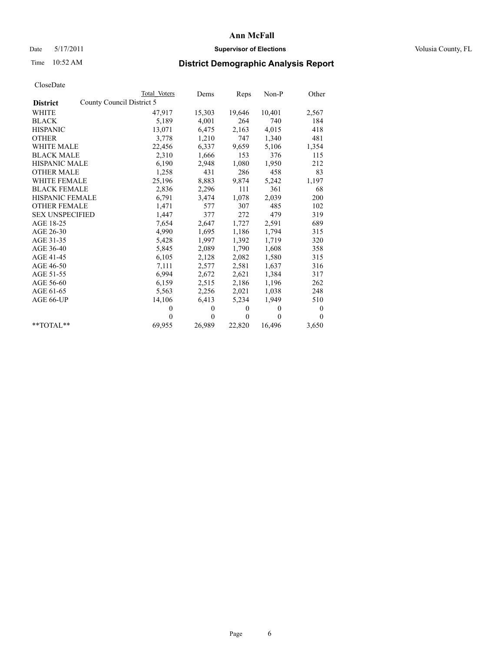## Date 5/17/2011 **Supervisor of Elections Supervisor of Elections** Volusia County, FL

# Time 10:52 AM **District Demographic Analysis Report**

|                                              | <b>Total Voters</b> | Dems         | Reps         | $Non-P$      | Other            |  |  |
|----------------------------------------------|---------------------|--------------|--------------|--------------|------------------|--|--|
| County Council District 5<br><b>District</b> |                     |              |              |              |                  |  |  |
| <b>WHITE</b>                                 | 47,917              | 15,303       | 19,646       | 10,401       | 2,567            |  |  |
| <b>BLACK</b>                                 | 5,189               | 4,001        | 264          | 740          | 184              |  |  |
| <b>HISPANIC</b>                              | 13,071              | 6,475        | 2,163        | 4,015        | 418              |  |  |
| <b>OTHER</b>                                 | 3,778               | 1,210        | 747          | 1,340        | 481              |  |  |
| <b>WHITE MALE</b>                            | 22,456              | 6,337        | 9,659        | 5,106        | 1,354            |  |  |
| <b>BLACK MALE</b>                            | 2,310               | 1,666        | 153          | 376          | 115              |  |  |
| HISPANIC MALE                                | 6,190               | 2,948        | 1,080        | 1,950        | 212              |  |  |
| <b>OTHER MALE</b>                            | 1,258               | 431          | 286          | 458          | 83               |  |  |
| <b>WHITE FEMALE</b>                          | 25,196              | 8,883        | 9,874        | 5,242        | 1,197            |  |  |
| <b>BLACK FEMALE</b>                          | 2,836               | 2,296        | 111          | 361          | 68               |  |  |
| HISPANIC FEMALE                              | 6,791               | 3,474        | 1,078        | 2,039        | 200              |  |  |
| <b>OTHER FEMALE</b>                          | 1,471               | 577          | 307          | 485          | 102              |  |  |
| <b>SEX UNSPECIFIED</b>                       | 1,447               | 377          | 272          | 479          | 319              |  |  |
| AGE 18-25                                    | 7,654               | 2,647        | 1,727        | 2,591        | 689              |  |  |
| AGE 26-30                                    | 4,990               | 1,695        | 1,186        | 1,794        | 315              |  |  |
| AGE 31-35                                    | 5,428               | 1,997        | 1,392        | 1,719        | 320              |  |  |
| AGE 36-40                                    | 5,845               | 2,089        | 1,790        | 1,608        | 358              |  |  |
| AGE 41-45                                    | 6,105               | 2,128        | 2,082        | 1,580        | 315              |  |  |
| AGE 46-50                                    | 7,111               | 2,577        | 2,581        | 1,637        | 316              |  |  |
| AGE 51-55                                    | 6,994               | 2,672        | 2,621        | 1,384        | 317              |  |  |
| AGE 56-60                                    | 6,159               | 2,515        | 2,186        | 1,196        | 262              |  |  |
| AGE 61-65                                    | 5,563               | 2,256        | 2,021        | 1,038        | 248              |  |  |
| AGE 66-UP                                    | 14,106              | 6,413        | 5,234        | 1,949        | 510              |  |  |
|                                              | $\theta$            | $\mathbf{0}$ | $\mathbf{0}$ | $\mathbf{0}$ | $\boldsymbol{0}$ |  |  |
|                                              | $\theta$            | $\Omega$     | $\mathbf{0}$ | $\theta$     | $\mathbf{0}$     |  |  |
| $*$ $TOTAI.**$                               | 69,955              | 26,989       | 22,820       | 16,496       | 3,650            |  |  |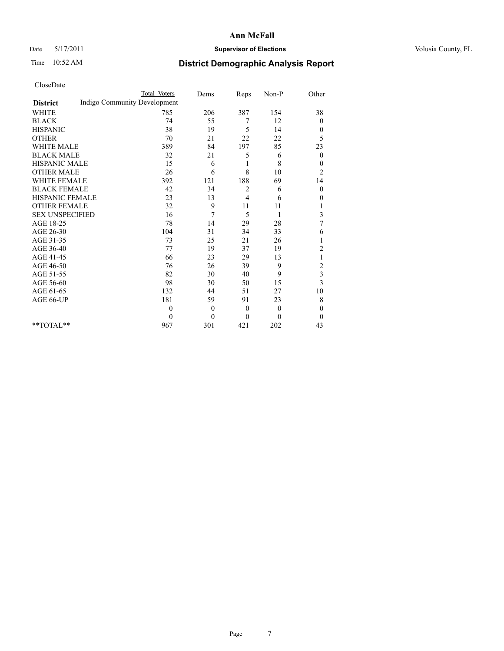## Date 5/17/2011 **Supervisor of Elections Supervisor of Elections** Volusia County, FL

# Time 10:52 AM **District Demographic Analysis Report**

|                                                 | <b>Total Voters</b> | Dems           | Reps         | Non-P        | Other                   |
|-------------------------------------------------|---------------------|----------------|--------------|--------------|-------------------------|
| Indigo Community Development<br><b>District</b> |                     |                |              |              |                         |
| <b>WHITE</b>                                    | 785                 | 206            | 387          | 154          | 38                      |
| <b>BLACK</b>                                    | 74                  | 55             | 7            | 12           | $\overline{0}$          |
| <b>HISPANIC</b>                                 | 38                  | 19             | 5            | 14           | $\boldsymbol{0}$        |
| <b>OTHER</b>                                    | 70                  | 21             | 22           | 22           | 5                       |
| <b>WHITE MALE</b>                               | 389                 | 84             | 197          | 85           | 23                      |
| <b>BLACK MALE</b>                               | 32                  | 21             | 5            | 6            | $\mathbf{0}$            |
| <b>HISPANIC MALE</b>                            | 15                  | 6              | 1            | 8            | $\boldsymbol{0}$        |
| <b>OTHER MALE</b>                               | 26                  | 6              | 8            | 10           | $\overline{c}$          |
| <b>WHITE FEMALE</b>                             | 392                 | 121            | 188          | 69           | 14                      |
| <b>BLACK FEMALE</b>                             | 42                  | 34             | 2            | 6            | $\boldsymbol{0}$        |
| HISPANIC FEMALE                                 | 23                  | 13             | 4            | 6            | 0                       |
| <b>OTHER FEMALE</b>                             | 32                  | 9              | 11           | 11           | 1                       |
| <b>SEX UNSPECIFIED</b>                          | 16                  | 7              | 5            | 1            | 3                       |
| AGE 18-25                                       | 78                  | 14             | 29           | 28           | $\overline{7}$          |
| AGE 26-30                                       | 104                 | 31             | 34           | 33           | 6                       |
| AGE 31-35                                       | 73                  | 25             | 21           | 26           |                         |
| AGE 36-40                                       | 77                  | 19             | 37           | 19           | $\overline{c}$          |
| AGE 41-45                                       | 66                  | 23             | 29           | 13           | 1                       |
| AGE 46-50                                       | 76                  | 26             | 39           | 9            | $\overline{c}$          |
| AGE 51-55                                       | 82                  | 30             | 40           | 9            | $\overline{\mathbf{3}}$ |
| AGE 56-60                                       | 98                  | 30             | 50           | 15           | 3                       |
| AGE 61-65                                       | 132                 | 44             | 51           | 27           | 10                      |
| AGE 66-UP                                       | 181                 | 59             | 91           | 23           | 8                       |
|                                                 | $\theta$            | $\overline{0}$ | $\mathbf{0}$ | $\mathbf{0}$ | $\mathbf{0}$            |
|                                                 | $\theta$            | $\theta$       | $\theta$     | $\theta$     | $\overline{0}$          |
| $*$ $TOTAI.**$                                  | 967                 | 301            | 421          | 202          | 43                      |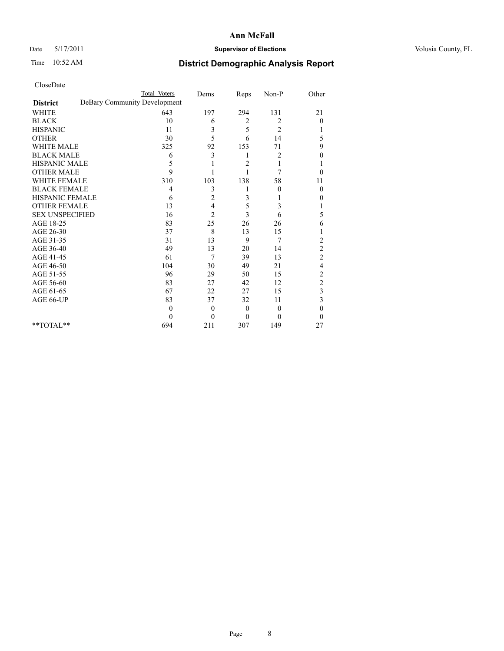## Date 5/17/2011 **Supervisor of Elections Supervisor of Elections** Volusia County, FL

# Time 10:52 AM **District Demographic Analysis Report**

|                                                 | <b>Total Voters</b> | Dems           | Reps           | $Non-P$        | Other                   |
|-------------------------------------------------|---------------------|----------------|----------------|----------------|-------------------------|
| DeBary Community Development<br><b>District</b> |                     |                |                |                |                         |
| <b>WHITE</b>                                    | 643                 | 197            | 294            | 131            | 21                      |
| <b>BLACK</b>                                    | 10                  | 6              | 2              | 2              | $\overline{0}$          |
| <b>HISPANIC</b>                                 | 11                  | 3              | 5              | $\overline{2}$ |                         |
| <b>OTHER</b>                                    | 30                  | 5              | 6              | 14             | 5                       |
| <b>WHITE MALE</b>                               | 325                 | 92             | 153            | 71             | 9                       |
| <b>BLACK MALE</b>                               | 6                   | 3              | 1              | 2              | 0                       |
| HISPANIC MALE                                   | 5                   |                | 2              |                |                         |
| <b>OTHER MALE</b>                               | 9                   |                |                | 7              | $\theta$                |
| <b>WHITE FEMALE</b>                             | 310                 | 103            | 138            | 58             | 11                      |
| <b>BLACK FEMALE</b>                             | 4                   | 3              |                | $\theta$       | $\theta$                |
| HISPANIC FEMALE                                 | 6                   | $\overline{c}$ | 3              |                | 0                       |
| <b>OTHER FEMALE</b>                             | 13                  | 4              | 5              | 3              |                         |
| <b>SEX UNSPECIFIED</b>                          | 16                  | $\overline{2}$ | 3              | 6              | 5                       |
| AGE 18-25                                       | 83                  | 25             | 26             | 26             | 6                       |
| AGE 26-30                                       | 37                  | 8              | 13             | 15             |                         |
| AGE 31-35                                       | 31                  | 13             | 9              | 7              | $\overline{c}$          |
| AGE 36-40                                       | 49                  | 13             | 20             | 14             | $\overline{c}$          |
| AGE 41-45                                       | 61                  | 7              | 39             | 13             | $\overline{c}$          |
| AGE 46-50                                       | 104                 | 30             | 49             | 21             | 4                       |
| AGE 51-55                                       | 96                  | 29             | 50             | 15             | $\overline{\mathbf{c}}$ |
| AGE 56-60                                       | 83                  | 27             | 42             | 12             | $\overline{c}$          |
| AGE 61-65                                       | 67                  | 22             | 27             | 15             | 3                       |
| AGE 66-UP                                       | 83                  | 37             | 32             | 11             | 3                       |
|                                                 | $\Omega$            | $\theta$       | $\theta$       | $\Omega$       | $\theta$                |
|                                                 | $\Omega$            | $\theta$       | $\overline{0}$ | $\Omega$       | $\Omega$                |
| $*$ $TOTAL**$                                   | 694                 | 211            | 307            | 149            | 27                      |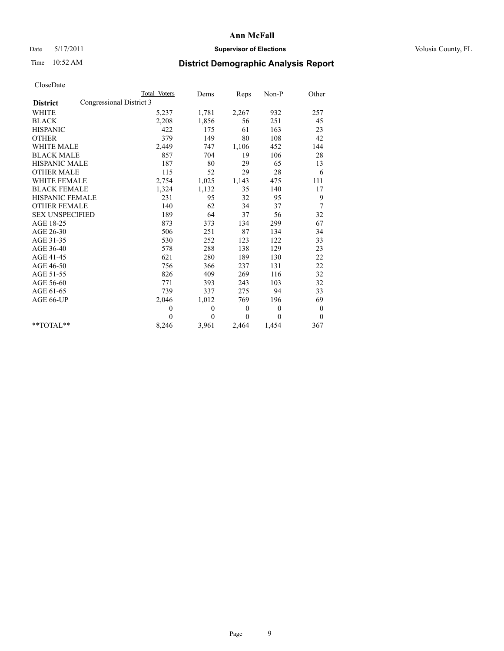## Date 5/17/2011 **Supervisor of Elections Supervisor of Elections** Volusia County, FL

# Time 10:52 AM **District Demographic Analysis Report**

|                                             | <b>Total Voters</b> | Dems         | Reps             | Non-P        | Other            |
|---------------------------------------------|---------------------|--------------|------------------|--------------|------------------|
| Congressional District 3<br><b>District</b> |                     |              |                  |              |                  |
| <b>WHITE</b>                                | 5,237               | 1,781        | 2,267            | 932          | 257              |
| <b>BLACK</b>                                | 2,208               | 1,856        | 56               | 251          | 45               |
| <b>HISPANIC</b>                             | 422                 | 175          | 61               | 163          | 23               |
| <b>OTHER</b>                                | 379                 | 149          | 80               | 108          | 42               |
| <b>WHITE MALE</b>                           | 2,449               | 747          | 1,106            | 452          | 144              |
| <b>BLACK MALE</b>                           | 857                 | 704          | 19               | 106          | 28               |
| <b>HISPANIC MALE</b>                        | 187                 | 80           | 29               | 65           | 13               |
| <b>OTHER MALE</b>                           | 115                 | 52           | 29               | 28           | 6                |
| <b>WHITE FEMALE</b>                         | 2,754               | 1,025        | 1,143            | 475          | 111              |
| <b>BLACK FEMALE</b>                         | 1,324               | 1,132        | 35               | 140          | 17               |
| HISPANIC FEMALE                             | 231                 | 95           | 32               | 95           | 9                |
| <b>OTHER FEMALE</b>                         | 140                 | 62           | 34               | 37           | 7                |
| <b>SEX UNSPECIFIED</b>                      | 189                 | 64           | 37               | 56           | 32               |
| AGE 18-25                                   | 873                 | 373          | 134              | 299          | 67               |
| AGE 26-30                                   | 506                 | 251          | 87               | 134          | 34               |
| AGE 31-35                                   | 530                 | 252          | 123              | 122          | 33               |
| AGE 36-40                                   | 578                 | 288          | 138              | 129          | 23               |
| AGE 41-45                                   | 621                 | 280          | 189              | 130          | 22               |
| AGE 46-50                                   | 756                 | 366          | 237              | 131          | 22               |
| AGE 51-55                                   | 826                 | 409          | 269              | 116          | 32               |
| AGE 56-60                                   | 771                 | 393          | 243              | 103          | 32               |
| AGE 61-65                                   | 739                 | 337          | 275              | 94           | 33               |
| AGE 66-UP                                   | 2,046               | 1,012        | 769              | 196          | 69               |
|                                             | $\theta$            | $\mathbf{0}$ | $\boldsymbol{0}$ | $\mathbf{0}$ | $\boldsymbol{0}$ |
|                                             | $\theta$            | $\theta$     | $\theta$         | $\Omega$     | $\mathbf{0}$     |
| $*$ $TOTAI.**$                              | 8,246               | 3,961        | 2,464            | 1,454        | 367              |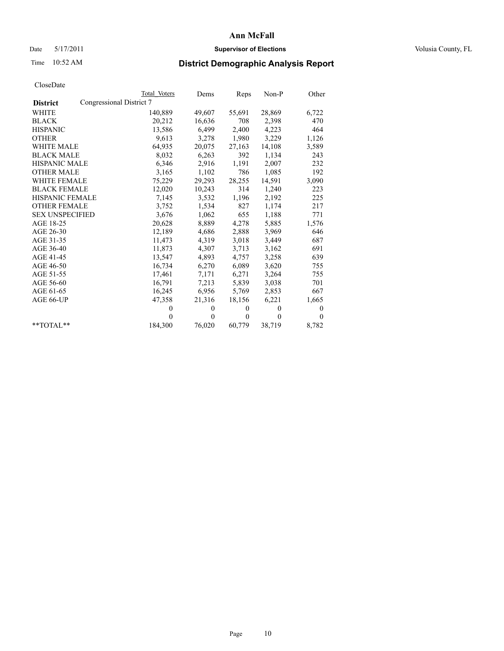## Date 5/17/2011 **Supervisor of Elections Supervisor of Elections** Volusia County, FL

# Time 10:52 AM **District Demographic Analysis Report**

|                                             | Total Voters | Dems         | Reps         | $Non-P$  | Other    |  |
|---------------------------------------------|--------------|--------------|--------------|----------|----------|--|
| Congressional District 7<br><b>District</b> |              |              |              |          |          |  |
| <b>WHITE</b>                                | 140,889      | 49,607       | 55,691       | 28,869   | 6,722    |  |
| <b>BLACK</b>                                | 20,212       | 16,636       | 708          | 2,398    | 470      |  |
| <b>HISPANIC</b>                             | 13,586       | 6,499        | 2,400        | 4,223    | 464      |  |
| <b>OTHER</b>                                | 9,613        | 3,278        | 1,980        | 3,229    | 1,126    |  |
| <b>WHITE MALE</b>                           | 64,935       | 20,075       | 27,163       | 14,108   | 3,589    |  |
| <b>BLACK MALE</b>                           | 8,032        | 6,263        | 392          | 1,134    | 243      |  |
| HISPANIC MALE                               | 6,346        | 2,916        | 1,191        | 2,007    | 232      |  |
| <b>OTHER MALE</b>                           | 3,165        | 1,102        | 786          | 1,085    | 192      |  |
| <b>WHITE FEMALE</b>                         | 75,229       | 29,293       | 28,255       | 14,591   | 3,090    |  |
| <b>BLACK FEMALE</b>                         | 12,020       | 10,243       | 314          | 1,240    | 223      |  |
| HISPANIC FEMALE                             | 7,145        | 3,532        | 1,196        | 2,192    | 225      |  |
| <b>OTHER FEMALE</b>                         | 3,752        | 1,534        | 827          | 1,174    | 217      |  |
| <b>SEX UNSPECIFIED</b>                      | 3,676        | 1,062        | 655          | 1,188    | 771      |  |
| AGE 18-25                                   | 20,628       | 8,889        | 4,278        | 5,885    | 1,576    |  |
| AGE 26-30                                   | 12,189       | 4,686        | 2,888        | 3,969    | 646      |  |
| AGE 31-35                                   | 11,473       | 4,319        | 3,018        | 3,449    | 687      |  |
| AGE 36-40                                   | 11,873       | 4,307        | 3,713        | 3,162    | 691      |  |
| AGE 41-45                                   | 13,547       | 4,893        | 4,757        | 3,258    | 639      |  |
| AGE 46-50                                   | 16,734       | 6,270        | 6,089        | 3,620    | 755      |  |
| AGE 51-55                                   | 17,461       | 7,171        | 6,271        | 3,264    | 755      |  |
| AGE 56-60                                   | 16,791       | 7.213        | 5,839        | 3,038    | 701      |  |
| AGE 61-65                                   | 16,245       | 6,956        | 5,769        | 2,853    | 667      |  |
| AGE 66-UP                                   | 47,358       | 21,316       | 18,156       | 6,221    | 1,665    |  |
|                                             | $\theta$     | $\mathbf{0}$ | $\mathbf{0}$ | $\theta$ | 0        |  |
|                                             | $\theta$     | $\theta$     | $\mathbf{0}$ | $\theta$ | $\theta$ |  |
| $*$ $TOTAI.**$                              | 184,300      | 76,020       | 60,779       | 38,719   | 8,782    |  |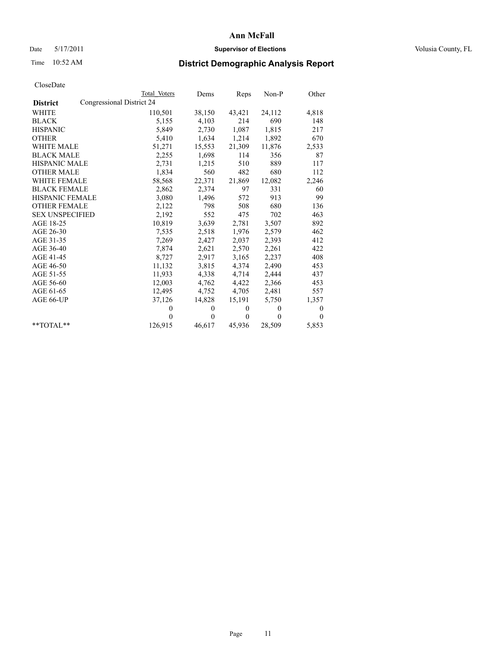## Date 5/17/2011 **Supervisor of Elections Supervisor of Elections** Volusia County, FL

# Time 10:52 AM **District Demographic Analysis Report**

|                        |                           | <b>Total Voters</b> | Dems     | Reps         | $Non-P$  | Other    |
|------------------------|---------------------------|---------------------|----------|--------------|----------|----------|
| <b>District</b>        | Congressional District 24 |                     |          |              |          |          |
| <b>WHITE</b>           |                           | 110,501             | 38,150   | 43,421       | 24,112   | 4,818    |
| <b>BLACK</b>           |                           | 5,155               | 4,103    | 214          | 690      | 148      |
| <b>HISPANIC</b>        |                           | 5,849               | 2,730    | 1,087        | 1,815    | 217      |
| <b>OTHER</b>           |                           | 5,410               | 1,634    | 1,214        | 1,892    | 670      |
| <b>WHITE MALE</b>      |                           | 51,271              | 15,553   | 21,309       | 11,876   | 2,533    |
| <b>BLACK MALE</b>      |                           | 2,255               | 1,698    | 114          | 356      | 87       |
| HISPANIC MALE          |                           | 2,731               | 1,215    | 510          | 889      | 117      |
| <b>OTHER MALE</b>      |                           | 1,834               | 560      | 482          | 680      | 112      |
| <b>WHITE FEMALE</b>    |                           | 58,568              | 22,371   | 21,869       | 12,082   | 2,246    |
| <b>BLACK FEMALE</b>    |                           | 2,862               | 2,374    | 97           | 331      | 60       |
| HISPANIC FEMALE        |                           | 3,080               | 1,496    | 572          | 913      | 99       |
| <b>OTHER FEMALE</b>    |                           | 2,122               | 798      | 508          | 680      | 136      |
| <b>SEX UNSPECIFIED</b> |                           | 2,192               | 552      | 475          | 702      | 463      |
| AGE 18-25              |                           | 10,819              | 3,639    | 2,781        | 3,507    | 892      |
| AGE 26-30              |                           | 7,535               | 2,518    | 1,976        | 2,579    | 462      |
| AGE 31-35              |                           | 7,269               | 2,427    | 2,037        | 2,393    | 412      |
| AGE 36-40              |                           | 7,874               | 2,621    | 2,570        | 2,261    | 422      |
| AGE 41-45              |                           | 8,727               | 2,917    | 3,165        | 2,237    | 408      |
| AGE 46-50              |                           | 11,132              | 3,815    | 4,374        | 2,490    | 453      |
| AGE 51-55              |                           | 11,933              | 4,338    | 4,714        | 2,444    | 437      |
| AGE 56-60              |                           | 12,003              | 4,762    | 4,422        | 2,366    | 453      |
| AGE 61-65              |                           | 12,495              | 4,752    | 4,705        | 2,481    | 557      |
| AGE 66-UP              |                           | 37,126              | 14,828   | 15,191       | 5,750    | 1,357    |
|                        |                           | $\Omega$            | $\theta$ | $\mathbf{0}$ | $\theta$ | 0        |
|                        |                           | $\theta$            | $\theta$ | $\mathbf{0}$ | $\theta$ | $\theta$ |
| $*$ $TOTAI.**$         |                           | 126,915             | 46,617   | 45,936       | 28,509   | 5,853    |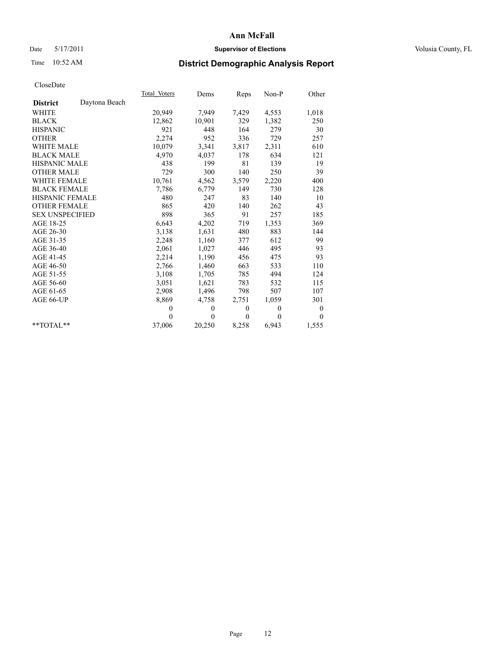## Date 5/17/2011 **Supervisor of Elections Supervisor of Elections** Volusia County, FL

# Time 10:52 AM **District Demographic Analysis Report**

|                                  | Total Voters | Dems     | <b>Reps</b> | $Non-P$  | Other            |
|----------------------------------|--------------|----------|-------------|----------|------------------|
| Daytona Beach<br><b>District</b> |              |          |             |          |                  |
| WHITE                            | 20,949       | 7,949    | 7,429       | 4,553    | 1,018            |
| <b>BLACK</b>                     | 12,862       | 10,901   | 329         | 1,382    | 250              |
| <b>HISPANIC</b>                  | 921          | 448      | 164         | 279      | 30               |
| <b>OTHER</b>                     | 2,274        | 952      | 336         | 729      | 257              |
| <b>WHITE MALE</b>                | 10,079       | 3,341    | 3,817       | 2,311    | 610              |
| <b>BLACK MALE</b>                | 4,970        | 4,037    | 178         | 634      | 121              |
| HISPANIC MALE                    | 438          | 199      | 81          | 139      | 19               |
| <b>OTHER MALE</b>                | 729          | 300      | 140         | 250      | 39               |
| WHITE FEMALE                     | 10,761       | 4,562    | 3,579       | 2,220    | 400              |
| <b>BLACK FEMALE</b>              | 7,786        | 6,779    | 149         | 730      | 128              |
| HISPANIC FEMALE                  | 480          | 247      | 83          | 140      | 10               |
| <b>OTHER FEMALE</b>              | 865          | 420      | 140         | 262      | 43               |
| <b>SEX UNSPECIFIED</b>           | 898          | 365      | 91          | 257      | 185              |
| AGE 18-25                        | 6,643        | 4,202    | 719         | 1,353    | 369              |
| AGE 26-30                        | 3,138        | 1,631    | 480         | 883      | 144              |
| AGE 31-35                        | 2,248        | 1,160    | 377         | 612      | 99               |
| AGE 36-40                        | 2,061        | 1,027    | 446         | 495      | 93               |
| AGE 41-45                        | 2,214        | 1,190    | 456         | 475      | 93               |
| AGE 46-50                        | 2,766        | 1,460    | 663         | 533      | 110              |
| AGE 51-55                        | 3,108        | 1,705    | 785         | 494      | 124              |
| AGE 56-60                        | 3,051        | 1,621    | 783         | 532      | 115              |
| AGE 61-65                        | 2,908        | 1,496    | 798         | 507      | 107              |
| AGE 66-UP                        | 8,869        | 4,758    | 2,751       | 1,059    | 301              |
|                                  | $\mathbf{0}$ | $\theta$ | $\theta$    | $\theta$ | $\boldsymbol{0}$ |
|                                  | $\Omega$     | $\theta$ | $\theta$    | $\theta$ | $\theta$         |
| **TOTAL**                        | 37,006       | 20,250   | 8,258       | 6,943    | 1,555            |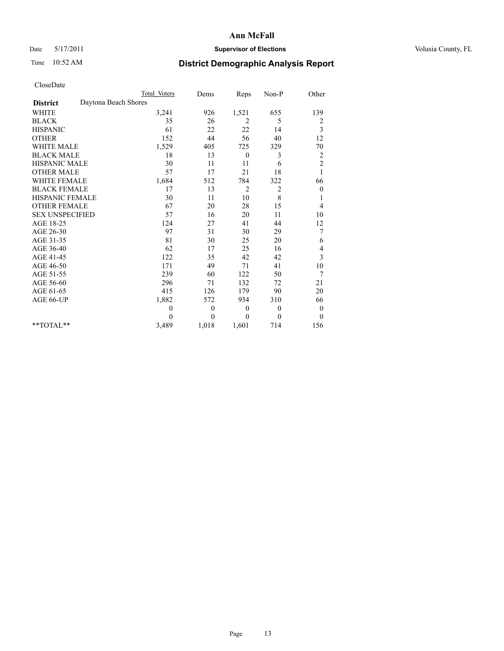## Date 5/17/2011 **Supervisor of Elections Supervisor of Elections** Volusia County, FL

# Time 10:52 AM **District Demographic Analysis Report**

|                                         | <b>Total Voters</b> | Dems         | Reps           | Non-P          | Other                   |
|-----------------------------------------|---------------------|--------------|----------------|----------------|-------------------------|
| Daytona Beach Shores<br><b>District</b> |                     |              |                |                |                         |
| <b>WHITE</b>                            | 3,241               | 926          | 1,521          | 655            | 139                     |
| <b>BLACK</b>                            | 35                  | 26           | 2              | 5              | 2                       |
| <b>HISPANIC</b>                         | 61                  | 22           | 22             | 14             | 3                       |
| <b>OTHER</b>                            | 152                 | 44           | 56             | 40             | 12                      |
| <b>WHITE MALE</b>                       | 1,529               | 405          | 725            | 329            | 70                      |
| <b>BLACK MALE</b>                       | 18                  | 13           | $\theta$       | 3              | $\overline{\mathbf{c}}$ |
| <b>HISPANIC MALE</b>                    | 30                  | 11           | 11             | 6              | $\overline{c}$          |
| <b>OTHER MALE</b>                       | 57                  | 17           | 21             | 18             | 1                       |
| <b>WHITE FEMALE</b>                     | 1,684               | 512          | 784            | 322            | 66                      |
| <b>BLACK FEMALE</b>                     | 17                  | 13           | $\overline{2}$ | $\overline{2}$ | $\boldsymbol{0}$        |
| HISPANIC FEMALE                         | 30                  | 11           | 10             | $\,8\,$        | 1                       |
| <b>OTHER FEMALE</b>                     | 67                  | 20           | 28             | 15             | 4                       |
| <b>SEX UNSPECIFIED</b>                  | 57                  | 16           | 20             | 11             | 10                      |
| AGE 18-25                               | 124                 | 27           | 41             | 44             | 12                      |
| AGE 26-30                               | 97                  | 31           | 30             | 29             | 7                       |
| AGE 31-35                               | 81                  | 30           | 25             | 20             | 6                       |
| AGE 36-40                               | 62                  | 17           | 25             | 16             | 4                       |
| AGE 41-45                               | 122                 | 35           | 42             | 42             | 3                       |
| AGE 46-50                               | 171                 | 49           | 71             | 41             | 10                      |
| AGE 51-55                               | 239                 | 60           | 122            | 50             | 7                       |
| AGE 56-60                               | 296                 | 71           | 132            | 72             | 21                      |
| AGE 61-65                               | 415                 | 126          | 179            | 90             | 20                      |
| AGE 66-UP                               | 1,882               | 572          | 934            | 310            | 66                      |
|                                         | $\theta$            | $\mathbf{0}$ | $\theta$       | $\overline{0}$ | $\boldsymbol{0}$        |
|                                         | $\Omega$            | $\mathbf{0}$ | $\theta$       | $\theta$       | $\theta$                |
| $*$ $TOTAI.**$                          | 3,489               | 1,018        | 1,601          | 714            | 156                     |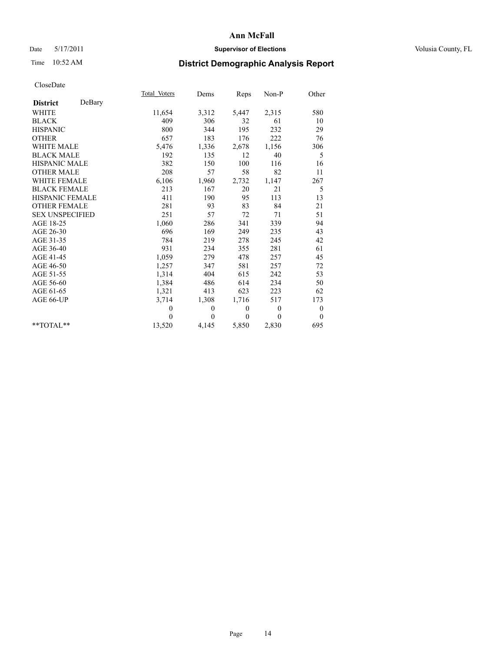## Date 5/17/2011 **Supervisor of Elections Supervisor of Elections** Volusia County, FL

# Time 10:52 AM **District Demographic Analysis Report**

|                           | Total Voters | Dems         | Reps         | $Non-P$      | Other            |  |
|---------------------------|--------------|--------------|--------------|--------------|------------------|--|
| DeBary<br><b>District</b> |              |              |              |              |                  |  |
| <b>WHITE</b>              | 11,654       | 3,312        | 5,447        | 2,315        | 580              |  |
| <b>BLACK</b>              | 409          | 306          | 32           | 61           | 10               |  |
| <b>HISPANIC</b>           | 800          | 344          | 195          | 232          | 29               |  |
| <b>OTHER</b>              | 657          | 183          | 176          | 222          | 76               |  |
| <b>WHITE MALE</b>         | 5,476        | 1,336        | 2,678        | 1,156        | 306              |  |
| <b>BLACK MALE</b>         | 192          | 135          | 12           | 40           | 5                |  |
| <b>HISPANIC MALE</b>      | 382          | 150          | 100          | 116          | 16               |  |
| <b>OTHER MALE</b>         | 208          | 57           | 58           | 82           | 11               |  |
| <b>WHITE FEMALE</b>       | 6,106        | 1,960        | 2,732        | 1,147        | 267              |  |
| <b>BLACK FEMALE</b>       | 213          | 167          | 20           | 21           | 5                |  |
| HISPANIC FEMALE           | 411          | 190          | 95           | 113          | 13               |  |
| <b>OTHER FEMALE</b>       | 281          | 93           | 83           | 84           | 21               |  |
| <b>SEX UNSPECIFIED</b>    | 251          | 57           | 72           | 71           | 51               |  |
| AGE 18-25                 | 1,060        | 286          | 341          | 339          | 94               |  |
| AGE 26-30                 | 696          | 169          | 249          | 235          | 43               |  |
| AGE 31-35                 | 784          | 219          | 278          | 245          | 42               |  |
| AGE 36-40                 | 931          | 234          | 355          | 281          | 61               |  |
| AGE 41-45                 | 1,059        | 279          | 478          | 257          | 45               |  |
| AGE 46-50                 | 1,257        | 347          | 581          | 257          | 72               |  |
| AGE 51-55                 | 1,314        | 404          | 615          | 242          | 53               |  |
| AGE 56-60                 | 1,384        | 486          | 614          | 234          | 50               |  |
| AGE 61-65                 | 1,321        | 413          | 623          | 223          | 62               |  |
| AGE 66-UP                 | 3,714        | 1,308        | 1,716        | 517          | 173              |  |
|                           | $\mathbf{0}$ | $\mathbf{0}$ | $\mathbf{0}$ | $\mathbf{0}$ | $\boldsymbol{0}$ |  |
|                           | $\theta$     | $\theta$     | $\theta$     | $\theta$     | $\theta$         |  |
| $*$ $TOTAI.**$            | 13,520       | 4,145        | 5,850        | 2,830        | 695              |  |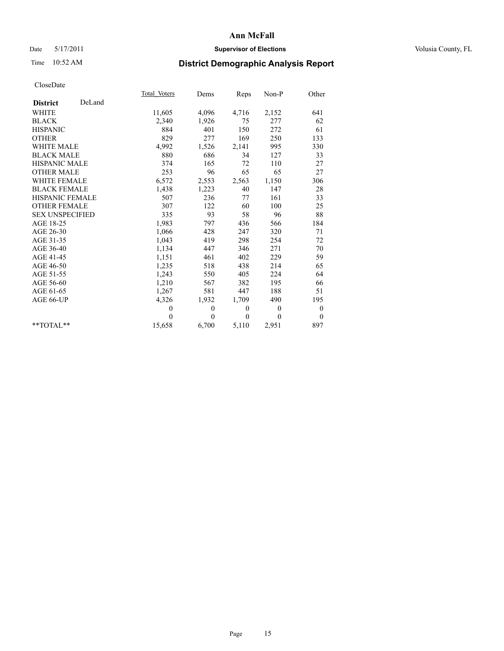## Date 5/17/2011 **Supervisor of Elections Supervisor of Elections** Volusia County, FL

# Time 10:52 AM **District Demographic Analysis Report**

|                           | Total Voters | Dems         | Reps         | $Non-P$        | Other            |
|---------------------------|--------------|--------------|--------------|----------------|------------------|
| DeLand<br><b>District</b> |              |              |              |                |                  |
| <b>WHITE</b>              | 11,605       | 4,096        | 4,716        | 2,152          | 641              |
| <b>BLACK</b>              | 2,340        | 1,926        | 75           | 277            | 62               |
| <b>HISPANIC</b>           | 884          | 401          | 150          | 272            | 61               |
| <b>OTHER</b>              | 829          | 277          | 169          | 250            | 133              |
| <b>WHITE MALE</b>         | 4,992        | 1,526        | 2,141        | 995            | 330              |
| <b>BLACK MALE</b>         | 880          | 686          | 34           | 127            | 33               |
| <b>HISPANIC MALE</b>      | 374          | 165          | 72           | 110            | 27               |
| <b>OTHER MALE</b>         | 253          | 96           | 65           | 65             | 27               |
| WHITE FEMALE              | 6,572        | 2,553        | 2,563        | 1,150          | 306              |
| <b>BLACK FEMALE</b>       | 1,438        | 1,223        | 40           | 147            | 28               |
| HISPANIC FEMALE           | 507          | 236          | 77           | 161            | 33               |
| <b>OTHER FEMALE</b>       | 307          | 122          | 60           | 100            | 25               |
| <b>SEX UNSPECIFIED</b>    | 335          | 93           | 58           | 96             | 88               |
| AGE 18-25                 | 1,983        | 797          | 436          | 566            | 184              |
| AGE 26-30                 | 1,066        | 428          | 247          | 320            | 71               |
| AGE 31-35                 | 1,043        | 419          | 298          | 254            | 72               |
| AGE 36-40                 | 1,134        | 447          | 346          | 271            | 70               |
| AGE 41-45                 | 1,151        | 461          | 402          | 229            | 59               |
| AGE 46-50                 | 1,235        | 518          | 438          | 214            | 65               |
| AGE 51-55                 | 1,243        | 550          | 405          | 224            | 64               |
| AGE 56-60                 | 1,210        | 567          | 382          | 195            | 66               |
| AGE 61-65                 | 1,267        | 581          | 447          | 188            | 51               |
| AGE 66-UP                 | 4,326        | 1,932        | 1,709        | 490            | 195              |
|                           | $\theta$     | $\mathbf{0}$ | $\mathbf{0}$ | $\overline{0}$ | $\boldsymbol{0}$ |
|                           | $\Omega$     | $\theta$     | $\theta$     | $\theta$       | $\theta$         |
| $**TOTAI**$               | 15,658       | 6,700        | 5,110        | 2,951          | 897              |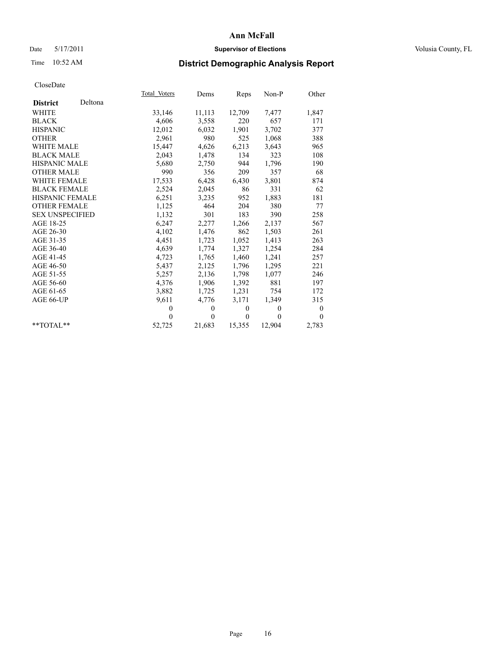## Date 5/17/2011 **Supervisor of Elections Supervisor of Elections** Volusia County, FL

# Time 10:52 AM **District Demographic Analysis Report**

|                        |         | Total Voters | Dems         | Reps             | Non-P        | Other            |
|------------------------|---------|--------------|--------------|------------------|--------------|------------------|
| <b>District</b>        | Deltona |              |              |                  |              |                  |
| WHITE                  |         | 33,146       | 11,113       | 12,709           | 7,477        | 1,847            |
| <b>BLACK</b>           |         | 4,606        | 3,558        | 220              | 657          | 171              |
| <b>HISPANIC</b>        |         | 12,012       | 6,032        | 1,901            | 3,702        | 377              |
| <b>OTHER</b>           |         | 2,961        | 980          | 525              | 1,068        | 388              |
| WHITE MALE             |         | 15,447       | 4,626        | 6,213            | 3,643        | 965              |
| <b>BLACK MALE</b>      |         | 2,043        | 1,478        | 134              | 323          | 108              |
| <b>HISPANIC MALE</b>   |         | 5,680        | 2,750        | 944              | 1,796        | 190              |
| <b>OTHER MALE</b>      |         | 990          | 356          | 209              | 357          | 68               |
| <b>WHITE FEMALE</b>    |         | 17,533       | 6,428        | 6,430            | 3,801        | 874              |
| <b>BLACK FEMALE</b>    |         | 2,524        | 2,045        | 86               | 331          | 62               |
| <b>HISPANIC FEMALE</b> |         | 6,251        | 3,235        | 952              | 1,883        | 181              |
| <b>OTHER FEMALE</b>    |         | 1,125        | 464          | 204              | 380          | 77               |
| <b>SEX UNSPECIFIED</b> |         | 1,132        | 301          | 183              | 390          | 258              |
| AGE 18-25              |         | 6,247        | 2,277        | 1,266            | 2,137        | 567              |
| AGE 26-30              |         | 4,102        | 1,476        | 862              | 1,503        | 261              |
| AGE 31-35              |         | 4,451        | 1,723        | 1,052            | 1,413        | 263              |
| AGE 36-40              |         | 4,639        | 1,774        | 1,327            | 1,254        | 284              |
| AGE 41-45              |         | 4,723        | 1,765        | 1,460            | 1,241        | 257              |
| AGE 46-50              |         | 5,437        | 2,125        | 1,796            | 1,295        | 221              |
| AGE 51-55              |         | 5,257        | 2,136        | 1,798            | 1,077        | 246              |
| AGE 56-60              |         | 4,376        | 1,906        | 1,392            | 881          | 197              |
| AGE 61-65              |         | 3,882        | 1,725        | 1,231            | 754          | 172              |
| AGE 66-UP              |         | 9,611        | 4,776        | 3,171            | 1,349        | 315              |
|                        |         | $\theta$     | $\mathbf{0}$ | $\boldsymbol{0}$ | $\mathbf{0}$ | $\boldsymbol{0}$ |
|                        |         | $\theta$     | $\theta$     | $\mathbf{0}$     | $\theta$     | $\theta$         |
| $*$ $TOTAI.**$         |         | 52,725       | 21,683       | 15,355           | 12,904       | 2,783            |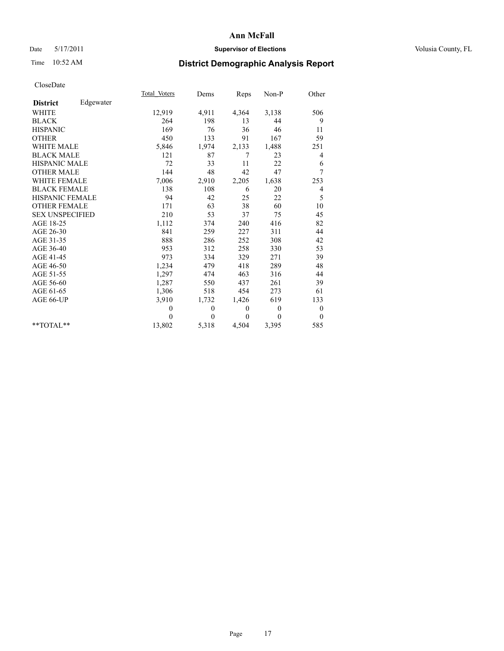## Date 5/17/2011 **Supervisor of Elections Supervisor of Elections** Volusia County, FL

# Time 10:52 AM **District Demographic Analysis Report**

|                        |           | <b>Total Voters</b> | Dems         | Reps     | $Non-P$      | Other            |
|------------------------|-----------|---------------------|--------------|----------|--------------|------------------|
| <b>District</b>        | Edgewater |                     |              |          |              |                  |
| <b>WHITE</b>           |           | 12,919              | 4,911        | 4,364    | 3,138        | 506              |
| <b>BLACK</b>           |           | 264                 | 198          | 13       | 44           | 9                |
| <b>HISPANIC</b>        |           | 169                 | 76           | 36       | 46           | 11               |
| <b>OTHER</b>           |           | 450                 | 133          | 91       | 167          | 59               |
| <b>WHITE MALE</b>      |           | 5,846               | 1,974        | 2,133    | 1,488        | 251              |
| <b>BLACK MALE</b>      |           | 121                 | 87           | 7        | 23           | $\overline{4}$   |
| <b>HISPANIC MALE</b>   |           | 72                  | 33           | 11       | 22           | 6                |
| <b>OTHER MALE</b>      |           | 144                 | 48           | 42       | 47           | 7                |
| <b>WHITE FEMALE</b>    |           | 7,006               | 2,910        | 2,205    | 1,638        | 253              |
| <b>BLACK FEMALE</b>    |           | 138                 | 108          | 6        | 20           | 4                |
| HISPANIC FEMALE        |           | 94                  | 42           | 25       | 22           | 5                |
| <b>OTHER FEMALE</b>    |           | 171                 | 63           | 38       | 60           | 10               |
| <b>SEX UNSPECIFIED</b> |           | 210                 | 53           | 37       | 75           | 45               |
| AGE 18-25              |           | 1,112               | 374          | 240      | 416          | 82               |
| AGE 26-30              |           | 841                 | 259          | 227      | 311          | 44               |
| AGE 31-35              |           | 888                 | 286          | 252      | 308          | 42               |
| AGE 36-40              |           | 953                 | 312          | 258      | 330          | 53               |
| AGE 41-45              |           | 973                 | 334          | 329      | 271          | 39               |
| AGE 46-50              |           | 1,234               | 479          | 418      | 289          | 48               |
| AGE 51-55              |           | 1,297               | 474          | 463      | 316          | 44               |
| AGE 56-60              |           | 1,287               | 550          | 437      | 261          | 39               |
| AGE 61-65              |           | 1,306               | 518          | 454      | 273          | 61               |
| AGE 66-UP              |           | 3,910               | 1,732        | 1,426    | 619          | 133              |
|                        |           | $\mathbf{0}$        | $\mathbf{0}$ | $\theta$ | $\mathbf{0}$ | $\boldsymbol{0}$ |
|                        |           | $\Omega$            | $\theta$     | $\theta$ | $\theta$     | $\theta$         |
| $*$ $TOTAI.**$         |           | 13,802              | 5,318        | 4,504    | 3,395        | 585              |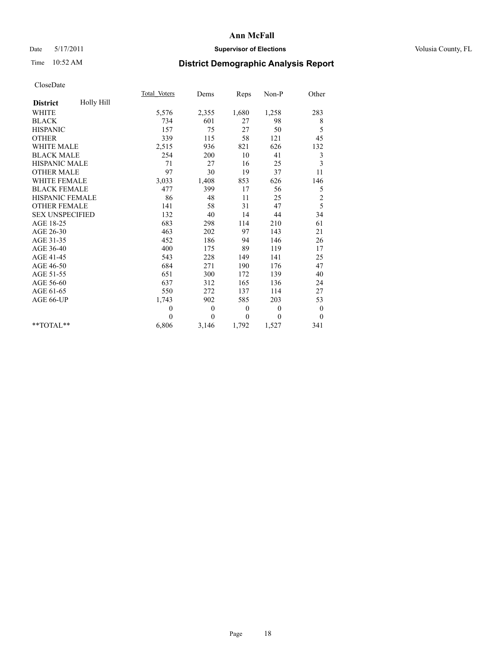## Date 5/17/2011 **Supervisor of Elections Supervisor of Elections** Volusia County, FL

# Time 10:52 AM **District Demographic Analysis Report**

|                               | Total Voters     | Dems     | Reps             | Non-P    | Other            |  |
|-------------------------------|------------------|----------|------------------|----------|------------------|--|
| Holly Hill<br><b>District</b> |                  |          |                  |          |                  |  |
| <b>WHITE</b>                  | 5,576            | 2,355    | 1,680            | 1,258    | 283              |  |
| <b>BLACK</b>                  | 734              | 601      | 27               | 98       | 8                |  |
| <b>HISPANIC</b>               | 157              | 75       | 27               | 50       | 5                |  |
| <b>OTHER</b>                  | 339              | 115      | 58               | 121      | 45               |  |
| <b>WHITE MALE</b>             | 2,515            | 936      | 821              | 626      | 132              |  |
| <b>BLACK MALE</b>             | 254              | 200      | 10               | 41       | 3                |  |
| <b>HISPANIC MALE</b>          | 71               | 27       | 16               | 25       | 3                |  |
| <b>OTHER MALE</b>             | 97               | 30       | 19               | 37       | 11               |  |
| <b>WHITE FEMALE</b>           | 3,033            | 1,408    | 853              | 626      | 146              |  |
| <b>BLACK FEMALE</b>           | 477              | 399      | 17               | 56       | 5                |  |
| <b>HISPANIC FEMALE</b>        | 86               | 48       | 11               | 25       | $\overline{c}$   |  |
| <b>OTHER FEMALE</b>           | 141              | 58       | 31               | 47       | 5                |  |
| <b>SEX UNSPECIFIED</b>        | 132              | 40       | 14               | 44       | 34               |  |
| AGE 18-25                     | 683              | 298      | 114              | 210      | 61               |  |
| AGE 26-30                     | 463              | 202      | 97               | 143      | 21               |  |
| AGE 31-35                     | 452              | 186      | 94               | 146      | 26               |  |
| AGE 36-40                     | 400              | 175      | 89               | 119      | 17               |  |
| AGE 41-45                     | 543              | 228      | 149              | 141      | 25               |  |
| AGE 46-50                     | 684              | 271      | 190              | 176      | 47               |  |
| AGE 51-55                     | 651              | 300      | 172              | 139      | 40               |  |
| AGE 56-60                     | 637              | 312      | 165              | 136      | 24               |  |
| AGE 61-65                     | 550              | 272      | 137              | 114      | 27               |  |
| AGE 66-UP                     | 1,743            | 902      | 585              | 203      | 53               |  |
|                               | $\boldsymbol{0}$ | $\theta$ | $\boldsymbol{0}$ | $\theta$ | $\boldsymbol{0}$ |  |
|                               | $\theta$         | $\theta$ | $\mathbf{0}$     | $\theta$ | $\theta$         |  |
| $*$ $TOTAI.**$                | 6,806            | 3,146    | 1,792            | 1,527    | 341              |  |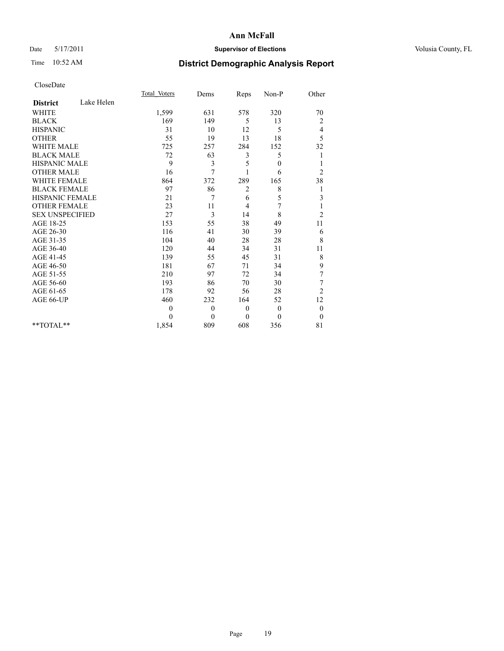## Date 5/17/2011 **Supervisor of Elections Supervisor of Elections** Volusia County, FL

# Time 10:52 AM **District Demographic Analysis Report**

|                        |            | Total Voters | Dems         | Reps     | Non-P        | Other            |  |
|------------------------|------------|--------------|--------------|----------|--------------|------------------|--|
| <b>District</b>        | Lake Helen |              |              |          |              |                  |  |
| <b>WHITE</b>           |            | 1,599        | 631          | 578      | 320          | 70               |  |
| <b>BLACK</b>           |            | 169          | 149          | 5        | 13           | 2                |  |
| <b>HISPANIC</b>        |            | 31           | 10           | 12       | 5            | 4                |  |
| <b>OTHER</b>           |            | 55           | 19           | 13       | 18           | 5                |  |
| <b>WHITE MALE</b>      |            | 725          | 257          | 284      | 152          | 32               |  |
| <b>BLACK MALE</b>      |            | 72           | 63           | 3        | 5            | 1                |  |
| <b>HISPANIC MALE</b>   |            | 9            | 3            | 5        | $\mathbf{0}$ |                  |  |
| <b>OTHER MALE</b>      |            | 16           | 7            |          | 6            | $\overline{c}$   |  |
| <b>WHITE FEMALE</b>    |            | 864          | 372          | 289      | 165          | 38               |  |
| <b>BLACK FEMALE</b>    |            | 97           | 86           | 2        | 8            | 1                |  |
| HISPANIC FEMALE        |            | 21           | 7            | 6        | 5            | 3                |  |
| <b>OTHER FEMALE</b>    |            | 23           | 11           | 4        | 7            | 1                |  |
| <b>SEX UNSPECIFIED</b> |            | 27           | 3            | 14       | 8            | $\overline{c}$   |  |
| AGE 18-25              |            | 153          | 55           | 38       | 49           | 11               |  |
| AGE 26-30              |            | 116          | 41           | 30       | 39           | 6                |  |
| AGE 31-35              |            | 104          | 40           | 28       | 28           | $\,$ 8 $\,$      |  |
| AGE 36-40              |            | 120          | 44           | 34       | 31           | 11               |  |
| AGE 41-45              |            | 139          | 55           | 45       | 31           | 8                |  |
| AGE 46-50              |            | 181          | 67           | 71       | 34           | 9                |  |
| AGE 51-55              |            | 210          | 97           | 72       | 34           | 7                |  |
| AGE 56-60              |            | 193          | 86           | 70       | 30           | 7                |  |
| AGE 61-65              |            | 178          | 92           | 56       | 28           | $\overline{c}$   |  |
| AGE 66-UP              |            | 460          | 232          | 164      | 52           | 12               |  |
|                        |            | $\theta$     | $\mathbf{0}$ | $\theta$ | $\mathbf{0}$ | $\boldsymbol{0}$ |  |
|                        |            | $\theta$     | $\theta$     | $\theta$ | $\theta$     | $\boldsymbol{0}$ |  |
| $*$ $TOTAI.**$         |            | 1,854        | 809          | 608      | 356          | 81               |  |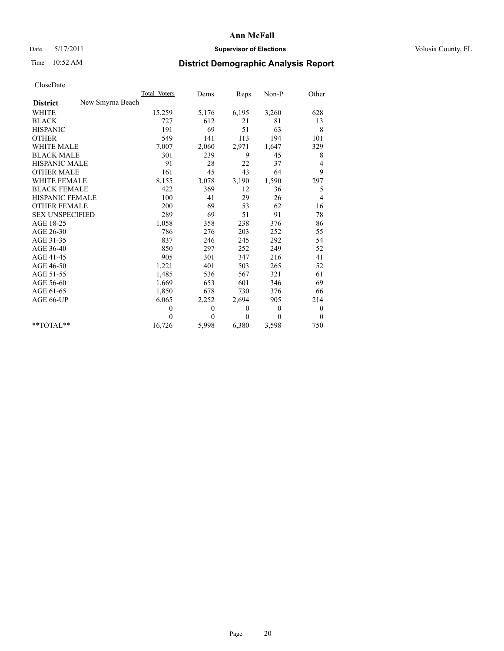## Date 5/17/2011 **Supervisor of Elections Supervisor of Elections** Volusia County, FL

# Time 10:52 AM **District Demographic Analysis Report**

|                                     | Total Voters | Dems         | Reps         | $Non-P$  | Other            |
|-------------------------------------|--------------|--------------|--------------|----------|------------------|
| New Smyrna Beach<br><b>District</b> |              |              |              |          |                  |
| <b>WHITE</b>                        | 15,259       | 5,176        | 6,195        | 3,260    | 628              |
| <b>BLACK</b>                        | 727          | 612          | 21           | 81       | 13               |
| <b>HISPANIC</b>                     | 191          | 69           | 51           | 63       | 8                |
| <b>OTHER</b>                        | 549          | 141          | 113          | 194      | 101              |
| <b>WHITE MALE</b>                   | 7,007        | 2,060        | 2,971        | 1,647    | 329              |
| <b>BLACK MALE</b>                   | 301          | 239          | 9            | 45       | 8                |
| <b>HISPANIC MALE</b>                | 91           | 28           | 22           | 37       | 4                |
| <b>OTHER MALE</b>                   | 161          | 45           | 43           | 64       | 9                |
| <b>WHITE FEMALE</b>                 | 8,155        | 3,078        | 3,190        | 1,590    | 297              |
| <b>BLACK FEMALE</b>                 | 422          | 369          | 12           | 36       | 5                |
| HISPANIC FEMALE                     | 100          | 41           | 29           | 26       | 4                |
| <b>OTHER FEMALE</b>                 | 200          | 69           | 53           | 62       | 16               |
| <b>SEX UNSPECIFIED</b>              | 289          | 69           | 51           | 91       | 78               |
| AGE 18-25                           | 1,058        | 358          | 238          | 376      | 86               |
| AGE 26-30                           | 786          | 276          | 203          | 252      | 55               |
| AGE 31-35                           | 837          | 246          | 245          | 292      | 54               |
| AGE 36-40                           | 850          | 297          | 252          | 249      | 52               |
| AGE 41-45                           | 905          | 301          | 347          | 216      | 41               |
| AGE 46-50                           | 1,221        | 401          | 503          | 265      | 52               |
| AGE 51-55                           | 1,485        | 536          | 567          | 321      | 61               |
| AGE 56-60                           | 1,669        | 653          | 601          | 346      | 69               |
| AGE 61-65                           | 1,850        | 678          | 730          | 376      | 66               |
| AGE 66-UP                           | 6,065        | 2,252        | 2,694        | 905      | 214              |
|                                     | $\theta$     | $\mathbf{0}$ | $\mathbf{0}$ | $\Omega$ | $\boldsymbol{0}$ |
|                                     | $\theta$     | $\theta$     | $\theta$     | $\theta$ | $\theta$         |
| $*$ $TOTAI.**$                      | 16,726       | 5,998        | 6,380        | 3,598    | 750              |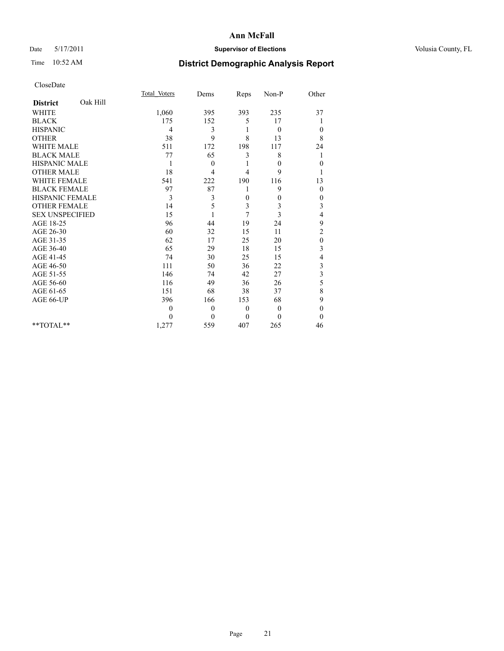## Date 5/17/2011 **Supervisor of Elections Supervisor of Elections** Volusia County, FL

# Time 10:52 AM **District Demographic Analysis Report**

|                             | Total Voters | Dems         | Reps           | Non-P        | Other                   |
|-----------------------------|--------------|--------------|----------------|--------------|-------------------------|
| Oak Hill<br><b>District</b> |              |              |                |              |                         |
| <b>WHITE</b>                | 1,060        | 395          | 393            | 235          | 37                      |
| <b>BLACK</b>                | 175          | 152          | 5              | 17           |                         |
| <b>HISPANIC</b>             | 4            | 3            |                | $\mathbf{0}$ | $\mathbf{0}$            |
| <b>OTHER</b>                | 38           | 9            | 8              | 13           | 8                       |
| <b>WHITE MALE</b>           | 511          | 172          | 198            | 117          | 24                      |
| <b>BLACK MALE</b>           | 77           | 65           | 3              | 8            | 1                       |
| <b>HISPANIC MALE</b>        | 1            | $\mathbf{0}$ |                | $\theta$     | $\boldsymbol{0}$        |
| <b>OTHER MALE</b>           | 18           | 4            | $\overline{4}$ | 9            |                         |
| <b>WHITE FEMALE</b>         | 541          | 222          | 190            | 116          | 13                      |
| <b>BLACK FEMALE</b>         | 97           | 87           |                | 9            | $\boldsymbol{0}$        |
| HISPANIC FEMALE             | 3            | 3            | $\mathbf{0}$   | $\theta$     | 0                       |
| <b>OTHER FEMALE</b>         | 14           | 5            | 3              | 3            | 3                       |
| <b>SEX UNSPECIFIED</b>      | 15           |              | 7              | 3            | 4                       |
| AGE 18-25                   | 96           | 44           | 19             | 24           | 9                       |
| AGE 26-30                   | 60           | 32           | 15             | 11           | $\overline{c}$          |
| AGE 31-35                   | 62           | 17           | 25             | 20           | $\boldsymbol{0}$        |
| AGE 36-40                   | 65           | 29           | 18             | 15           | 3                       |
| AGE 41-45                   | 74           | 30           | 25             | 15           | 4                       |
| AGE 46-50                   | 111          | 50           | 36             | 22           | 3                       |
| AGE 51-55                   | 146          | 74           | 42             | 27           | $\overline{\mathbf{3}}$ |
| AGE 56-60                   | 116          | 49           | 36             | 26           | 5                       |
| AGE 61-65                   | 151          | 68           | 38             | 37           | 8                       |
| AGE 66-UP                   | 396          | 166          | 153            | 68           | 9                       |
|                             | 0            | $\theta$     | $\mathbf{0}$   | $\theta$     | $\mathbf{0}$            |
|                             | $\theta$     | $\theta$     | $\mathbf{0}$   | $\Omega$     | $\theta$                |
| $*$ TOTAL $*$               | 1,277        | 559          | 407            | 265          | 46                      |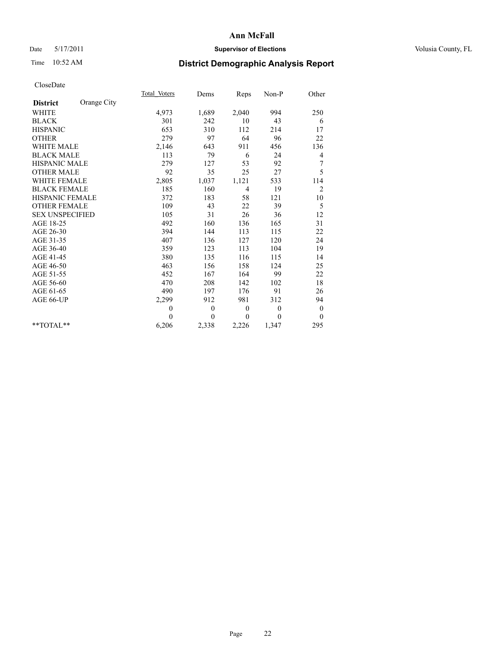## Date 5/17/2011 **Supervisor of Elections Supervisor of Elections** Volusia County, FL

# Time 10:52 AM **District Demographic Analysis Report**

|                        |             | Total Voters | Dems         | Reps           | $Non-P$  | Other            |  |
|------------------------|-------------|--------------|--------------|----------------|----------|------------------|--|
| <b>District</b>        | Orange City |              |              |                |          |                  |  |
| <b>WHITE</b>           |             | 4,973        | 1,689        | 2,040          | 994      | 250              |  |
| <b>BLACK</b>           |             | 301          | 242          | 10             | 43       | 6                |  |
| <b>HISPANIC</b>        |             | 653          | 310          | 112            | 214      | 17               |  |
| <b>OTHER</b>           |             | 279          | 97           | 64             | 96       | 22               |  |
| <b>WHITE MALE</b>      |             | 2,146        | 643          | 911            | 456      | 136              |  |
| <b>BLACK MALE</b>      |             | 113          | 79           | 6              | 24       | 4                |  |
| <b>HISPANIC MALE</b>   |             | 279          | 127          | 53             | 92       | 7                |  |
| <b>OTHER MALE</b>      |             | 92           | 35           | 25             | 27       | 5                |  |
| WHITE FEMALE           |             | 2,805        | 1,037        | 1,121          | 533      | 114              |  |
| <b>BLACK FEMALE</b>    |             | 185          | 160          | $\overline{4}$ | 19       | $\overline{2}$   |  |
| <b>HISPANIC FEMALE</b> |             | 372          | 183          | 58             | 121      | 10               |  |
| <b>OTHER FEMALE</b>    |             | 109          | 43           | 22             | 39       | 5                |  |
| <b>SEX UNSPECIFIED</b> |             | 105          | 31           | 26             | 36       | 12               |  |
| AGE 18-25              |             | 492          | 160          | 136            | 165      | 31               |  |
| AGE 26-30              |             | 394          | 144          | 113            | 115      | 22               |  |
| AGE 31-35              |             | 407          | 136          | 127            | 120      | 24               |  |
| AGE 36-40              |             | 359          | 123          | 113            | 104      | 19               |  |
| AGE 41-45              |             | 380          | 135          | 116            | 115      | 14               |  |
| AGE 46-50              |             | 463          | 156          | 158            | 124      | 25               |  |
| AGE 51-55              |             | 452          | 167          | 164            | 99       | 22               |  |
| AGE 56-60              |             | 470          | 208          | 142            | 102      | 18               |  |
| AGE 61-65              |             | 490          | 197          | 176            | 91       | 26               |  |
| AGE 66-UP              |             | 2,299        | 912          | 981            | 312      | 94               |  |
|                        |             | $\theta$     | $\mathbf{0}$ | $\theta$       | $\theta$ | $\boldsymbol{0}$ |  |
|                        |             | $\theta$     | $\theta$     | $\theta$       | $\theta$ | $\theta$         |  |
| $*$ $TOTAI.**$         |             | 6,206        | 2,338        | 2,226          | 1,347    | 295              |  |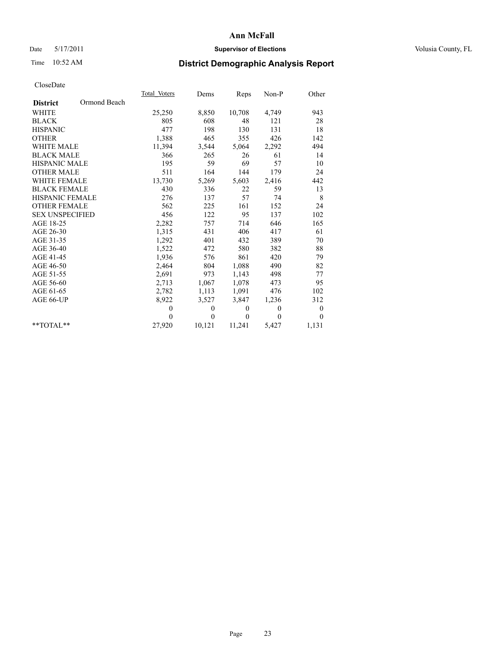## Date 5/17/2011 **Supervisor of Elections Supervisor of Elections** Volusia County, FL

# Time 10:52 AM **District Demographic Analysis Report**

|                        |              | Total Voters | Dems         | Reps         | Non-P        | Other            |  |
|------------------------|--------------|--------------|--------------|--------------|--------------|------------------|--|
| <b>District</b>        | Ormond Beach |              |              |              |              |                  |  |
| <b>WHITE</b>           |              | 25,250       | 8,850        | 10,708       | 4,749        | 943              |  |
| <b>BLACK</b>           |              | 805          | 608          | 48           | 121          | 28               |  |
| <b>HISPANIC</b>        |              | 477          | 198          | 130          | 131          | 18               |  |
| <b>OTHER</b>           |              | 1,388        | 465          | 355          | 426          | 142              |  |
| WHITE MALE             |              | 11,394       | 3,544        | 5,064        | 2,292        | 494              |  |
| <b>BLACK MALE</b>      |              | 366          | 265          | 26           | 61           | 14               |  |
| <b>HISPANIC MALE</b>   |              | 195          | 59           | 69           | 57           | 10               |  |
| <b>OTHER MALE</b>      |              | 511          | 164          | 144          | 179          | 24               |  |
| <b>WHITE FEMALE</b>    |              | 13,730       | 5,269        | 5,603        | 2,416        | 442              |  |
| <b>BLACK FEMALE</b>    |              | 430          | 336          | 22           | 59           | 13               |  |
| <b>HISPANIC FEMALE</b> |              | 276          | 137          | 57           | 74           | 8                |  |
| <b>OTHER FEMALE</b>    |              | 562          | 225          | 161          | 152          | 24               |  |
| <b>SEX UNSPECIFIED</b> |              | 456          | 122          | 95           | 137          | 102              |  |
| AGE 18-25              |              | 2,282        | 757          | 714          | 646          | 165              |  |
| AGE 26-30              |              | 1,315        | 431          | 406          | 417          | 61               |  |
| AGE 31-35              |              | 1,292        | 401          | 432          | 389          | 70               |  |
| AGE 36-40              |              | 1,522        | 472          | 580          | 382          | 88               |  |
| AGE 41-45              |              | 1,936        | 576          | 861          | 420          | 79               |  |
| AGE 46-50              |              | 2,464        | 804          | 1,088        | 490          | 82               |  |
| AGE 51-55              |              | 2,691        | 973          | 1,143        | 498          | 77               |  |
| AGE 56-60              |              | 2,713        | 1,067        | 1,078        | 473          | 95               |  |
| AGE 61-65              |              | 2,782        | 1,113        | 1,091        | 476          | 102              |  |
| AGE 66-UP              |              | 8,922        | 3,527        | 3,847        | 1,236        | 312              |  |
|                        |              | $\mathbf{0}$ | $\mathbf{0}$ | $\mathbf{0}$ | $\mathbf{0}$ | $\boldsymbol{0}$ |  |
|                        |              | $\theta$     | $\theta$     | $\mathbf{0}$ | $\theta$     | $\theta$         |  |
| $*$ $TOTAI.**$         |              | 27,920       | 10,121       | 11,241       | 5,427        | 1,131            |  |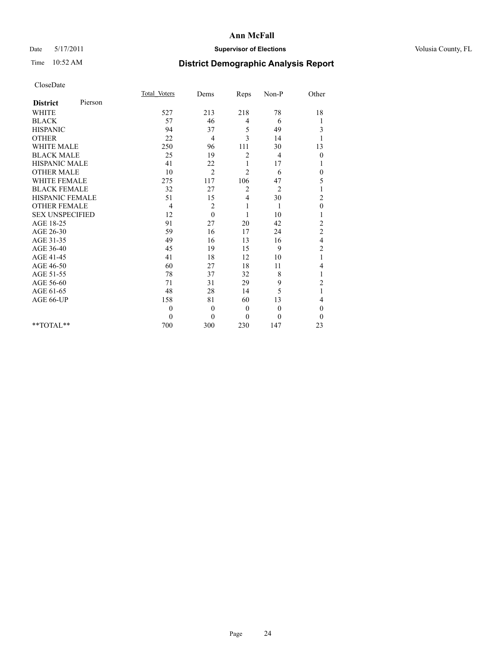## Date 5/17/2011 **Supervisor of Elections Supervisor of Elections** Volusia County, FL

# Time 10:52 AM **District Demographic Analysis Report**

|                        |         | Total Voters | Dems           | Reps           | Non-P          | Other                   |  |
|------------------------|---------|--------------|----------------|----------------|----------------|-------------------------|--|
| <b>District</b>        | Pierson |              |                |                |                |                         |  |
| <b>WHITE</b>           |         | 527          | 213            | 218            | 78             | 18                      |  |
| <b>BLACK</b>           |         | 57           | 46             | 4              | 6              | 1                       |  |
| <b>HISPANIC</b>        |         | 94           | 37             | 5              | 49             | 3                       |  |
| <b>OTHER</b>           |         | 22           | $\overline{4}$ | 3              | 14             |                         |  |
| <b>WHITE MALE</b>      |         | 250          | 96             | 111            | 30             | 13                      |  |
| <b>BLACK MALE</b>      |         | 25           | 19             | $\overline{c}$ | 4              | $\theta$                |  |
| <b>HISPANIC MALE</b>   |         | 41           | 22             | 1              | 17             | 1                       |  |
| <b>OTHER MALE</b>      |         | 10           | $\overline{2}$ | $\overline{2}$ | 6              | $\boldsymbol{0}$        |  |
| <b>WHITE FEMALE</b>    |         | 275          | 117            | 106            | 47             | 5                       |  |
| <b>BLACK FEMALE</b>    |         | 32           | 27             | $\overline{2}$ | $\overline{2}$ |                         |  |
| HISPANIC FEMALE        |         | 51           | 15             | 4              | 30             | $\overline{c}$          |  |
| <b>OTHER FEMALE</b>    |         | 4            | 2              | 1              | 1              | $\mathbf{0}$            |  |
| <b>SEX UNSPECIFIED</b> |         | 12           | $\Omega$       | $\mathbf{1}$   | 10             |                         |  |
| AGE 18-25              |         | 91           | 27             | 20             | 42             | $\overline{c}$          |  |
| AGE 26-30              |         | 59           | 16             | 17             | 24             | $\overline{c}$          |  |
| AGE 31-35              |         | 49           | 16             | 13             | 16             | $\overline{\mathbf{4}}$ |  |
| AGE 36-40              |         | 45           | 19             | 15             | 9              | $\overline{c}$          |  |
| AGE 41-45              |         | 41           | 18             | 12             | 10             | 1                       |  |
| AGE 46-50              |         | 60           | 27             | 18             | 11             | 4                       |  |
| AGE 51-55              |         | 78           | 37             | 32             | 8              | 1                       |  |
| AGE 56-60              |         | 71           | 31             | 29             | 9              | $\overline{c}$          |  |
| AGE 61-65              |         | 48           | 28             | 14             | 5              | $\mathbf{1}$            |  |
| AGE 66-UP              |         | 158          | 81             | 60             | 13             | 4                       |  |
|                        |         | $\mathbf{0}$ | $\overline{0}$ | $\mathbf{0}$   | $\overline{0}$ | $\theta$                |  |
|                        |         | $\theta$     | $\theta$       | $\theta$       | $\theta$       | $\theta$                |  |
| $*$ $TOTAI.**$         |         | 700          | 300            | 230            | 147            | 23                      |  |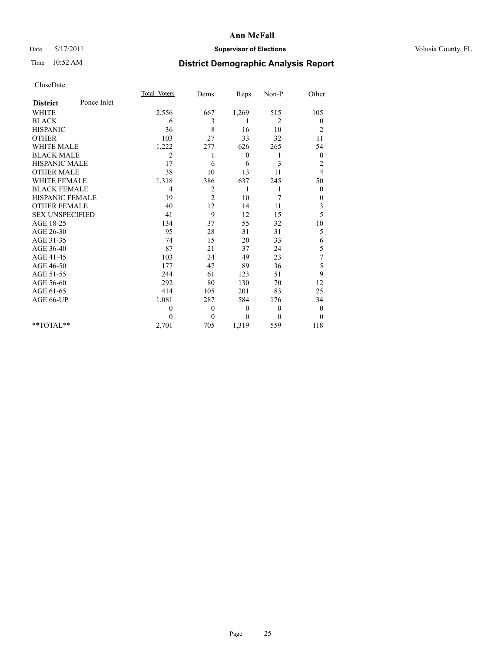## Date 5/17/2011 **Supervisor of Elections Supervisor of Elections** Volusia County, FL

# Time 10:52 AM **District Demographic Analysis Report**

|                        |             | Total Voters | Dems           | Reps         | Non-P          | Other            |
|------------------------|-------------|--------------|----------------|--------------|----------------|------------------|
| <b>District</b>        | Ponce Inlet |              |                |              |                |                  |
| <b>WHITE</b>           |             | 2,556        | 667            | 1,269        | 515            | 105              |
| <b>BLACK</b>           |             | 6            | 3              |              | 2              | $\boldsymbol{0}$ |
| <b>HISPANIC</b>        |             | 36           | 8              | 16           | 10             | $\overline{c}$   |
| <b>OTHER</b>           |             | 103          | 27             | 33           | 32             | 11               |
| <b>WHITE MALE</b>      |             | 1,222        | 277            | 626          | 265            | 54               |
| <b>BLACK MALE</b>      |             | 2            | 1              | $\mathbf{0}$ | 1              | $\boldsymbol{0}$ |
| HISPANIC MALE          |             | 17           | 6              | 6            | 3              | $\overline{c}$   |
| <b>OTHER MALE</b>      |             | 38           | 10             | 13           | 11             | 4                |
| WHITE FEMALE           |             | 1,318        | 386            | 637          | 245            | 50               |
| <b>BLACK FEMALE</b>    |             | 4            | $\overline{c}$ | 1            | 1              | $\theta$         |
| HISPANIC FEMALE        |             | 19           | 2              | 10           | 7              | 0                |
| <b>OTHER FEMALE</b>    |             | 40           | 12             | 14           | 11             | $\mathfrak{Z}$   |
| <b>SEX UNSPECIFIED</b> |             | 41           | 9              | 12           | 15             | 5                |
| AGE 18-25              |             | 134          | 37             | 55           | 32             | 10               |
| AGE 26-30              |             | 95           | 28             | 31           | 31             | 5                |
| AGE 31-35              |             | 74           | 15             | 20           | 33             | 6                |
| AGE 36-40              |             | 87           | 21             | 37           | 24             | 5                |
| AGE 41-45              |             | 103          | 24             | 49           | 23             | 7                |
| AGE 46-50              |             | 177          | 47             | 89           | 36             | 5                |
| AGE 51-55              |             | 244          | 61             | 123          | 51             | 9                |
| AGE 56-60              |             | 292          | 80             | 130          | 70             | 12               |
| AGE 61-65              |             | 414          | 105            | 201          | 83             | 25               |
| AGE 66-UP              |             | 1,081        | 287            | 584          | 176            | 34               |
|                        |             | $\theta$     | $\theta$       | $\mathbf{0}$ | $\overline{0}$ | $\boldsymbol{0}$ |
|                        |             | $\Omega$     | $\mathbf{0}$   | $\mathbf{0}$ | $\theta$       | $\theta$         |
| $*$ $TOTAI.**$         |             | 2,701        | 705            | 1,319        | 559            | 118              |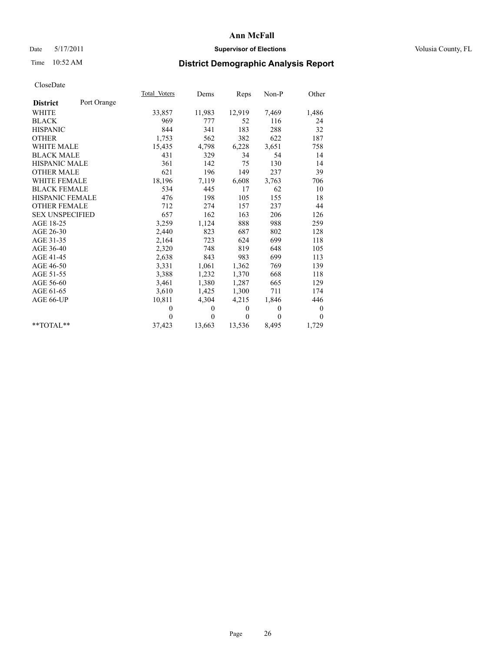## Date 5/17/2011 **Supervisor of Elections Supervisor of Elections** Volusia County, FL

# Time 10:52 AM **District Demographic Analysis Report**

|                                | Total Voters | Dems     | Reps     | $Non-P$  | Other            |
|--------------------------------|--------------|----------|----------|----------|------------------|
| Port Orange<br><b>District</b> |              |          |          |          |                  |
| <b>WHITE</b>                   | 33,857       | 11,983   | 12,919   | 7,469    | 1,486            |
| <b>BLACK</b>                   | 969          | 777      | 52       | 116      | 24               |
| <b>HISPANIC</b>                | 844          | 341      | 183      | 288      | 32               |
| <b>OTHER</b>                   | 1,753        | 562      | 382      | 622      | 187              |
| <b>WHITE MALE</b>              | 15,435       | 4,798    | 6,228    | 3,651    | 758              |
| <b>BLACK MALE</b>              | 431          | 329      | 34       | 54       | 14               |
| <b>HISPANIC MALE</b>           | 361          | 142      | 75       | 130      | 14               |
| <b>OTHER MALE</b>              | 621          | 196      | 149      | 237      | 39               |
| <b>WHITE FEMALE</b>            | 18,196       | 7,119    | 6,608    | 3.763    | 706              |
| <b>BLACK FEMALE</b>            | 534          | 445      | 17       | 62       | 10               |
| HISPANIC FEMALE                | 476          | 198      | 105      | 155      | 18               |
| <b>OTHER FEMALE</b>            | 712          | 274      | 157      | 237      | 44               |
| <b>SEX UNSPECIFIED</b>         | 657          | 162      | 163      | 206      | 126              |
| AGE 18-25                      | 3,259        | 1,124    | 888      | 988      | 259              |
| AGE 26-30                      | 2,440        | 823      | 687      | 802      | 128              |
| AGE 31-35                      | 2,164        | 723      | 624      | 699      | 118              |
| AGE 36-40                      | 2,320        | 748      | 819      | 648      | 105              |
| AGE 41-45                      | 2,638        | 843      | 983      | 699      | 113              |
| AGE 46-50                      | 3,331        | 1,061    | 1,362    | 769      | 139              |
| AGE 51-55                      | 3,388        | 1,232    | 1,370    | 668      | 118              |
| AGE 56-60                      | 3,461        | 1,380    | 1,287    | 665      | 129              |
| AGE 61-65                      | 3,610        | 1,425    | 1,300    | 711      | 174              |
| AGE 66-UP                      | 10,811       | 4,304    | 4,215    | 1,846    | 446              |
|                                | $\theta$     | $\theta$ | $\theta$ | $\theta$ | $\boldsymbol{0}$ |
|                                | $\Omega$     | $\theta$ | $\theta$ | $\theta$ | $\theta$         |
| $*$ $TOTAI.**$                 | 37,423       | 13,663   | 13,536   | 8,495    | 1,729            |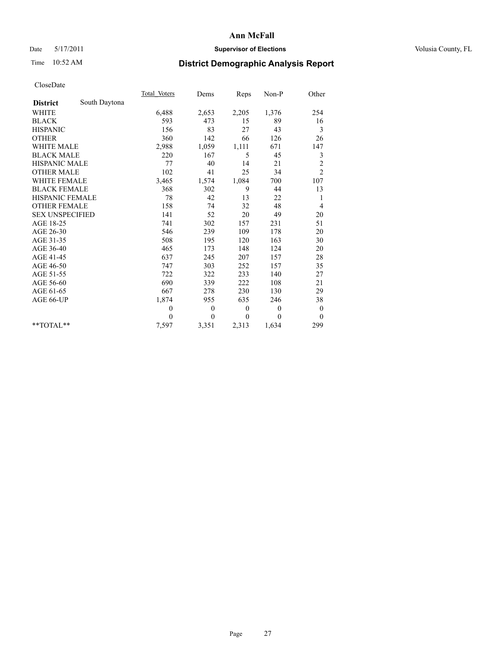## Date 5/17/2011 **Supervisor of Elections Supervisor of Elections** Volusia County, FL

# Time 10:52 AM **District Demographic Analysis Report**

|                        |               | <b>Total Voters</b> | Dems     | Reps         | $Non-P$  | Other            |
|------------------------|---------------|---------------------|----------|--------------|----------|------------------|
| <b>District</b>        | South Daytona |                     |          |              |          |                  |
| <b>WHITE</b>           |               | 6,488               | 2,653    | 2,205        | 1,376    | 254              |
| <b>BLACK</b>           |               | 593                 | 473      | 15           | 89       | 16               |
| <b>HISPANIC</b>        |               | 156                 | 83       | 27           | 43       | 3                |
| <b>OTHER</b>           |               | 360                 | 142      | 66           | 126      | 26               |
| <b>WHITE MALE</b>      |               | 2,988               | 1,059    | 1,111        | 671      | 147              |
| <b>BLACK MALE</b>      |               | 220                 | 167      | 5            | 45       | 3                |
| <b>HISPANIC MALE</b>   |               | 77                  | 40       | 14           | 21       | $\overline{c}$   |
| <b>OTHER MALE</b>      |               | 102                 | 41       | 25           | 34       | $\overline{2}$   |
| WHITE FEMALE           |               | 3,465               | 1,574    | 1,084        | 700      | 107              |
| <b>BLACK FEMALE</b>    |               | 368                 | 302      | 9            | 44       | 13               |
| HISPANIC FEMALE        |               | 78                  | 42       | 13           | 22       | 1                |
| <b>OTHER FEMALE</b>    |               | 158                 | 74       | 32           | 48       | 4                |
| <b>SEX UNSPECIFIED</b> |               | 141                 | 52       | 20           | 49       | 20               |
| AGE 18-25              |               | 741                 | 302      | 157          | 231      | 51               |
| AGE 26-30              |               | 546                 | 239      | 109          | 178      | 20               |
| AGE 31-35              |               | 508                 | 195      | 120          | 163      | 30               |
| AGE 36-40              |               | 465                 | 173      | 148          | 124      | 20               |
| AGE 41-45              |               | 637                 | 245      | 207          | 157      | $28\,$           |
| AGE 46-50              |               | 747                 | 303      | 252          | 157      | 35               |
| AGE 51-55              |               | 722                 | 322      | 233          | 140      | 27               |
| AGE 56-60              |               | 690                 | 339      | 222          | 108      | 21               |
| AGE 61-65              |               | 667                 | 278      | 230          | 130      | 29               |
| AGE 66-UP              |               | 1,874               | 955      | 635          | 246      | 38               |
|                        |               | $\mathbf{0}$        | $\theta$ | $\theta$     | $\theta$ | $\boldsymbol{0}$ |
|                        |               | $\theta$            | $\theta$ | $\mathbf{0}$ | $\theta$ | $\theta$         |
| $*$ $TOTAI.**$         |               | 7,597               | 3,351    | 2,313        | 1,634    | 299              |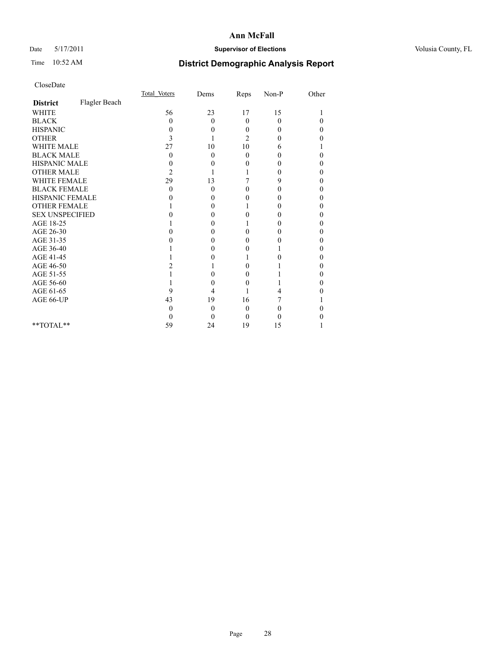## Date 5/17/2011 **Supervisor of Elections Supervisor of Elections** Volusia County, FL

# Time 10:52 AM **District Demographic Analysis Report**

|                        |               | Total Voters | Dems     | Reps     | $Non-P$  | Other    |  |
|------------------------|---------------|--------------|----------|----------|----------|----------|--|
| <b>District</b>        | Flagler Beach |              |          |          |          |          |  |
| <b>WHITE</b>           |               | 56           | 23       | 17       | 15       |          |  |
| <b>BLACK</b>           |               | 0            | $\theta$ | $\theta$ | $\theta$ | $\theta$ |  |
| <b>HISPANIC</b>        |               | $\theta$     | $\theta$ | $\Omega$ | $\Omega$ | 0        |  |
| <b>OTHER</b>           |               | 3            |          | 2        | $\theta$ | 0        |  |
| <b>WHITE MALE</b>      |               | 27           | 10       | 10       | 6        |          |  |
| <b>BLACK MALE</b>      |               | 0            | $\theta$ | $\theta$ | $\Omega$ | 0        |  |
| HISPANIC MALE          |               | 0            | $\theta$ | 0        | 0        | 0        |  |
| <b>OTHER MALE</b>      |               | 2            |          |          | $\theta$ | 0        |  |
| WHITE FEMALE           |               | 29           | 13       |          | 9        | 0        |  |
| <b>BLACK FEMALE</b>    |               | 0            | $\theta$ | 0        | $\theta$ | 0        |  |
| HISPANIC FEMALE        |               |              | 0        | 0        | $\theta$ | 0        |  |
| <b>OTHER FEMALE</b>    |               |              | 0        |          | 0        | 0        |  |
| <b>SEX UNSPECIFIED</b> |               |              | 0        | 0        | $\theta$ | 0        |  |
| AGE 18-25              |               |              | 0        |          | 0        | 0        |  |
| AGE 26-30              |               |              | 0        | 0        | 0        | 0        |  |
| AGE 31-35              |               |              | 0        | 0        | $\theta$ | 0        |  |
| AGE 36-40              |               |              | 0        | 0        |          | 0        |  |
| AGE 41-45              |               |              | 0        |          | 0        | 0        |  |
| AGE 46-50              |               |              |          | 0        |          | 0        |  |
| AGE 51-55              |               |              | 0        | 0        |          | 0        |  |
| AGE 56-60              |               |              | 0        | 0        |          | 0        |  |
| AGE 61-65              |               | 9            | 4        |          | 4        | 0        |  |
| AGE 66-UP              |               | 43           | 19       | 16       |          |          |  |
|                        |               | 0            | $\theta$ | $\theta$ | 0        |          |  |
|                        |               |              | $\theta$ | $\Omega$ | 0        |          |  |
| $*$ $TOTAI.**$         |               | 59           | 24       | 19       | 15       |          |  |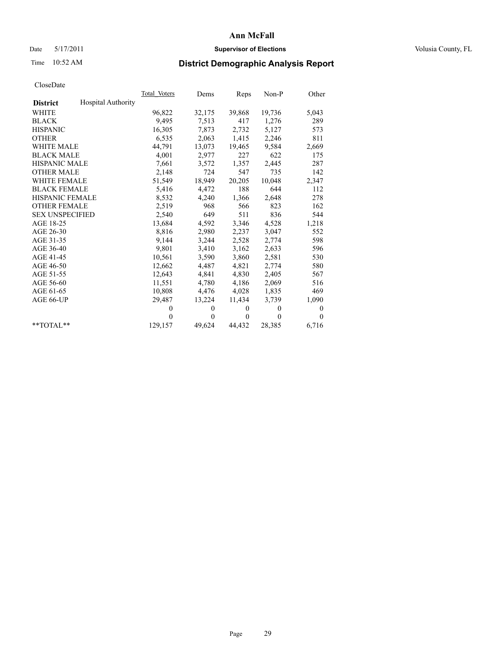## Date 5/17/2011 **Supervisor of Elections Supervisor of Elections** Volusia County, FL

# Time 10:52 AM **District Demographic Analysis Report**

|                        | Total Voters              | Dems         | Reps         | $Non-P$  | Other            |  |
|------------------------|---------------------------|--------------|--------------|----------|------------------|--|
| <b>District</b>        | <b>Hospital Authority</b> |              |              |          |                  |  |
| <b>WHITE</b>           | 96,822                    | 32,175       | 39,868       | 19,736   | 5,043            |  |
| <b>BLACK</b>           | 9,495                     | 7,513        | 417          | 1,276    | 289              |  |
| <b>HISPANIC</b>        | 16,305                    | 7.873        | 2,732        | 5,127    | 573              |  |
| <b>OTHER</b>           | 6,535                     | 2,063        | 1,415        | 2,246    | 811              |  |
| <b>WHITE MALE</b>      | 44,791                    | 13,073       | 19,465       | 9,584    | 2,669            |  |
| <b>BLACK MALE</b>      | 4,001                     | 2,977        | 227          | 622      | 175              |  |
| <b>HISPANIC MALE</b>   | 7,661                     | 3,572        | 1,357        | 2,445    | 287              |  |
| <b>OTHER MALE</b>      | 2,148                     | 724          | 547          | 735      | 142              |  |
| <b>WHITE FEMALE</b>    | 51,549                    | 18,949       | 20,205       | 10,048   | 2,347            |  |
| <b>BLACK FEMALE</b>    | 5,416                     | 4,472        | 188          | 644      | 112              |  |
| HISPANIC FEMALE        | 8,532                     | 4,240        | 1,366        | 2,648    | 278              |  |
| <b>OTHER FEMALE</b>    | 2,519                     | 968          | 566          | 823      | 162              |  |
| <b>SEX UNSPECIFIED</b> | 2,540                     | 649          | 511          | 836      | 544              |  |
| AGE 18-25              | 13,684                    | 4,592        | 3,346        | 4,528    | 1,218            |  |
| AGE 26-30              | 8,816                     | 2,980        | 2,237        | 3,047    | 552              |  |
| AGE 31-35              | 9,144                     | 3,244        | 2,528        | 2,774    | 598              |  |
| AGE 36-40              | 9,801                     | 3,410        | 3,162        | 2,633    | 596              |  |
| AGE 41-45              | 10,561                    | 3,590        | 3,860        | 2,581    | 530              |  |
| AGE 46-50              | 12,662                    | 4,487        | 4,821        | 2,774    | 580              |  |
| AGE 51-55              | 12,643                    | 4,841        | 4,830        | 2,405    | 567              |  |
| AGE 56-60              | 11,551                    | 4,780        | 4,186        | 2,069    | 516              |  |
| AGE 61-65              | 10,808                    | 4,476        | 4,028        | 1,835    | 469              |  |
| AGE 66-UP              | 29,487                    | 13,224       | 11,434       | 3,739    | 1,090            |  |
|                        | $\theta$                  | $\mathbf{0}$ | $\mathbf{0}$ | $\theta$ | $\boldsymbol{0}$ |  |
|                        | $\theta$                  | $\Omega$     | $\mathbf{0}$ | $\theta$ | $\theta$         |  |
| $*$ TOTAL $*$          | 129,157                   | 49,624       | 44,432       | 28,385   | 6,716            |  |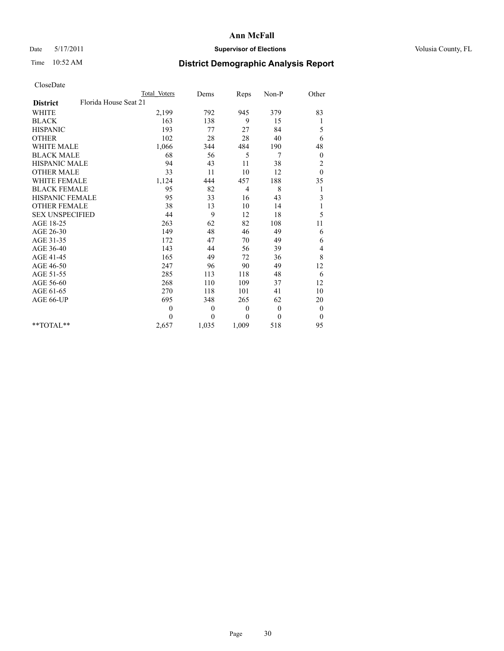## Date 5/17/2011 **Supervisor of Elections Supervisor of Elections** Volusia County, FL

# Time 10:52 AM **District Demographic Analysis Report**

|                                          | Total Voters   | Dems     | Reps     | Non-P        | Other          |  |
|------------------------------------------|----------------|----------|----------|--------------|----------------|--|
| Florida House Seat 21<br><b>District</b> |                |          |          |              |                |  |
| <b>WHITE</b>                             | 2,199          | 792      | 945      | 379          | 83             |  |
| <b>BLACK</b>                             | 163            | 138      | 9        | 15           | 1              |  |
| <b>HISPANIC</b>                          | 193            | 77       | 27       | 84           | 5              |  |
| <b>OTHER</b>                             | 102            | 28       | 28       | 40           | 6              |  |
| <b>WHITE MALE</b>                        | 1,066          | 344      | 484      | 190          | 48             |  |
| <b>BLACK MALE</b>                        | 68             | 56       | 5        | 7            | $\mathbf{0}$   |  |
| <b>HISPANIC MALE</b>                     | 94             | 43       | 11       | 38           | $\overline{c}$ |  |
| <b>OTHER MALE</b>                        | 33             | 11       | 10       | 12           | $\theta$       |  |
| <b>WHITE FEMALE</b>                      | 1,124          | 444      | 457      | 188          | 35             |  |
| <b>BLACK FEMALE</b>                      | 95             | 82       | 4        | 8            | 1              |  |
| HISPANIC FEMALE                          | 95             | 33       | 16       | 43           | $\mathfrak{Z}$ |  |
| <b>OTHER FEMALE</b>                      | 38             | 13       | 10       | 14           | 1              |  |
| <b>SEX UNSPECIFIED</b>                   | 44             | 9        | 12       | 18           | 5              |  |
| AGE 18-25                                | 263            | 62       | 82       | 108          | 11             |  |
| AGE 26-30                                | 149            | 48       | 46       | 49           | 6              |  |
| AGE 31-35                                | 172            | 47       | 70       | 49           | 6              |  |
| AGE 36-40                                | 143            | 44       | 56       | 39           | 4              |  |
| AGE 41-45                                | 165            | 49       | 72       | 36           | 8              |  |
| AGE 46-50                                | 247            | 96       | 90       | 49           | 12             |  |
| AGE 51-55                                | 285            | 113      | 118      | 48           | 6              |  |
| AGE 56-60                                | 268            | 110      | 109      | 37           | 12             |  |
| AGE 61-65                                | 270            | 118      | 101      | 41           | 10             |  |
| AGE 66-UP                                | 695            | 348      | 265      | 62           | 20             |  |
|                                          | $\overline{0}$ | $\theta$ | $\theta$ | $\mathbf{0}$ | $\bf{0}$       |  |
|                                          | $\theta$       | $\theta$ | $\theta$ | $\theta$     | $\theta$       |  |
| $*$ $TOTAI.**$                           | 2,657          | 1,035    | 1,009    | 518          | 95             |  |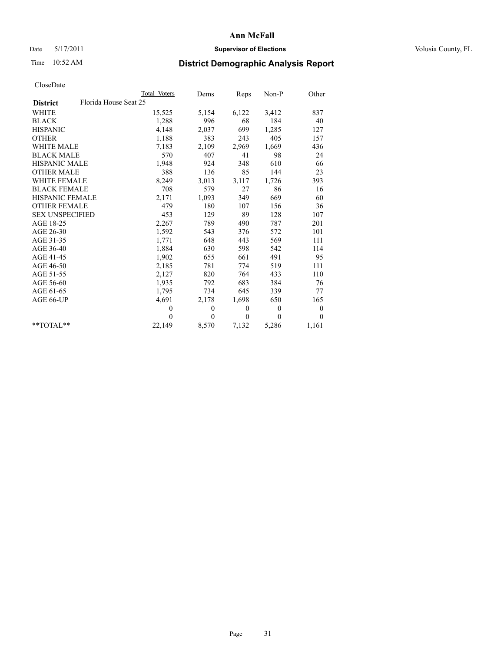## Date 5/17/2011 **Supervisor of Elections Supervisor of Elections** Volusia County, FL

# Time 10:52 AM **District Demographic Analysis Report**

|                                          | Total Voters | Dems         | Reps         | Non-P          | Other            |  |
|------------------------------------------|--------------|--------------|--------------|----------------|------------------|--|
| Florida House Seat 25<br><b>District</b> |              |              |              |                |                  |  |
| <b>WHITE</b>                             | 15,525       | 5,154        | 6,122        | 3,412          | 837              |  |
| <b>BLACK</b>                             | 1,288        | 996          | 68           | 184            | 40               |  |
| <b>HISPANIC</b>                          | 4,148        | 2,037        | 699          | 1,285          | 127              |  |
| <b>OTHER</b>                             | 1,188        | 383          | 243          | 405            | 157              |  |
| <b>WHITE MALE</b>                        | 7,183        | 2,109        | 2,969        | 1,669          | 436              |  |
| <b>BLACK MALE</b>                        | 570          | 407          | 41           | 98             | 24               |  |
| <b>HISPANIC MALE</b>                     | 1,948        | 924          | 348          | 610            | 66               |  |
| <b>OTHER MALE</b>                        | 388          | 136          | 85           | 144            | 23               |  |
| <b>WHITE FEMALE</b>                      | 8,249        | 3,013        | 3,117        | 1,726          | 393              |  |
| <b>BLACK FEMALE</b>                      | 708          | 579          | 27           | 86             | 16               |  |
| HISPANIC FEMALE                          | 2,171        | 1,093        | 349          | 669            | 60               |  |
| <b>OTHER FEMALE</b>                      | 479          | 180          | 107          | 156            | 36               |  |
| <b>SEX UNSPECIFIED</b>                   | 453          | 129          | 89           | 128            | 107              |  |
| AGE 18-25                                | 2,267        | 789          | 490          | 787            | 201              |  |
| AGE 26-30                                | 1,592        | 543          | 376          | 572            | 101              |  |
| AGE 31-35                                | 1,771        | 648          | 443          | 569            | 111              |  |
| AGE 36-40                                | 1,884        | 630          | 598          | 542            | 114              |  |
| AGE 41-45                                | 1,902        | 655          | 661          | 491            | 95               |  |
| AGE 46-50                                | 2,185        | 781          | 774          | 519            | 111              |  |
| AGE 51-55                                | 2,127        | 820          | 764          | 433            | 110              |  |
| AGE 56-60                                | 1,935        | 792          | 683          | 384            | 76               |  |
| AGE 61-65                                | 1,795        | 734          | 645          | 339            | 77               |  |
| AGE 66-UP                                | 4,691        | 2,178        | 1,698        | 650            | 165              |  |
|                                          | $\mathbf{0}$ | $\mathbf{0}$ | $\mathbf{0}$ | $\overline{0}$ | $\boldsymbol{0}$ |  |
|                                          | $\theta$     | $\theta$     | $\theta$     | $\theta$       | $\theta$         |  |
| $*$ $TOTAI.**$                           | 22,149       | 8,570        | 7,132        | 5,286          | 1,161            |  |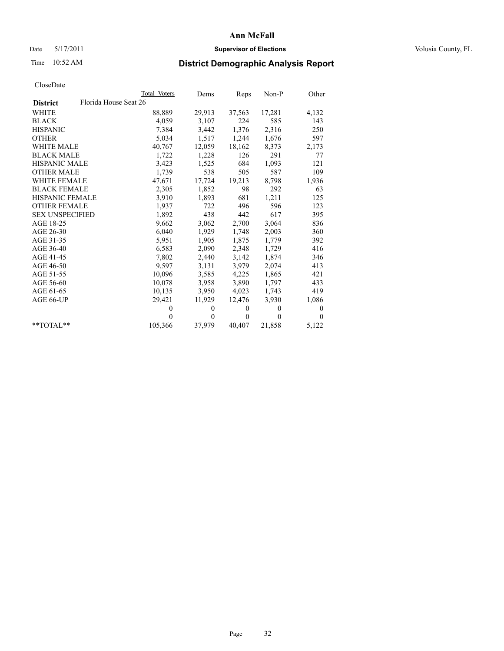## Date 5/17/2011 **Supervisor of Elections Supervisor of Elections** Volusia County, FL

# Time 10:52 AM **District Demographic Analysis Report**

|                                          | Total Voters | Dems     | Reps     | $Non-P$  | Other    |
|------------------------------------------|--------------|----------|----------|----------|----------|
| Florida House Seat 26<br><b>District</b> |              |          |          |          |          |
| <b>WHITE</b>                             | 88,889       | 29,913   | 37,563   | 17,281   | 4,132    |
| <b>BLACK</b>                             | 4,059        | 3,107    | 224      | 585      | 143      |
| <b>HISPANIC</b>                          | 7,384        | 3,442    | 1,376    | 2,316    | 250      |
| <b>OTHER</b>                             | 5,034        | 1,517    | 1,244    | 1,676    | 597      |
| <b>WHITE MALE</b>                        | 40,767       | 12,059   | 18,162   | 8,373    | 2,173    |
| <b>BLACK MALE</b>                        | 1,722        | 1,228    | 126      | 291      | 77       |
| <b>HISPANIC MALE</b>                     | 3,423        | 1,525    | 684      | 1,093    | 121      |
| <b>OTHER MALE</b>                        | 1,739        | 538      | 505      | 587      | 109      |
| <b>WHITE FEMALE</b>                      | 47,671       | 17,724   | 19,213   | 8,798    | 1,936    |
| <b>BLACK FEMALE</b>                      | 2,305        | 1,852    | 98       | 292      | 63       |
| HISPANIC FEMALE                          | 3,910        | 1,893    | 681      | 1,211    | 125      |
| <b>OTHER FEMALE</b>                      | 1,937        | 722      | 496      | 596      | 123      |
| <b>SEX UNSPECIFIED</b>                   | 1,892        | 438      | 442      | 617      | 395      |
| AGE 18-25                                | 9,662        | 3,062    | 2,700    | 3,064    | 836      |
| AGE 26-30                                | 6,040        | 1,929    | 1,748    | 2,003    | 360      |
| AGE 31-35                                | 5,951        | 1,905    | 1,875    | 1,779    | 392      |
| AGE 36-40                                | 6,583        | 2,090    | 2,348    | 1,729    | 416      |
| AGE 41-45                                | 7,802        | 2,440    | 3,142    | 1,874    | 346      |
| AGE 46-50                                | 9,597        | 3,131    | 3,979    | 2,074    | 413      |
| AGE 51-55                                | 10,096       | 3,585    | 4,225    | 1,865    | 421      |
| AGE 56-60                                | 10,078       | 3,958    | 3,890    | 1,797    | 433      |
| AGE 61-65                                | 10,135       | 3,950    | 4,023    | 1,743    | 419      |
| AGE 66-UP                                | 29,421       | 11,929   | 12,476   | 3,930    | 1,086    |
|                                          | $\mathbf{0}$ | $\theta$ | $\theta$ | $\theta$ | $\theta$ |
|                                          | $\theta$     | $\theta$ | $\theta$ | $\theta$ | $\Omega$ |
| $*$ $TOTAI.**$                           | 105,366      | 37,979   | 40,407   | 21,858   | 5,122    |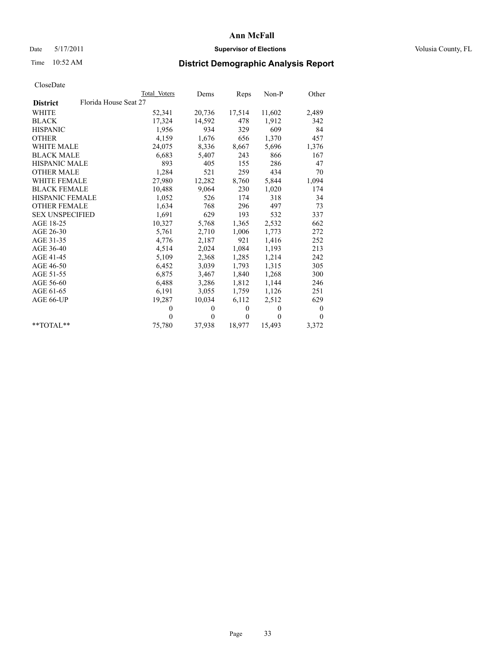## Date 5/17/2011 **Supervisor of Elections Supervisor of Elections** Volusia County, FL

# Time 10:52 AM **District Demographic Analysis Report**

|                                          | Total Voters | Dems     | Reps         | $Non-P$  | Other            |
|------------------------------------------|--------------|----------|--------------|----------|------------------|
| Florida House Seat 27<br><b>District</b> |              |          |              |          |                  |
| <b>WHITE</b>                             | 52,341       | 20,736   | 17,514       | 11,602   | 2,489            |
| <b>BLACK</b>                             | 17,324       | 14,592   | 478          | 1,912    | 342              |
| <b>HISPANIC</b>                          | 1,956        | 934      | 329          | 609      | 84               |
| <b>OTHER</b>                             | 4,159        | 1,676    | 656          | 1,370    | 457              |
| <b>WHITE MALE</b>                        | 24,075       | 8,336    | 8,667        | 5,696    | 1,376            |
| <b>BLACK MALE</b>                        | 6,683        | 5,407    | 243          | 866      | 167              |
| <b>HISPANIC MALE</b>                     | 893          | 405      | 155          | 286      | 47               |
| <b>OTHER MALE</b>                        | 1,284        | 521      | 259          | 434      | 70               |
| <b>WHITE FEMALE</b>                      | 27,980       | 12,282   | 8,760        | 5,844    | 1,094            |
| <b>BLACK FEMALE</b>                      | 10,488       | 9,064    | 230          | 1,020    | 174              |
| HISPANIC FEMALE                          | 1,052        | 526      | 174          | 318      | 34               |
| <b>OTHER FEMALE</b>                      | 1,634        | 768      | 296          | 497      | 73               |
| <b>SEX UNSPECIFIED</b>                   | 1,691        | 629      | 193          | 532      | 337              |
| AGE 18-25                                | 10,327       | 5,768    | 1,365        | 2,532    | 662              |
| AGE 26-30                                | 5,761        | 2,710    | 1,006        | 1,773    | 272              |
| AGE 31-35                                | 4,776        | 2,187    | 921          | 1,416    | 252              |
| AGE 36-40                                | 4,514        | 2,024    | 1,084        | 1,193    | 213              |
| AGE 41-45                                | 5,109        | 2,368    | 1,285        | 1,214    | 242              |
| AGE 46-50                                | 6,452        | 3,039    | 1,793        | 1,315    | 305              |
| AGE 51-55                                | 6,875        | 3,467    | 1,840        | 1,268    | 300              |
| AGE 56-60                                | 6,488        | 3,286    | 1,812        | 1,144    | 246              |
| AGE 61-65                                | 6,191        | 3,055    | 1,759        | 1,126    | 251              |
| AGE 66-UP                                | 19,287       | 10,034   | 6,112        | 2,512    | 629              |
|                                          | $\Omega$     | $\theta$ | $\mathbf{0}$ | $\theta$ | $\boldsymbol{0}$ |
|                                          | $\Omega$     | $\theta$ | $\mathbf{0}$ | $\theta$ | $\theta$         |
| $*$ $TOTAI.**$                           | 75,780       | 37,938   | 18,977       | 15,493   | 3,372            |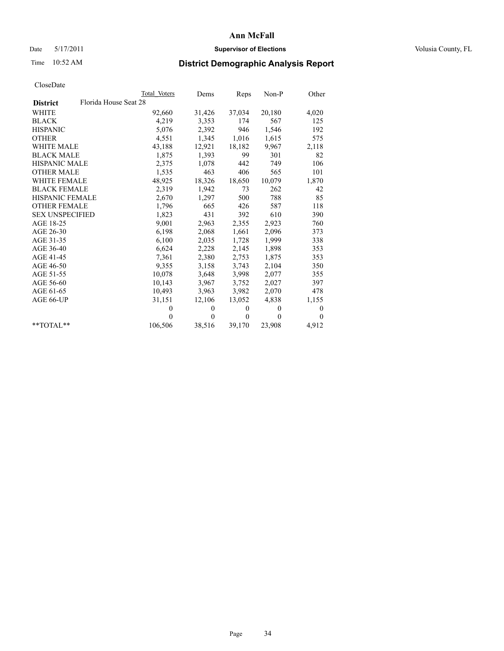## Date 5/17/2011 **Supervisor of Elections Supervisor of Elections** Volusia County, FL

# Time 10:52 AM **District Demographic Analysis Report**

|                                          | Total Voters | Dems     | Reps         | $Non-P$  | Other        |
|------------------------------------------|--------------|----------|--------------|----------|--------------|
| Florida House Seat 28<br><b>District</b> |              |          |              |          |              |
| <b>WHITE</b>                             | 92,660       | 31,426   | 37,034       | 20,180   | 4,020        |
| <b>BLACK</b>                             | 4,219        | 3,353    | 174          | 567      | 125          |
| <b>HISPANIC</b>                          | 5,076        | 2,392    | 946          | 1,546    | 192          |
| <b>OTHER</b>                             | 4,551        | 1,345    | 1,016        | 1,615    | 575          |
| <b>WHITE MALE</b>                        | 43,188       | 12,921   | 18,182       | 9,967    | 2,118        |
| <b>BLACK MALE</b>                        | 1,875        | 1,393    | 99           | 301      | 82           |
| HISPANIC MALE                            | 2,375        | 1,078    | 442          | 749      | 106          |
| <b>OTHER MALE</b>                        | 1,535        | 463      | 406          | 565      | 101          |
| <b>WHITE FEMALE</b>                      | 48,925       | 18,326   | 18,650       | 10,079   | 1,870        |
| <b>BLACK FEMALE</b>                      | 2,319        | 1,942    | 73           | 262      | 42           |
| HISPANIC FEMALE                          | 2,670        | 1,297    | 500          | 788      | 85           |
| <b>OTHER FEMALE</b>                      | 1,796        | 665      | 426          | 587      | 118          |
| <b>SEX UNSPECIFIED</b>                   | 1,823        | 431      | 392          | 610      | 390          |
| AGE 18-25                                | 9,001        | 2,963    | 2,355        | 2,923    | 760          |
| AGE 26-30                                | 6,198        | 2,068    | 1,661        | 2,096    | 373          |
| AGE 31-35                                | 6,100        | 2,035    | 1,728        | 1,999    | 338          |
| AGE 36-40                                | 6,624        | 2,228    | 2,145        | 1,898    | 353          |
| AGE 41-45                                | 7,361        | 2,380    | 2,753        | 1,875    | 353          |
| AGE 46-50                                | 9,355        | 3,158    | 3,743        | 2,104    | 350          |
| AGE 51-55                                | 10,078       | 3,648    | 3,998        | 2,077    | 355          |
| AGE 56-60                                | 10,143       | 3,967    | 3,752        | 2,027    | 397          |
| AGE 61-65                                | 10,493       | 3,963    | 3,982        | 2,070    | 478          |
| AGE 66-UP                                | 31,151       | 12,106   | 13,052       | 4,838    | 1,155        |
|                                          | $\Omega$     | $\theta$ | $\mathbf{0}$ | $\theta$ | $\theta$     |
|                                          | $\Omega$     | $\theta$ | $\mathbf{0}$ | $\theta$ | $\mathbf{0}$ |
| $*$ $TOTAI.**$                           | 106,506      | 38,516   | 39,170       | 23,908   | 4,912        |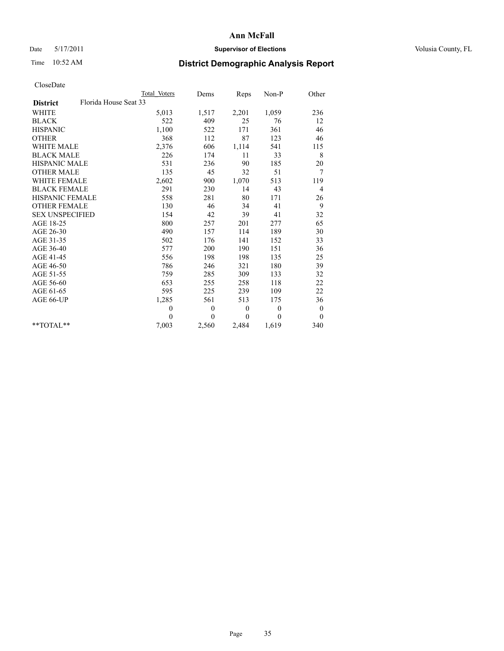## Date 5/17/2011 **Supervisor of Elections Supervisor of Elections** Volusia County, FL

# Time 10:52 AM **District Demographic Analysis Report**

|                                          | Total Voters | Dems     | <b>Reps</b>  | Non-P    | Other            |
|------------------------------------------|--------------|----------|--------------|----------|------------------|
| Florida House Seat 33<br><b>District</b> |              |          |              |          |                  |
| <b>WHITE</b>                             | 5,013        | 1,517    | 2,201        | 1,059    | 236              |
| <b>BLACK</b>                             | 522          | 409      | 25           | 76       | 12               |
| <b>HISPANIC</b>                          | 1,100        | 522      | 171          | 361      | 46               |
| <b>OTHER</b>                             | 368          | 112      | 87           | 123      | 46               |
| <b>WHITE MALE</b>                        | 2,376        | 606      | 1,114        | 541      | 115              |
| <b>BLACK MALE</b>                        | 226          | 174      | 11           | 33       | 8                |
| <b>HISPANIC MALE</b>                     | 531          | 236      | 90           | 185      | 20               |
| <b>OTHER MALE</b>                        | 135          | 45       | 32           | 51       | 7                |
| WHITE FEMALE                             | 2,602        | 900      | 1,070        | 513      | 119              |
| <b>BLACK FEMALE</b>                      | 291          | 230      | 14           | 43       | $\overline{4}$   |
| HISPANIC FEMALE                          | 558          | 281      | 80           | 171      | 26               |
| <b>OTHER FEMALE</b>                      | 130          | 46       | 34           | 41       | 9                |
| <b>SEX UNSPECIFIED</b>                   | 154          | 42       | 39           | 41       | 32               |
| AGE 18-25                                | 800          | 257      | 201          | 277      | 65               |
| AGE 26-30                                | 490          | 157      | 114          | 189      | 30               |
| AGE 31-35                                | 502          | 176      | 141          | 152      | 33               |
| AGE 36-40                                | 577          | 200      | 190          | 151      | 36               |
| AGE 41-45                                | 556          | 198      | 198          | 135      | 25               |
| AGE 46-50                                | 786          | 246      | 321          | 180      | 39               |
| AGE 51-55                                | 759          | 285      | 309          | 133      | 32               |
| AGE 56-60                                | 653          | 255      | 258          | 118      | 22               |
| AGE 61-65                                | 595          | 225      | 239          | 109      | 22               |
| AGE 66-UP                                | 1,285        | 561      | 513          | 175      | 36               |
|                                          | $\mathbf{0}$ | $\theta$ | $\theta$     | $\theta$ | $\boldsymbol{0}$ |
|                                          | $\Omega$     | $\theta$ | $\mathbf{0}$ | $\theta$ | $\mathbf{0}$     |
| $*$ $TOTAI.**$                           | 7,003        | 2,560    | 2,484        | 1,619    | 340              |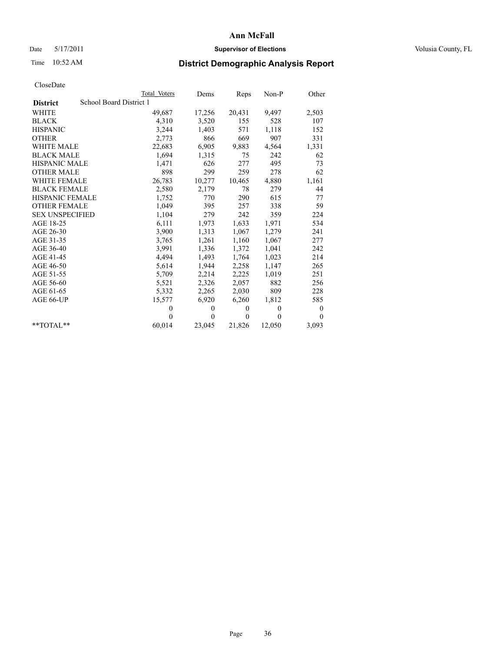## Date 5/17/2011 **Supervisor of Elections Supervisor of Elections** Volusia County, FL

# Time 10:52 AM **District Demographic Analysis Report**

|                        | Total Voters            | Dems         | Reps     | Non-P    | Other            |
|------------------------|-------------------------|--------------|----------|----------|------------------|
| <b>District</b>        | School Board District 1 |              |          |          |                  |
| <b>WHITE</b>           | 49,687                  | 17,256       | 20,431   | 9,497    | 2,503            |
| <b>BLACK</b>           | 4,310                   | 3,520        | 155      | 528      | 107              |
| <b>HISPANIC</b>        | 3,244                   | 1,403        | 571      | 1,118    | 152              |
| <b>OTHER</b>           | 2,773                   | 866          | 669      | 907      | 331              |
| <b>WHITE MALE</b>      | 22,683                  | 6,905        | 9,883    | 4,564    | 1,331            |
| <b>BLACK MALE</b>      | 1,694                   | 1,315        | 75       | 242      | 62               |
| <b>HISPANIC MALE</b>   | 1,471                   | 626          | 277      | 495      | 73               |
| <b>OTHER MALE</b>      | 898                     | 299          | 259      | 278      | 62               |
| <b>WHITE FEMALE</b>    | 26,783                  | 10,277       | 10,465   | 4,880    | 1,161            |
| <b>BLACK FEMALE</b>    | 2,580                   | 2,179        | 78       | 279      | 44               |
| HISPANIC FEMALE        | 1,752                   | 770          | 290      | 615      | 77               |
| <b>OTHER FEMALE</b>    | 1,049                   | 395          | 257      | 338      | 59               |
| <b>SEX UNSPECIFIED</b> | 1,104                   | 279          | 242      | 359      | 224              |
| AGE 18-25              | 6,111                   | 1,973        | 1,633    | 1,971    | 534              |
| AGE 26-30              | 3,900                   | 1,313        | 1,067    | 1,279    | 241              |
| AGE 31-35              | 3,765                   | 1,261        | 1,160    | 1,067    | 277              |
| AGE 36-40              | 3,991                   | 1,336        | 1,372    | 1,041    | 242              |
| AGE 41-45              | 4,494                   | 1,493        | 1,764    | 1,023    | 214              |
| AGE 46-50              | 5,614                   | 1,944        | 2,258    | 1,147    | 265              |
| AGE 51-55              | 5,709                   | 2,214        | 2,225    | 1,019    | 251              |
| AGE 56-60              | 5,521                   | 2,326        | 2,057    | 882      | 256              |
| AGE 61-65              | 5,332                   | 2,265        | 2,030    | 809      | 228              |
| AGE 66-UP              | 15,577                  | 6,920        | 6,260    | 1,812    | 585              |
|                        | $\theta$                | $\mathbf{0}$ | $\theta$ | $\theta$ | $\boldsymbol{0}$ |
|                        | $\theta$                | $\theta$     | $\theta$ | $\theta$ | $\theta$         |
| $*$ TOTAL $*$          | 60,014                  | 23,045       | 21,826   | 12,050   | 3,093            |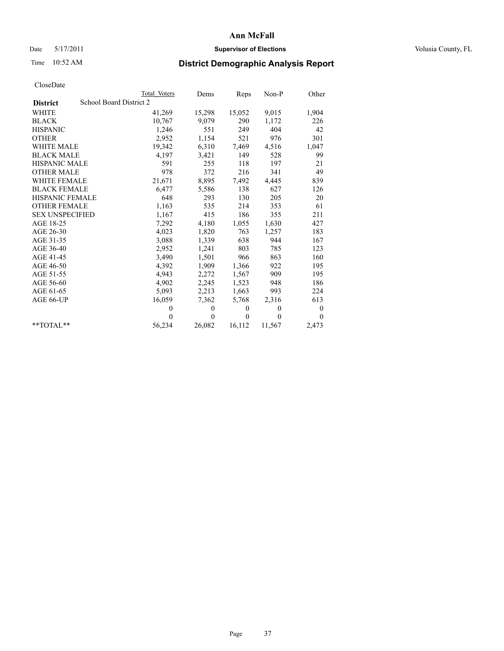## Date 5/17/2011 **Supervisor of Elections Supervisor of Elections** Volusia County, FL

# Time 10:52 AM **District Demographic Analysis Report**

|                        | <b>Total Voters</b>     | Dems     | <b>Reps</b> | $Non-P$  | Other            |  |  |  |
|------------------------|-------------------------|----------|-------------|----------|------------------|--|--|--|
| <b>District</b>        | School Board District 2 |          |             |          |                  |  |  |  |
| <b>WHITE</b>           | 41,269                  | 15,298   | 15,052      | 9,015    | 1,904            |  |  |  |
| <b>BLACK</b>           | 10,767                  | 9,079    | 290         | 1,172    | 226              |  |  |  |
| <b>HISPANIC</b>        | 1,246                   | 551      | 249         | 404      | 42               |  |  |  |
| <b>OTHER</b>           | 2,952                   | 1,154    | 521         | 976      | 301              |  |  |  |
| <b>WHITE MALE</b>      | 19,342                  | 6,310    | 7,469       | 4,516    | 1,047            |  |  |  |
| <b>BLACK MALE</b>      | 4,197                   | 3,421    | 149         | 528      | 99               |  |  |  |
| <b>HISPANIC MALE</b>   | 591                     | 255      | 118         | 197      | 21               |  |  |  |
| <b>OTHER MALE</b>      | 978                     | 372      | 216         | 341      | 49               |  |  |  |
| <b>WHITE FEMALE</b>    | 21,671                  | 8,895    | 7,492       | 4,445    | 839              |  |  |  |
| <b>BLACK FEMALE</b>    | 6,477                   | 5,586    | 138         | 627      | 126              |  |  |  |
| HISPANIC FEMALE        | 648                     | 293      | 130         | 205      | 20               |  |  |  |
| <b>OTHER FEMALE</b>    | 1,163                   | 535      | 214         | 353      | 61               |  |  |  |
| <b>SEX UNSPECIFIED</b> | 1,167                   | 415      | 186         | 355      | 211              |  |  |  |
| AGE 18-25              | 7,292                   | 4,180    | 1,055       | 1,630    | 427              |  |  |  |
| AGE 26-30              | 4,023                   | 1,820    | 763         | 1,257    | 183              |  |  |  |
| AGE 31-35              | 3,088                   | 1,339    | 638         | 944      | 167              |  |  |  |
| AGE 36-40              | 2,952                   | 1,241    | 803         | 785      | 123              |  |  |  |
| AGE 41-45              | 3,490                   | 1,501    | 966         | 863      | 160              |  |  |  |
| AGE 46-50              | 4,392                   | 1,909    | 1,366       | 922      | 195              |  |  |  |
| AGE 51-55              | 4,943                   | 2,272    | 1,567       | 909      | 195              |  |  |  |
| AGE 56-60              | 4,902                   | 2,245    | 1,523       | 948      | 186              |  |  |  |
| AGE 61-65              | 5,093                   | 2,213    | 1,663       | 993      | 224              |  |  |  |
| AGE 66-UP              | 16,059                  | 7,362    | 5,768       | 2,316    | 613              |  |  |  |
|                        | $\theta$                | $\theta$ | $\theta$    | $\theta$ | $\boldsymbol{0}$ |  |  |  |
|                        | $\Omega$                | $\theta$ | $\theta$    | $\theta$ | $\theta$         |  |  |  |
| $*$ $TOTAI.**$         | 56,234                  | 26,082   | 16,112      | 11,567   | 2,473            |  |  |  |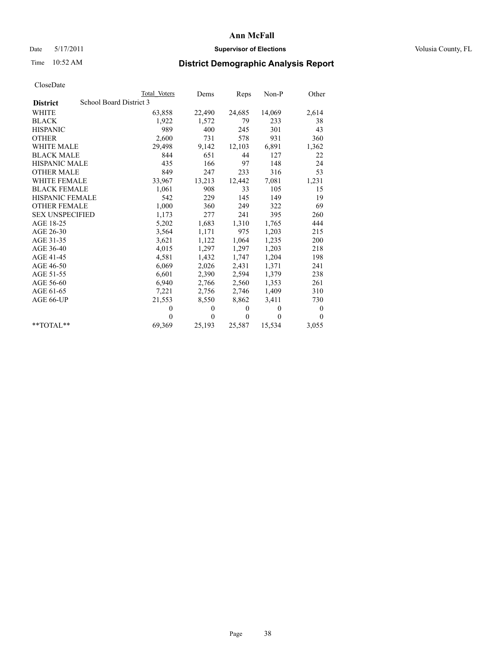## Date 5/17/2011 **Supervisor of Elections Supervisor of Elections** Volusia County, FL

## Time 10:52 AM **District Demographic Analysis Report**

|                        |                         | <b>Total Voters</b> | Dems           | Reps     | $Non-P$  | Other            |
|------------------------|-------------------------|---------------------|----------------|----------|----------|------------------|
| <b>District</b>        | School Board District 3 |                     |                |          |          |                  |
| WHITE                  |                         | 63,858              | 22,490         | 24,685   | 14,069   | 2,614            |
| <b>BLACK</b>           |                         | 1,922               | 1,572          | 79       | 233      | 38               |
| <b>HISPANIC</b>        |                         | 989                 | 400            | 245      | 301      | 43               |
| <b>OTHER</b>           |                         | 2,600               | 731            | 578      | 931      | 360              |
| <b>WHITE MALE</b>      |                         | 29,498              | 9,142          | 12,103   | 6,891    | 1,362            |
| <b>BLACK MALE</b>      |                         | 844                 | 651            | 44       | 127      | 22               |
| <b>HISPANIC MALE</b>   |                         | 435                 | 166            | 97       | 148      | 24               |
| <b>OTHER MALE</b>      |                         | 849                 | 247            | 233      | 316      | 53               |
| WHITE FEMALE           |                         | 33.967              | 13,213         | 12,442   | 7,081    | 1,231            |
| <b>BLACK FEMALE</b>    |                         | 1,061               | 908            | 33       | 105      | 15               |
| HISPANIC FEMALE        |                         | 542                 | 229            | 145      | 149      | 19               |
| <b>OTHER FEMALE</b>    |                         | 1,000               | 360            | 249      | 322      | 69               |
| <b>SEX UNSPECIFIED</b> |                         | 1,173               | 277            | 241      | 395      | 260              |
| AGE 18-25              |                         | 5,202               | 1,683          | 1,310    | 1,765    | 444              |
| AGE 26-30              |                         | 3,564               | 1,171          | 975      | 1,203    | 215              |
| AGE 31-35              |                         | 3,621               | 1,122          | 1,064    | 1,235    | 200              |
| AGE 36-40              |                         | 4,015               | 1,297          | 1,297    | 1,203    | 218              |
| AGE 41-45              |                         | 4,581               | 1,432          | 1,747    | 1,204    | 198              |
| AGE 46-50              |                         | 6,069               | 2,026          | 2,431    | 1,371    | 241              |
| AGE 51-55              |                         | 6,601               | 2,390          | 2,594    | 1,379    | 238              |
| AGE 56-60              |                         | 6,940               | 2,766          | 2,560    | 1,353    | 261              |
| AGE 61-65              |                         | 7,221               | 2,756          | 2,746    | 1,409    | 310              |
| AGE 66-UP              |                         | 21,553              | 8,550          | 8,862    | 3,411    | 730              |
|                        |                         | $\Omega$            | $\theta$       | $\theta$ | $\theta$ | $\boldsymbol{0}$ |
|                        |                         | $\Omega$            | $\overline{0}$ | $\theta$ | $\theta$ | $\mathbf{0}$     |
| $*$ $TOTAI.**$         |                         | 69,369              | 25,193         | 25,587   | 15,534   | 3,055            |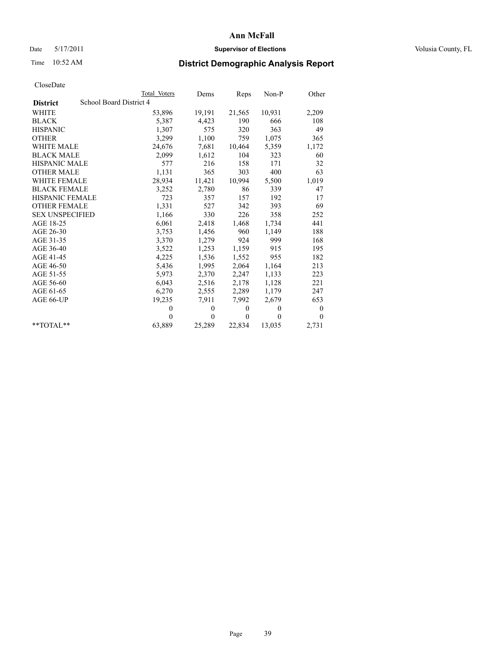## Date 5/17/2011 **Supervisor of Elections Supervisor of Elections** Volusia County, FL

# Time 10:52 AM **District Demographic Analysis Report**

|                        | Total Voters            | Dems         | Reps     | Non-P          | Other            |
|------------------------|-------------------------|--------------|----------|----------------|------------------|
| <b>District</b>        | School Board District 4 |              |          |                |                  |
| <b>WHITE</b>           | 53,896                  | 19,191       | 21,565   | 10,931         | 2,209            |
| <b>BLACK</b>           | 5,387                   | 4,423        | 190      | 666            | 108              |
| <b>HISPANIC</b>        | 1,307                   | 575          | 320      | 363            | 49               |
| <b>OTHER</b>           | 3,299                   | 1,100        | 759      | 1,075          | 365              |
| <b>WHITE MALE</b>      | 24,676                  | 7,681        | 10,464   | 5,359          | 1,172            |
| <b>BLACK MALE</b>      | 2,099                   | 1,612        | 104      | 323            | 60               |
| <b>HISPANIC MALE</b>   | 577                     | 216          | 158      | 171            | 32               |
| <b>OTHER MALE</b>      | 1,131                   | 365          | 303      | 400            | 63               |
| <b>WHITE FEMALE</b>    | 28,934                  | 11,421       | 10,994   | 5,500          | 1,019            |
| <b>BLACK FEMALE</b>    | 3,252                   | 2,780        | 86       | 339            | 47               |
| HISPANIC FEMALE        | 723                     | 357          | 157      | 192            | 17               |
| <b>OTHER FEMALE</b>    | 1,331                   | 527          | 342      | 393            | 69               |
| <b>SEX UNSPECIFIED</b> | 1,166                   | 330          | 226      | 358            | 252              |
| AGE 18-25              | 6,061                   | 2,418        | 1,468    | 1,734          | 441              |
| AGE 26-30              | 3,753                   | 1,456        | 960      | 1,149          | 188              |
| AGE 31-35              | 3,370                   | 1,279        | 924      | 999            | 168              |
| AGE 36-40              | 3,522                   | 1,253        | 1,159    | 915            | 195              |
| AGE 41-45              | 4,225                   | 1,536        | 1,552    | 955            | 182              |
| AGE 46-50              | 5,436                   | 1,995        | 2,064    | 1,164          | 213              |
| AGE 51-55              | 5,973                   | 2,370        | 2,247    | 1,133          | 223              |
| AGE 56-60              | 6,043                   | 2,516        | 2,178    | 1,128          | 221              |
| AGE 61-65              | 6,270                   | 2,555        | 2,289    | 1,179          | 247              |
| AGE 66-UP              | 19,235                  | 7,911        | 7,992    | 2,679          | 653              |
|                        | $\theta$                | $\mathbf{0}$ | $\theta$ | $\overline{0}$ | $\boldsymbol{0}$ |
|                        | $\theta$                | $\theta$     | $\theta$ | $\theta$       | $\theta$         |
| $*$ TOTAL $*$          | 63,889                  | 25,289       | 22,834   | 13,035         | 2,731            |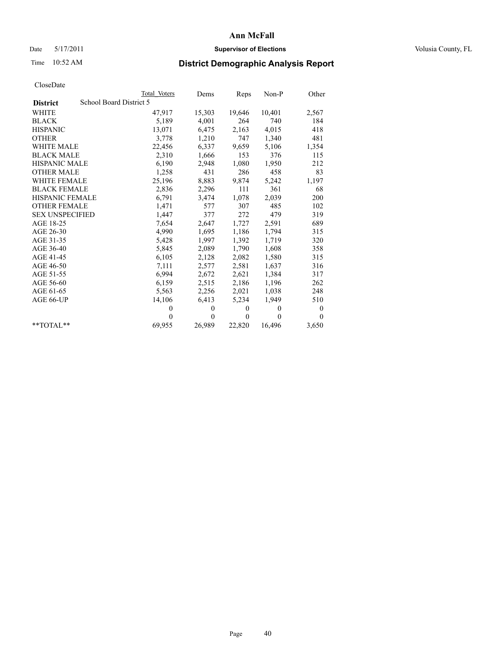## Date 5/17/2011 **Supervisor of Elections Supervisor of Elections** Volusia County, FL

# Time 10:52 AM **District Demographic Analysis Report**

|                                            | Total Voters | Dems         | Reps         | $Non-P$  | Other    |
|--------------------------------------------|--------------|--------------|--------------|----------|----------|
| School Board District 5<br><b>District</b> |              |              |              |          |          |
| <b>WHITE</b>                               | 47,917       | 15,303       | 19,646       | 10,401   | 2,567    |
| <b>BLACK</b>                               | 5,189        | 4,001        | 264          | 740      | 184      |
| <b>HISPANIC</b>                            | 13,071       | 6,475        | 2,163        | 4,015    | 418      |
| <b>OTHER</b>                               | 3,778        | 1,210        | 747          | 1,340    | 481      |
| <b>WHITE MALE</b>                          | 22,456       | 6,337        | 9,659        | 5,106    | 1,354    |
| <b>BLACK MALE</b>                          | 2,310        | 1,666        | 153          | 376      | 115      |
| <b>HISPANIC MALE</b>                       | 6,190        | 2,948        | 1,080        | 1,950    | 212      |
| <b>OTHER MALE</b>                          | 1,258        | 431          | 286          | 458      | 83       |
| <b>WHITE FEMALE</b>                        | 25,196       | 8,883        | 9,874        | 5,242    | 1,197    |
| <b>BLACK FEMALE</b>                        | 2,836        | 2,296        | 111          | 361      | 68       |
| HISPANIC FEMALE                            | 6,791        | 3,474        | 1,078        | 2,039    | 200      |
| <b>OTHER FEMALE</b>                        | 1,471        | 577          | 307          | 485      | 102      |
| <b>SEX UNSPECIFIED</b>                     | 1,447        | 377          | 272          | 479      | 319      |
| AGE 18-25                                  | 7,654        | 2,647        | 1,727        | 2,591    | 689      |
| AGE 26-30                                  | 4,990        | 1,695        | 1,186        | 1,794    | 315      |
| AGE 31-35                                  | 5,428        | 1,997        | 1,392        | 1,719    | 320      |
| AGE 36-40                                  | 5,845        | 2,089        | 1,790        | 1,608    | 358      |
| AGE 41-45                                  | 6,105        | 2,128        | 2,082        | 1,580    | 315      |
| AGE 46-50                                  | 7,111        | 2,577        | 2,581        | 1,637    | 316      |
| AGE 51-55                                  | 6,994        | 2,672        | 2,621        | 1,384    | 317      |
| AGE 56-60                                  | 6,159        | 2,515        | 2,186        | 1,196    | 262      |
| AGE 61-65                                  | 5,563        | 2,256        | 2,021        | 1,038    | 248      |
| AGE 66-UP                                  | 14,106       | 6,413        | 5,234        | 1,949    | 510      |
|                                            | $\theta$     | $\mathbf{0}$ | $\mathbf{0}$ | $\theta$ | 0        |
|                                            | $\theta$     | $\mathbf{0}$ | $\mathbf{0}$ | $\theta$ | $\theta$ |
| $*$ $TOTAI.**$                             | 69,955       | 26,989       | 22,820       | 16,496   | 3,650    |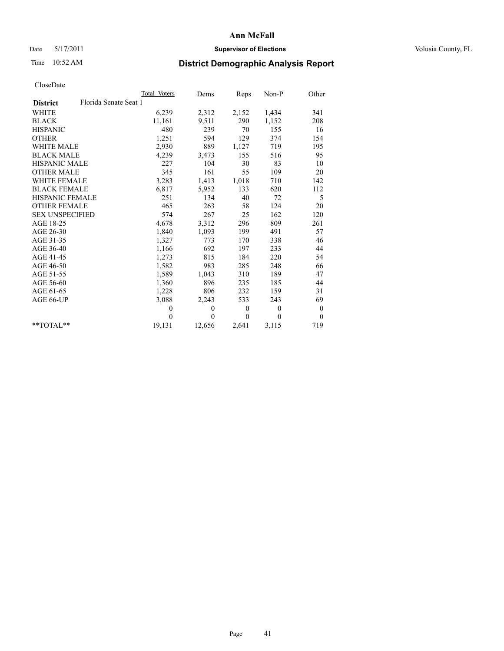## Date 5/17/2011 **Supervisor of Elections Supervisor of Elections** Volusia County, FL

# Time 10:52 AM **District Demographic Analysis Report**

|                                          | <b>Total Voters</b> | Dems     | Reps         | Non-P        | Other            |
|------------------------------------------|---------------------|----------|--------------|--------------|------------------|
| Florida Senate Seat 1<br><b>District</b> |                     |          |              |              |                  |
| <b>WHITE</b>                             | 6,239               | 2,312    | 2,152        | 1,434        | 341              |
| <b>BLACK</b>                             | 11,161              | 9,511    | 290          | 1,152        | 208              |
| <b>HISPANIC</b>                          | 480                 | 239      | 70           | 155          | 16               |
| <b>OTHER</b>                             | 1,251               | 594      | 129          | 374          | 154              |
| <b>WHITE MALE</b>                        | 2,930               | 889      | 1,127        | 719          | 195              |
| <b>BLACK MALE</b>                        | 4,239               | 3,473    | 155          | 516          | 95               |
| <b>HISPANIC MALE</b>                     | 227                 | 104      | 30           | 83           | 10               |
| <b>OTHER MALE</b>                        | 345                 | 161      | 55           | 109          | 20               |
| <b>WHITE FEMALE</b>                      | 3,283               | 1,413    | 1,018        | 710          | 142              |
| <b>BLACK FEMALE</b>                      | 6,817               | 5,952    | 133          | 620          | 112              |
| HISPANIC FEMALE                          | 251                 | 134      | 40           | 72           | 5                |
| <b>OTHER FEMALE</b>                      | 465                 | 263      | 58           | 124          | 20               |
| <b>SEX UNSPECIFIED</b>                   | 574                 | 267      | 25           | 162          | 120              |
| AGE 18-25                                | 4,678               | 3,312    | 296          | 809          | 261              |
| AGE 26-30                                | 1,840               | 1,093    | 199          | 491          | 57               |
| AGE 31-35                                | 1,327               | 773      | 170          | 338          | 46               |
| AGE 36-40                                | 1,166               | 692      | 197          | 233          | 44               |
| AGE 41-45                                | 1,273               | 815      | 184          | 220          | 54               |
| AGE 46-50                                | 1,582               | 983      | 285          | 248          | 66               |
| AGE 51-55                                | 1,589               | 1,043    | 310          | 189          | 47               |
| AGE 56-60                                | 1,360               | 896      | 235          | 185          | 44               |
| AGE 61-65                                | 1,228               | 806      | 232          | 159          | 31               |
| AGE 66-UP                                | 3,088               | 2,243    | 533          | 243          | 69               |
|                                          | $\mathbf{0}$        | $\theta$ | $\mathbf{0}$ | $\mathbf{0}$ | $\boldsymbol{0}$ |
|                                          | $\theta$            | $\theta$ | $\mathbf{0}$ | $\Omega$     | $\mathbf{0}$     |
| $*$ $TOTAI.**$                           | 19,131              | 12,656   | 2,641        | 3,115        | 719              |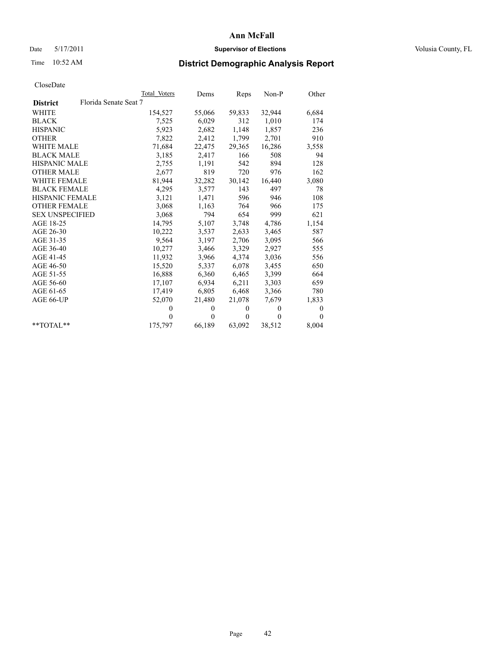## Date 5/17/2011 **Supervisor of Elections Supervisor of Elections** Volusia County, FL

# Time 10:52 AM **District Demographic Analysis Report**

|                                          | Total Voters | Dems     | Reps         | $Non-P$  | Other    |
|------------------------------------------|--------------|----------|--------------|----------|----------|
| Florida Senate Seat 7<br><b>District</b> |              |          |              |          |          |
| <b>WHITE</b>                             | 154,527      | 55,066   | 59,833       | 32,944   | 6,684    |
| <b>BLACK</b>                             | 7,525        | 6,029    | 312          | 1,010    | 174      |
| <b>HISPANIC</b>                          | 5,923        | 2,682    | 1,148        | 1,857    | 236      |
| <b>OTHER</b>                             | 7,822        | 2,412    | 1,799        | 2,701    | 910      |
| <b>WHITE MALE</b>                        | 71,684       | 22,475   | 29,365       | 16,286   | 3,558    |
| <b>BLACK MALE</b>                        | 3,185        | 2,417    | 166          | 508      | 94       |
| HISPANIC MALE                            | 2,755        | 1,191    | 542          | 894      | 128      |
| <b>OTHER MALE</b>                        | 2,677        | 819      | 720          | 976      | 162      |
| <b>WHITE FEMALE</b>                      | 81,944       | 32,282   | 30,142       | 16,440   | 3,080    |
| <b>BLACK FEMALE</b>                      | 4,295        | 3,577    | 143          | 497      | 78       |
| <b>HISPANIC FEMALE</b>                   | 3,121        | 1,471    | 596          | 946      | 108      |
| <b>OTHER FEMALE</b>                      | 3,068        | 1,163    | 764          | 966      | 175      |
| <b>SEX UNSPECIFIED</b>                   | 3,068        | 794      | 654          | 999      | 621      |
| AGE 18-25                                | 14,795       | 5,107    | 3,748        | 4,786    | 1,154    |
| AGE 26-30                                | 10,222       | 3,537    | 2,633        | 3,465    | 587      |
| AGE 31-35                                | 9,564        | 3,197    | 2,706        | 3,095    | 566      |
| AGE 36-40                                | 10,277       | 3,466    | 3,329        | 2,927    | 555      |
| AGE 41-45                                | 11,932       | 3,966    | 4,374        | 3,036    | 556      |
| AGE 46-50                                | 15,520       | 5,337    | 6,078        | 3,455    | 650      |
| AGE 51-55                                | 16,888       | 6,360    | 6,465        | 3,399    | 664      |
| AGE 56-60                                | 17,107       | 6,934    | 6,211        | 3,303    | 659      |
| AGE 61-65                                | 17,419       | 6,805    | 6,468        | 3,366    | 780      |
| AGE 66-UP                                | 52,070       | 21,480   | 21,078       | 7,679    | 1,833    |
|                                          | $\theta$     | $\theta$ | $\mathbf{0}$ | $\theta$ | 0        |
|                                          | $\theta$     | $\theta$ | $\theta$     | $\theta$ | $\theta$ |
| $*$ TOTAL $*$                            | 175,797      | 66,189   | 63,092       | 38,512   | 8,004    |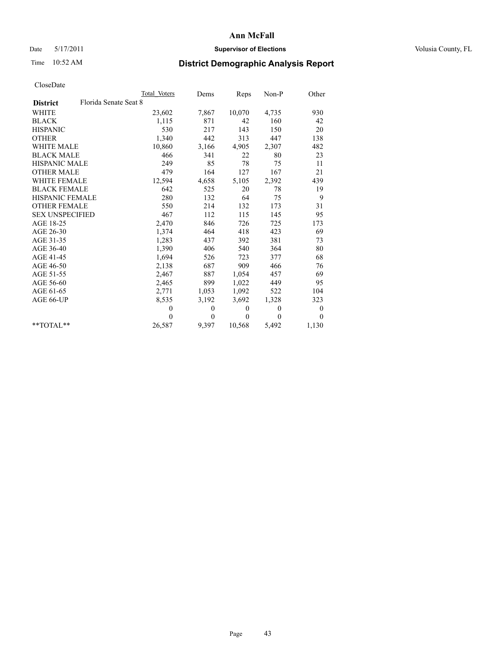## Date 5/17/2011 **Supervisor of Elections Supervisor of Elections** Volusia County, FL

# Time 10:52 AM **District Demographic Analysis Report**

|                                          | Total Voters | Dems         | Reps     | $Non-P$      | Other            |
|------------------------------------------|--------------|--------------|----------|--------------|------------------|
| Florida Senate Seat 8<br><b>District</b> |              |              |          |              |                  |
| <b>WHITE</b>                             | 23,602       | 7,867        | 10,070   | 4,735        | 930              |
| <b>BLACK</b>                             | 1,115        | 871          | 42       | 160          | 42               |
| <b>HISPANIC</b>                          | 530          | 217          | 143      | 150          | 20               |
| <b>OTHER</b>                             | 1,340        | 442          | 313      | 447          | 138              |
| <b>WHITE MALE</b>                        | 10,860       | 3,166        | 4,905    | 2,307        | 482              |
| <b>BLACK MALE</b>                        | 466          | 341          | 22       | 80           | 23               |
| <b>HISPANIC MALE</b>                     | 249          | 85           | 78       | 75           | 11               |
| <b>OTHER MALE</b>                        | 479          | 164          | 127      | 167          | 21               |
| <b>WHITE FEMALE</b>                      | 12,594       | 4,658        | 5,105    | 2,392        | 439              |
| <b>BLACK FEMALE</b>                      | 642          | 525          | 20       | 78           | 19               |
| HISPANIC FEMALE                          | 280          | 132          | 64       | 75           | 9                |
| <b>OTHER FEMALE</b>                      | 550          | 214          | 132      | 173          | 31               |
| <b>SEX UNSPECIFIED</b>                   | 467          | 112          | 115      | 145          | 95               |
| AGE 18-25                                | 2,470        | 846          | 726      | 725          | 173              |
| AGE 26-30                                | 1,374        | 464          | 418      | 423          | 69               |
| AGE 31-35                                | 1,283        | 437          | 392      | 381          | 73               |
| AGE 36-40                                | 1,390        | 406          | 540      | 364          | 80               |
| AGE 41-45                                | 1,694        | 526          | 723      | 377          | 68               |
| AGE 46-50                                | 2,138        | 687          | 909      | 466          | 76               |
| AGE 51-55                                | 2,467        | 887          | 1,054    | 457          | 69               |
| AGE 56-60                                | 2,465        | 899          | 1,022    | 449          | 95               |
| AGE 61-65                                | 2,771        | 1,053        | 1,092    | 522          | 104              |
| AGE 66-UP                                | 8,535        | 3,192        | 3,692    | 1,328        | 323              |
|                                          | $\theta$     | $\mathbf{0}$ | $\theta$ | $\mathbf{0}$ | $\boldsymbol{0}$ |
|                                          | $\theta$     | $\theta$     | $\theta$ | $\theta$     | $\theta$         |
| $*$ $TOTAI.**$                           | 26,587       | 9,397        | 10,568   | 5,492        | 1,130            |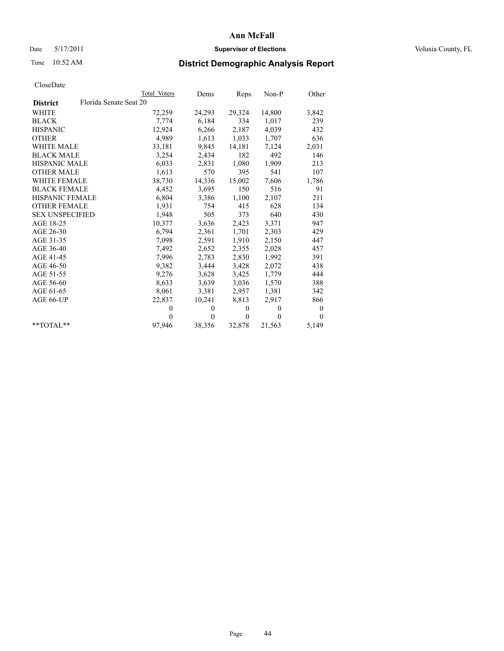## Date 5/17/2011 **Supervisor of Elections Supervisor of Elections** Volusia County, FL

# Time 10:52 AM **District Demographic Analysis Report**

|                                           | Total Voters | Dems         | Reps         | $Non-P$      | Other    |
|-------------------------------------------|--------------|--------------|--------------|--------------|----------|
| Florida Senate Seat 20<br><b>District</b> |              |              |              |              |          |
| <b>WHITE</b>                              | 72,259       | 24,293       | 29,324       | 14,800       | 3,842    |
| <b>BLACK</b>                              | 7,774        | 6,184        | 334          | 1,017        | 239      |
| <b>HISPANIC</b>                           | 12,924       | 6,266        | 2,187        | 4,039        | 432      |
| <b>OTHER</b>                              | 4,989        | 1,613        | 1,033        | 1,707        | 636      |
| <b>WHITE MALE</b>                         | 33,181       | 9,845        | 14,181       | 7,124        | 2,031    |
| <b>BLACK MALE</b>                         | 3,254        | 2,434        | 182          | 492          | 146      |
| <b>HISPANIC MALE</b>                      | 6,033        | 2,831        | 1,080        | 1,909        | 213      |
| <b>OTHER MALE</b>                         | 1,613        | 570          | 395          | 541          | 107      |
| <b>WHITE FEMALE</b>                       | 38,730       | 14,336       | 15,002       | 7,606        | 1,786    |
| <b>BLACK FEMALE</b>                       | 4,452        | 3,695        | 150          | 516          | 91       |
| HISPANIC FEMALE                           | 6,804        | 3,386        | 1,100        | 2,107        | 211      |
| <b>OTHER FEMALE</b>                       | 1,931        | 754          | 415          | 628          | 134      |
| <b>SEX UNSPECIFIED</b>                    | 1,948        | 505          | 373          | 640          | 430      |
| AGE 18-25                                 | 10,377       | 3,636        | 2,423        | 3,371        | 947      |
| AGE 26-30                                 | 6,794        | 2,361        | 1,701        | 2,303        | 429      |
| AGE 31-35                                 | 7,098        | 2,591        | 1,910        | 2,150        | 447      |
| AGE 36-40                                 | 7,492        | 2,652        | 2,355        | 2,028        | 457      |
| AGE 41-45                                 | 7,996        | 2,783        | 2,830        | 1,992        | 391      |
| AGE 46-50                                 | 9,382        | 3,444        | 3,428        | 2,072        | 438      |
| AGE 51-55                                 | 9,276        | 3,628        | 3,425        | 1,779        | 444      |
| AGE 56-60                                 | 8,633        | 3,639        | 3,036        | 1,570        | 388      |
| AGE 61-65                                 | 8,061        | 3,381        | 2,957        | 1,381        | 342      |
| AGE 66-UP                                 | 22,837       | 10,241       | 8,813        | 2,917        | 866      |
|                                           | $\theta$     | $\mathbf{0}$ | $\mathbf{0}$ | $\mathbf{0}$ | 0        |
|                                           | $\theta$     | $\theta$     | $\mathbf{0}$ | $\theta$     | $\theta$ |
| $*$ TOTAL $*$                             | 97,946       | 38,356       | 32,878       | 21,563       | 5,149    |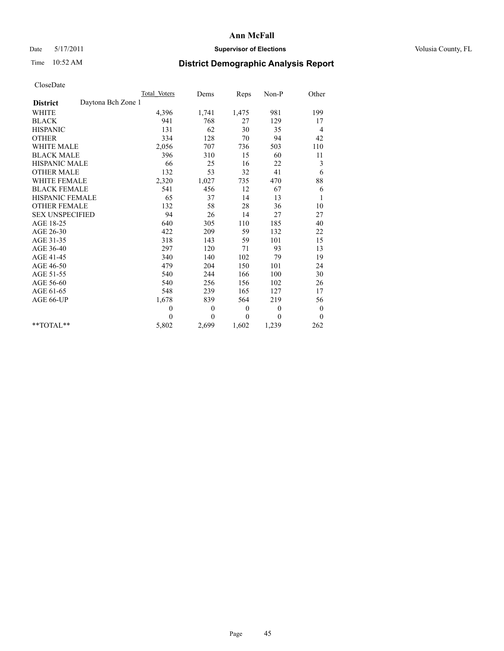## Date 5/17/2011 **Supervisor of Elections Supervisor of Elections** Volusia County, FL

# Time 10:52 AM **District Demographic Analysis Report**

|                                       | Total Voters | Dems     | Reps             | $Non-P$      | Other            |
|---------------------------------------|--------------|----------|------------------|--------------|------------------|
| Daytona Bch Zone 1<br><b>District</b> |              |          |                  |              |                  |
| <b>WHITE</b>                          | 4,396        | 1,741    | 1,475            | 981          | 199              |
| <b>BLACK</b>                          | 941          | 768      | 27               | 129          | 17               |
| <b>HISPANIC</b>                       | 131          | 62       | 30               | 35           | 4                |
| <b>OTHER</b>                          | 334          | 128      | 70               | 94           | 42               |
| <b>WHITE MALE</b>                     | 2,056        | 707      | 736              | 503          | 110              |
| <b>BLACK MALE</b>                     | 396          | 310      | 15               | 60           | 11               |
| HISPANIC MALE                         | 66           | 25       | 16               | 22           | 3                |
| <b>OTHER MALE</b>                     | 132          | 53       | 32               | 41           | 6                |
| <b>WHITE FEMALE</b>                   | 2,320        | 1,027    | 735              | 470          | 88               |
| <b>BLACK FEMALE</b>                   | 541          | 456      | 12               | 67           | 6                |
| HISPANIC FEMALE                       | 65           | 37       | 14               | 13           | 1                |
| <b>OTHER FEMALE</b>                   | 132          | 58       | 28               | 36           | 10               |
| <b>SEX UNSPECIFIED</b>                | 94           | 26       | 14               | 27           | 27               |
| AGE 18-25                             | 640          | 305      | 110              | 185          | 40               |
| AGE 26-30                             | 422          | 209      | 59               | 132          | 22               |
| AGE 31-35                             | 318          | 143      | 59               | 101          | 15               |
| AGE 36-40                             | 297          | 120      | 71               | 93           | 13               |
| AGE 41-45                             | 340          | 140      | 102              | 79           | 19               |
| AGE 46-50                             | 479          | 204      | 150              | 101          | 24               |
| AGE 51-55                             | 540          | 244      | 166              | 100          | 30               |
| AGE 56-60                             | 540          | 256      | 156              | 102          | 26               |
| AGE 61-65                             | 548          | 239      | 165              | 127          | 17               |
| AGE 66-UP                             | 1,678        | 839      | 564              | 219          | 56               |
|                                       | $\theta$     | $\theta$ | $\boldsymbol{0}$ | $\mathbf{0}$ | $\boldsymbol{0}$ |
|                                       | $\theta$     | $\theta$ | $\mathbf{0}$     | $\Omega$     | $\mathbf{0}$     |
| $*$ $TOTAI.**$                        | 5,802        | 2,699    | 1,602            | 1,239        | 262              |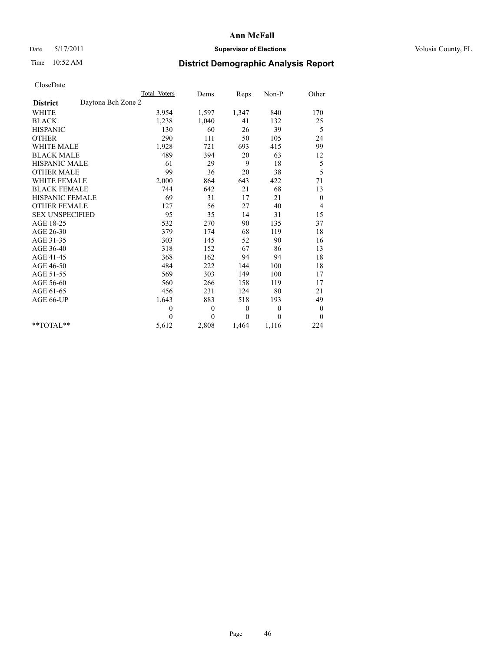## Date 5/17/2011 **Supervisor of Elections Supervisor of Elections** Volusia County, FL

# Time 10:52 AM **District Demographic Analysis Report**

|                                       | Total Voters | Dems         | Reps     | $Non-P$  | Other            |
|---------------------------------------|--------------|--------------|----------|----------|------------------|
| Daytona Bch Zone 2<br><b>District</b> |              |              |          |          |                  |
| <b>WHITE</b>                          | 3,954        | 1,597        | 1,347    | 840      | 170              |
| <b>BLACK</b>                          | 1,238        | 1,040        | 41       | 132      | 25               |
| <b>HISPANIC</b>                       | 130          | 60           | 26       | 39       | 5                |
| <b>OTHER</b>                          | 290          | 111          | 50       | 105      | 24               |
| <b>WHITE MALE</b>                     | 1,928        | 721          | 693      | 415      | 99               |
| <b>BLACK MALE</b>                     | 489          | 394          | 20       | 63       | 12               |
| <b>HISPANIC MALE</b>                  | 61           | 29           | 9        | $18\,$   | 5                |
| <b>OTHER MALE</b>                     | 99           | 36           | 20       | 38       | 5                |
| <b>WHITE FEMALE</b>                   | 2,000        | 864          | 643      | 422      | 71               |
| <b>BLACK FEMALE</b>                   | 744          | 642          | 21       | 68       | 13               |
| HISPANIC FEMALE                       | 69           | 31           | 17       | 21       | $\boldsymbol{0}$ |
| <b>OTHER FEMALE</b>                   | 127          | 56           | 27       | 40       | 4                |
| <b>SEX UNSPECIFIED</b>                | 95           | 35           | 14       | 31       | 15               |
| AGE 18-25                             | 532          | 270          | 90       | 135      | 37               |
| AGE 26-30                             | 379          | 174          | 68       | 119      | 18               |
| AGE 31-35                             | 303          | 145          | 52       | 90       | 16               |
| AGE 36-40                             | 318          | 152          | 67       | 86       | 13               |
| AGE 41-45                             | 368          | 162          | 94       | 94       | 18               |
| AGE 46-50                             | 484          | 222          | 144      | 100      | 18               |
| AGE 51-55                             | 569          | 303          | 149      | 100      | 17               |
| AGE 56-60                             | 560          | 266          | 158      | 119      | 17               |
| AGE 61-65                             | 456          | 231          | 124      | 80       | 21               |
| AGE 66-UP                             | 1,643        | 883          | 518      | 193      | 49               |
|                                       | $\mathbf{0}$ | $\mathbf{0}$ | $\theta$ | $\theta$ | $\boldsymbol{0}$ |
|                                       | $\theta$     | $\theta$     | $\theta$ | $\theta$ | $\theta$         |
| $*$ $TOTAI.**$                        | 5,612        | 2,808        | 1,464    | 1,116    | 224              |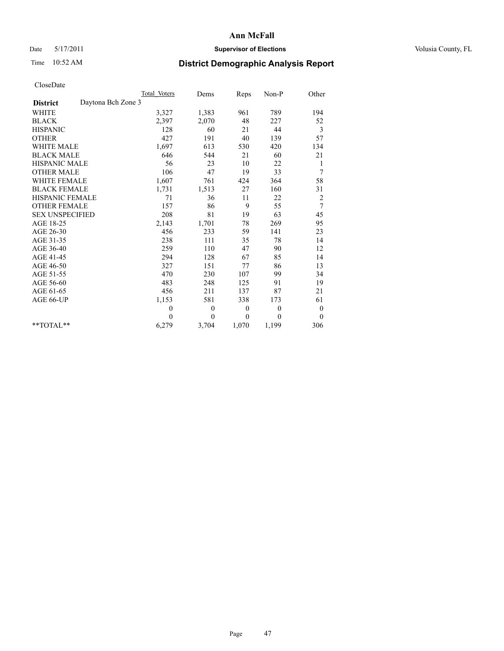## Date 5/17/2011 **Supervisor of Elections Supervisor of Elections** Volusia County, FL

# Time 10:52 AM **District Demographic Analysis Report**

|                                       | Total Voters | Dems         | Reps     | $Non-P$      | Other            |
|---------------------------------------|--------------|--------------|----------|--------------|------------------|
| Daytona Bch Zone 3<br><b>District</b> |              |              |          |              |                  |
| WHITE                                 | 3,327        | 1,383        | 961      | 789          | 194              |
| <b>BLACK</b>                          | 2,397        | 2,070        | 48       | 227          | 52               |
| <b>HISPANIC</b>                       | 128          | 60           | 21       | 44           | 3                |
| <b>OTHER</b>                          | 427          | 191          | 40       | 139          | 57               |
| <b>WHITE MALE</b>                     | 1,697        | 613          | 530      | 420          | 134              |
| <b>BLACK MALE</b>                     | 646          | 544          | 21       | 60           | 21               |
| <b>HISPANIC MALE</b>                  | 56           | 23           | 10       | 22           | $\mathbf{1}$     |
| <b>OTHER MALE</b>                     | 106          | 47           | 19       | 33           | 7                |
| WHITE FEMALE                          | 1,607        | 761          | 424      | 364          | 58               |
| <b>BLACK FEMALE</b>                   | 1,731        | 1,513        | 27       | 160          | 31               |
| HISPANIC FEMALE                       | 71           | 36           | 11       | 22           | 2                |
| <b>OTHER FEMALE</b>                   | 157          | 86           | 9        | 55           | 7                |
| <b>SEX UNSPECIFIED</b>                | 208          | 81           | 19       | 63           | 45               |
| AGE 18-25                             | 2,143        | 1,701        | 78       | 269          | 95               |
| AGE 26-30                             | 456          | 233          | 59       | 141          | 23               |
| AGE 31-35                             | 238          | 111          | 35       | 78           | 14               |
| AGE 36-40                             | 259          | 110          | 47       | 90           | 12               |
| AGE 41-45                             | 294          | 128          | 67       | 85           | 14               |
| AGE 46-50                             | 327          | 151          | 77       | 86           | 13               |
| AGE 51-55                             | 470          | 230          | 107      | 99           | 34               |
| AGE 56-60                             | 483          | 248          | 125      | 91           | 19               |
| AGE 61-65                             | 456          | 211          | 137      | 87           | 21               |
| AGE 66-UP                             | 1,153        | 581          | 338      | 173          | 61               |
|                                       | $\theta$     | $\mathbf{0}$ | $\theta$ | $\mathbf{0}$ | $\boldsymbol{0}$ |
|                                       | $\theta$     | $\theta$     | $\theta$ | $\theta$     | $\theta$         |
| $*$ $TOTAI.**$                        | 6,279        | 3,704        | 1,070    | 1,199        | 306              |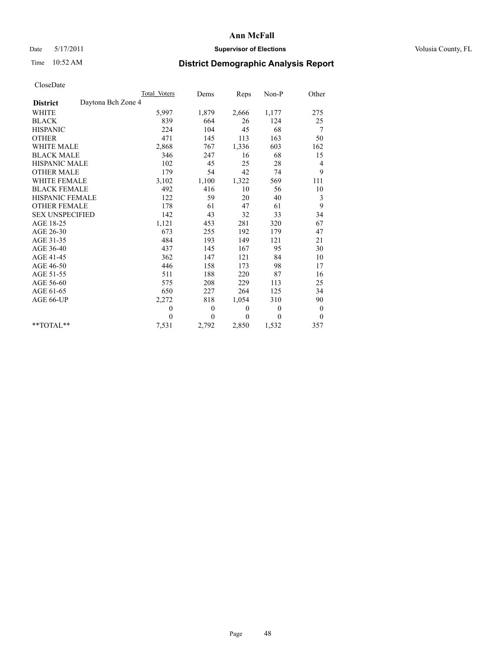## Date 5/17/2011 **Supervisor of Elections Supervisor of Elections** Volusia County, FL

# Time 10:52 AM **District Demographic Analysis Report**

|                                       | Total Voters | Dems         | Reps     | $Non-P$  | Other            |
|---------------------------------------|--------------|--------------|----------|----------|------------------|
| Daytona Bch Zone 4<br><b>District</b> |              |              |          |          |                  |
| <b>WHITE</b>                          | 5,997        | 1,879        | 2,666    | 1,177    | 275              |
| <b>BLACK</b>                          | 839          | 664          | 26       | 124      | 25               |
| <b>HISPANIC</b>                       | 224          | 104          | 45       | 68       | 7                |
| <b>OTHER</b>                          | 471          | 145          | 113      | 163      | 50               |
| <b>WHITE MALE</b>                     | 2,868        | 767          | 1,336    | 603      | 162              |
| <b>BLACK MALE</b>                     | 346          | 247          | 16       | 68       | 15               |
| <b>HISPANIC MALE</b>                  | 102          | 45           | 25       | 28       | 4                |
| <b>OTHER MALE</b>                     | 179          | 54           | 42       | 74       | 9                |
| <b>WHITE FEMALE</b>                   | 3,102        | 1,100        | 1,322    | 569      | 111              |
| <b>BLACK FEMALE</b>                   | 492          | 416          | 10       | 56       | 10               |
| HISPANIC FEMALE                       | 122          | 59           | 20       | 40       | 3                |
| <b>OTHER FEMALE</b>                   | 178          | 61           | 47       | 61       | 9                |
| <b>SEX UNSPECIFIED</b>                | 142          | 43           | 32       | 33       | 34               |
| AGE 18-25                             | 1,121        | 453          | 281      | 320      | 67               |
| AGE 26-30                             | 673          | 255          | 192      | 179      | 47               |
| AGE 31-35                             | 484          | 193          | 149      | 121      | 21               |
| AGE 36-40                             | 437          | 145          | 167      | 95       | 30               |
| AGE 41-45                             | 362          | 147          | 121      | 84       | 10               |
| AGE 46-50                             | 446          | 158          | 173      | 98       | 17               |
| AGE 51-55                             | 511          | 188          | 220      | 87       | 16               |
| AGE 56-60                             | 575          | 208          | 229      | 113      | 25               |
| AGE 61-65                             | 650          | 227          | 264      | 125      | 34               |
| AGE 66-UP                             | 2,272        | 818          | 1,054    | 310      | 90               |
|                                       | $\mathbf{0}$ | $\mathbf{0}$ | $\theta$ | $\theta$ | $\boldsymbol{0}$ |
|                                       | $\theta$     | $\theta$     | $\theta$ | $\theta$ | $\mathbf{0}$     |
| $*$ $TOTAI.**$                        | 7,531        | 2,792        | 2,850    | 1,532    | 357              |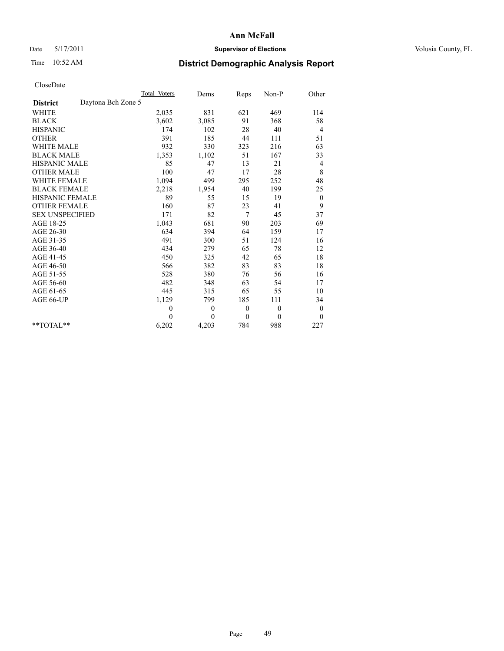## Date 5/17/2011 **Supervisor of Elections Supervisor of Elections** Volusia County, FL

# Time 10:52 AM **District Demographic Analysis Report**

|                                       | Total Voters | Dems         | Reps             | $Non-P$  | Other            |
|---------------------------------------|--------------|--------------|------------------|----------|------------------|
| Daytona Bch Zone 5<br><b>District</b> |              |              |                  |          |                  |
| <b>WHITE</b>                          | 2,035        | 831          | 621              | 469      | 114              |
| <b>BLACK</b>                          | 3,602        | 3,085        | 91               | 368      | 58               |
| <b>HISPANIC</b>                       | 174          | 102          | 28               | 40       | 4                |
| <b>OTHER</b>                          | 391          | 185          | 44               | 111      | 51               |
| <b>WHITE MALE</b>                     | 932          | 330          | 323              | 216      | 63               |
| <b>BLACK MALE</b>                     | 1,353        | 1,102        | 51               | 167      | 33               |
| <b>HISPANIC MALE</b>                  | 85           | 47           | 13               | 21       | $\overline{4}$   |
| <b>OTHER MALE</b>                     | 100          | 47           | 17               | 28       | 8                |
| WHITE FEMALE                          | 1,094        | 499          | 295              | 252      | 48               |
| <b>BLACK FEMALE</b>                   | 2,218        | 1,954        | 40               | 199      | 25               |
| HISPANIC FEMALE                       | 89           | 55           | 15               | 19       | $\boldsymbol{0}$ |
| <b>OTHER FEMALE</b>                   | 160          | 87           | 23               | 41       | 9                |
| <b>SEX UNSPECIFIED</b>                | 171          | 82           | 7                | 45       | 37               |
| AGE 18-25                             | 1,043        | 681          | 90               | 203      | 69               |
| AGE 26-30                             | 634          | 394          | 64               | 159      | 17               |
| AGE 31-35                             | 491          | 300          | 51               | 124      | 16               |
| AGE 36-40                             | 434          | 279          | 65               | 78       | 12               |
| AGE 41-45                             | 450          | 325          | 42               | 65       | 18               |
| AGE 46-50                             | 566          | 382          | 83               | 83       | 18               |
| AGE 51-55                             | 528          | 380          | 76               | 56       | 16               |
| AGE 56-60                             | 482          | 348          | 63               | 54       | 17               |
| AGE 61-65                             | 445          | 315          | 65               | 55       | 10               |
| AGE 66-UP                             | 1,129        | 799          | 185              | 111      | 34               |
|                                       | $\mathbf{0}$ | $\mathbf{0}$ | $\boldsymbol{0}$ | $\theta$ | $\boldsymbol{0}$ |
|                                       | $\theta$     | $\theta$     | $\theta$         | $\theta$ | $\theta$         |
| $*$ $TOTAI.**$                        | 6,202        | 4,203        | 784              | 988      | 227              |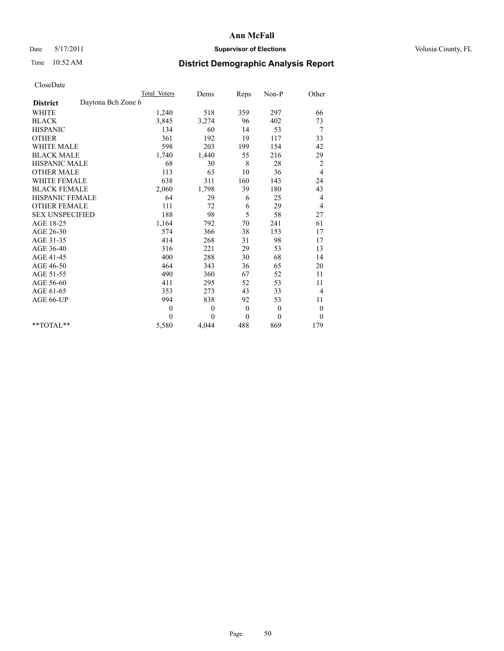## Date 5/17/2011 **Supervisor of Elections Supervisor of Elections** Volusia County, FL

# Time 10:52 AM **District Demographic Analysis Report**

|                                       | Total Voters | Dems         | Reps         | Non-P        | Other            |
|---------------------------------------|--------------|--------------|--------------|--------------|------------------|
| Daytona Bch Zone 6<br><b>District</b> |              |              |              |              |                  |
| WHITE                                 | 1,240        | 518          | 359          | 297          | 66               |
| <b>BLACK</b>                          | 3,845        | 3,274        | 96           | 402          | 73               |
| <b>HISPANIC</b>                       | 134          | 60           | 14           | 53           | 7                |
| <b>OTHER</b>                          | 361          | 192          | 19           | 117          | 33               |
| <b>WHITE MALE</b>                     | 598          | 203          | 199          | 154          | 42               |
| <b>BLACK MALE</b>                     | 1,740        | 1,440        | 55           | 216          | 29               |
| <b>HISPANIC MALE</b>                  | 68           | 30           | 8            | 28           | $\overline{c}$   |
| <b>OTHER MALE</b>                     | 113          | 63           | 10           | 36           | 4                |
| WHITE FEMALE                          | 638          | 311          | 160          | 143          | 24               |
| <b>BLACK FEMALE</b>                   | 2,060        | 1,798        | 39           | 180          | 43               |
| HISPANIC FEMALE                       | 64           | 29           | 6            | 25           | 4                |
| <b>OTHER FEMALE</b>                   | 111          | 72           | 6            | 29           | 4                |
| <b>SEX UNSPECIFIED</b>                | 188          | 98           | 5            | 58           | 27               |
| AGE 18-25                             | 1,164        | 792          | 70           | 241          | 61               |
| AGE 26-30                             | 574          | 366          | 38           | 153          | 17               |
| AGE 31-35                             | 414          | 268          | 31           | 98           | 17               |
| AGE 36-40                             | 316          | 221          | 29           | 53           | 13               |
| AGE 41-45                             | 400          | 288          | 30           | 68           | 14               |
| AGE 46-50                             | 464          | 343          | 36           | 65           | 20               |
| AGE 51-55                             | 490          | 360          | 67           | 52           | 11               |
| AGE 56-60                             | 411          | 295          | 52           | 53           | 11               |
| AGE 61-65                             | 353          | 273          | 43           | 33           | $\overline{4}$   |
| AGE 66-UP                             | 994          | 838          | 92           | 53           | 11               |
|                                       | $\theta$     | $\mathbf{0}$ | $\mathbf{0}$ | $\mathbf{0}$ | $\boldsymbol{0}$ |
|                                       | $\Omega$     | $\theta$     | $\theta$     | $\theta$     | $\theta$         |
| **TOTAL**                             | 5,580        | 4,044        | 488          | 869          | 179              |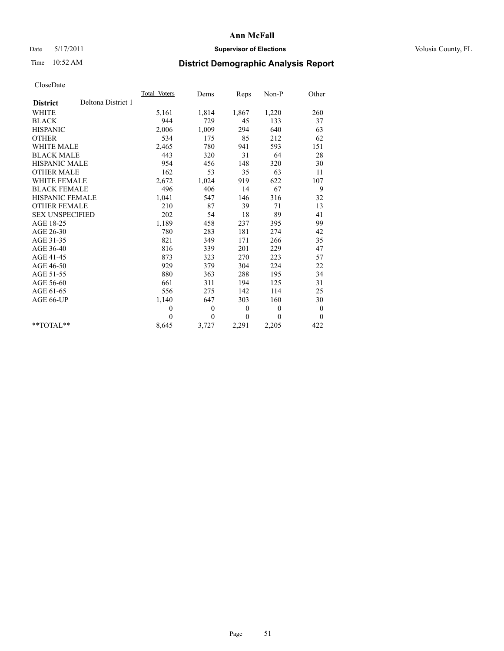## Date 5/17/2011 **Supervisor of Elections Supervisor of Elections** Volusia County, FL

# Time 10:52 AM **District Demographic Analysis Report**

|                        |                    | Total Voters | Dems         | Reps         | Non-P        | Other            |  |
|------------------------|--------------------|--------------|--------------|--------------|--------------|------------------|--|
| <b>District</b>        | Deltona District 1 |              |              |              |              |                  |  |
| <b>WHITE</b>           |                    | 5,161        | 1,814        | 1,867        | 1,220        | 260              |  |
| <b>BLACK</b>           |                    | 944          | 729          | 45           | 133          | 37               |  |
| <b>HISPANIC</b>        |                    | 2,006        | 1,009        | 294          | 640          | 63               |  |
| <b>OTHER</b>           |                    | 534          | 175          | 85           | 212          | 62               |  |
| <b>WHITE MALE</b>      |                    | 2,465        | 780          | 941          | 593          | 151              |  |
| <b>BLACK MALE</b>      |                    | 443          | 320          | 31           | 64           | 28               |  |
| <b>HISPANIC MALE</b>   |                    | 954          | 456          | 148          | 320          | 30               |  |
| <b>OTHER MALE</b>      |                    | 162          | 53           | 35           | 63           | 11               |  |
| <b>WHITE FEMALE</b>    |                    | 2,672        | 1,024        | 919          | 622          | 107              |  |
| <b>BLACK FEMALE</b>    |                    | 496          | 406          | 14           | 67           | 9                |  |
| HISPANIC FEMALE        |                    | 1,041        | 547          | 146          | 316          | 32               |  |
| <b>OTHER FEMALE</b>    |                    | 210          | 87           | 39           | 71           | 13               |  |
| <b>SEX UNSPECIFIED</b> |                    | 202          | 54           | 18           | 89           | 41               |  |
| AGE 18-25              |                    | 1,189        | 458          | 237          | 395          | 99               |  |
| AGE 26-30              |                    | 780          | 283          | 181          | 274          | 42               |  |
| AGE 31-35              |                    | 821          | 349          | 171          | 266          | 35               |  |
| AGE 36-40              |                    | 816          | 339          | 201          | 229          | 47               |  |
| AGE 41-45              |                    | 873          | 323          | 270          | 223          | 57               |  |
| AGE 46-50              |                    | 929          | 379          | 304          | 224          | 22               |  |
| AGE 51-55              |                    | 880          | 363          | 288          | 195          | 34               |  |
| AGE 56-60              |                    | 661          | 311          | 194          | 125          | 31               |  |
| AGE 61-65              |                    | 556          | 275          | 142          | 114          | 25               |  |
| AGE 66-UP              |                    | 1,140        | 647          | 303          | 160          | 30               |  |
|                        |                    | $\mathbf{0}$ | $\mathbf{0}$ | $\mathbf{0}$ | $\mathbf{0}$ | $\boldsymbol{0}$ |  |
|                        |                    | $\Omega$     | $\theta$     | $\theta$     | $\theta$     | $\theta$         |  |
| $*$ $TOTAI.**$         |                    | 8,645        | 3,727        | 2,291        | 2,205        | 422              |  |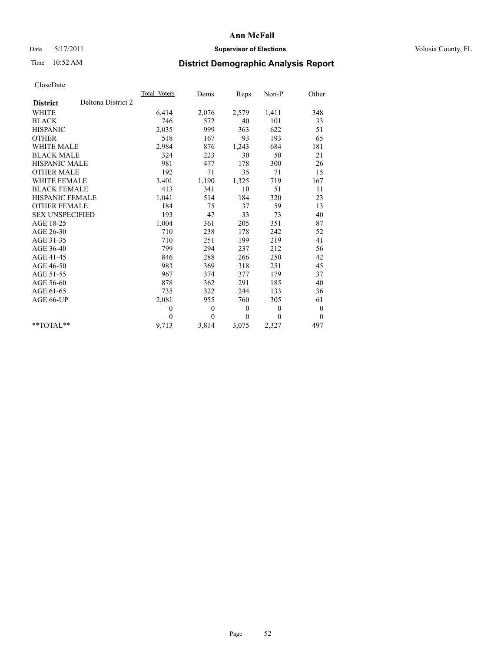## Date 5/17/2011 **Supervisor of Elections Supervisor of Elections** Volusia County, FL

# Time 10:52 AM **District Demographic Analysis Report**

|                                       | Total Voters | Dems         | Reps         | Non-P        | Other            |
|---------------------------------------|--------------|--------------|--------------|--------------|------------------|
| Deltona District 2<br><b>District</b> |              |              |              |              |                  |
| <b>WHITE</b>                          | 6,414        | 2,076        | 2,579        | 1,411        | 348              |
| <b>BLACK</b>                          | 746          | 572          | 40           | 101          | 33               |
| <b>HISPANIC</b>                       | 2,035        | 999          | 363          | 622          | 51               |
| <b>OTHER</b>                          | 518          | 167          | 93           | 193          | 65               |
| <b>WHITE MALE</b>                     | 2,984        | 876          | 1,243        | 684          | 181              |
| <b>BLACK MALE</b>                     | 324          | 223          | 30           | 50           | 21               |
| <b>HISPANIC MALE</b>                  | 981          | 477          | 178          | 300          | 26               |
| <b>OTHER MALE</b>                     | 192          | 71           | 35           | 71           | 15               |
| <b>WHITE FEMALE</b>                   | 3,401        | 1,190        | 1,325        | 719          | 167              |
| <b>BLACK FEMALE</b>                   | 413          | 341          | 10           | 51           | 11               |
| HISPANIC FEMALE                       | 1,041        | 514          | 184          | 320          | 23               |
| <b>OTHER FEMALE</b>                   | 184          | 75           | 37           | 59           | 13               |
| <b>SEX UNSPECIFIED</b>                | 193          | 47           | 33           | 73           | 40               |
| AGE 18-25                             | 1,004        | 361          | 205          | 351          | 87               |
| AGE 26-30                             | 710          | 238          | 178          | 242          | 52               |
| AGE 31-35                             | 710          | 251          | 199          | 219          | 41               |
| AGE 36-40                             | 799          | 294          | 237          | 212          | 56               |
| AGE 41-45                             | 846          | 288          | 266          | 250          | 42               |
| AGE 46-50                             | 983          | 369          | 318          | 251          | 45               |
| AGE 51-55                             | 967          | 374          | 377          | 179          | 37               |
| AGE 56-60                             | 878          | 362          | 291          | 185          | 40               |
| AGE 61-65                             | 735          | 322          | 244          | 133          | 36               |
| AGE 66-UP                             | 2,081        | 955          | 760          | 305          | 61               |
|                                       | $\mathbf{0}$ | $\mathbf{0}$ | $\mathbf{0}$ | $\mathbf{0}$ | $\boldsymbol{0}$ |
|                                       | $\theta$     | $\theta$     | $\theta$     | $\theta$     | $\mathbf{0}$     |
| $*$ $TOTAI.**$                        | 9,713        | 3,814        | 3,075        | 2,327        | 497              |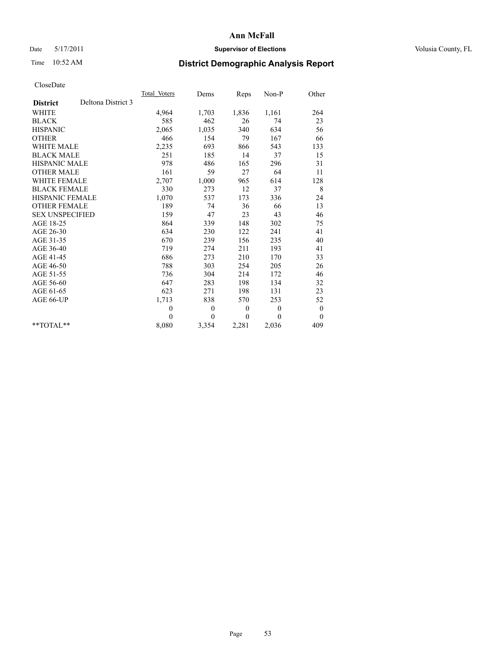## Date 5/17/2011 **Supervisor of Elections Supervisor of Elections** Volusia County, FL

# Time 10:52 AM **District Demographic Analysis Report**

|                        |                    | Total Voters | Dems         | Reps         | $Non-P$      | Other            |  |
|------------------------|--------------------|--------------|--------------|--------------|--------------|------------------|--|
| <b>District</b>        | Deltona District 3 |              |              |              |              |                  |  |
| <b>WHITE</b>           |                    | 4,964        | 1,703        | 1,836        | 1,161        | 264              |  |
| <b>BLACK</b>           |                    | 585          | 462          | 26           | 74           | 23               |  |
| <b>HISPANIC</b>        |                    | 2,065        | 1,035        | 340          | 634          | 56               |  |
| <b>OTHER</b>           |                    | 466          | 154          | 79           | 167          | 66               |  |
| <b>WHITE MALE</b>      |                    | 2,235        | 693          | 866          | 543          | 133              |  |
| <b>BLACK MALE</b>      |                    | 251          | 185          | 14           | 37           | 15               |  |
| <b>HISPANIC MALE</b>   |                    | 978          | 486          | 165          | 296          | 31               |  |
| <b>OTHER MALE</b>      |                    | 161          | 59           | 27           | 64           | 11               |  |
| <b>WHITE FEMALE</b>    |                    | 2,707        | 1,000        | 965          | 614          | 128              |  |
| <b>BLACK FEMALE</b>    |                    | 330          | 273          | 12           | 37           | 8                |  |
| HISPANIC FEMALE        |                    | 1,070        | 537          | 173          | 336          | 24               |  |
| <b>OTHER FEMALE</b>    |                    | 189          | 74           | 36           | 66           | 13               |  |
| <b>SEX UNSPECIFIED</b> |                    | 159          | 47           | 23           | 43           | 46               |  |
| AGE 18-25              |                    | 864          | 339          | 148          | 302          | 75               |  |
| AGE 26-30              |                    | 634          | 230          | 122          | 241          | 41               |  |
| AGE 31-35              |                    | 670          | 239          | 156          | 235          | 40               |  |
| AGE 36-40              |                    | 719          | 274          | 211          | 193          | 41               |  |
| AGE 41-45              |                    | 686          | 273          | 210          | 170          | 33               |  |
| AGE 46-50              |                    | 788          | 303          | 254          | 205          | 26               |  |
| AGE 51-55              |                    | 736          | 304          | 214          | 172          | 46               |  |
| AGE 56-60              |                    | 647          | 283          | 198          | 134          | 32               |  |
| AGE 61-65              |                    | 623          | 271          | 198          | 131          | 23               |  |
| AGE 66-UP              |                    | 1,713        | 838          | 570          | 253          | 52               |  |
|                        |                    | $\mathbf{0}$ | $\mathbf{0}$ | $\mathbf{0}$ | $\mathbf{0}$ | $\boldsymbol{0}$ |  |
|                        |                    | $\theta$     | $\theta$     | $\theta$     | $\theta$     | $\theta$         |  |
| $*$ $TOTAI.**$         |                    | 8,080        | 3,354        | 2,281        | 2,036        | 409              |  |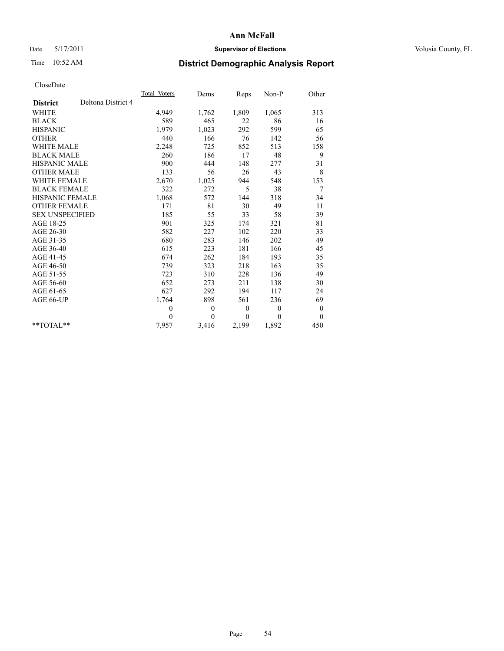## Date 5/17/2011 **Supervisor of Elections Supervisor of Elections** Volusia County, FL

# Time 10:52 AM **District Demographic Analysis Report**

|                                       | Total Voters | Dems         | Reps         | Non-P        | Other            |  |
|---------------------------------------|--------------|--------------|--------------|--------------|------------------|--|
| Deltona District 4<br><b>District</b> |              |              |              |              |                  |  |
| <b>WHITE</b>                          | 4,949        | 1,762        | 1,809        | 1,065        | 313              |  |
| <b>BLACK</b>                          | 589          | 465          | 22           | 86           | 16               |  |
| <b>HISPANIC</b>                       | 1,979        | 1,023        | 292          | 599          | 65               |  |
| <b>OTHER</b>                          | 440          | 166          | 76           | 142          | 56               |  |
| <b>WHITE MALE</b>                     | 2,248        | 725          | 852          | 513          | 158              |  |
| <b>BLACK MALE</b>                     | 260          | 186          | 17           | 48           | 9                |  |
| <b>HISPANIC MALE</b>                  | 900          | 444          | 148          | 277          | 31               |  |
| <b>OTHER MALE</b>                     | 133          | 56           | 26           | 43           | 8                |  |
| WHITE FEMALE                          | 2,670        | 1,025        | 944          | 548          | 153              |  |
| <b>BLACK FEMALE</b>                   | 322          | 272          | 5            | 38           | 7                |  |
| HISPANIC FEMALE                       | 1,068        | 572          | 144          | 318          | 34               |  |
| <b>OTHER FEMALE</b>                   | 171          | 81           | 30           | 49           | 11               |  |
| <b>SEX UNSPECIFIED</b>                | 185          | 55           | 33           | 58           | 39               |  |
| AGE 18-25                             | 901          | 325          | 174          | 321          | 81               |  |
| AGE 26-30                             | 582          | 227          | 102          | 220          | 33               |  |
| AGE 31-35                             | 680          | 283          | 146          | 202          | 49               |  |
| AGE 36-40                             | 615          | 223          | 181          | 166          | 45               |  |
| AGE 41-45                             | 674          | 262          | 184          | 193          | 35               |  |
| AGE 46-50                             | 739          | 323          | 218          | 163          | 35               |  |
| AGE 51-55                             | 723          | 310          | 228          | 136          | 49               |  |
| AGE 56-60                             | 652          | 273          | 211          | 138          | 30               |  |
| AGE 61-65                             | 627          | 292          | 194          | 117          | 24               |  |
| AGE 66-UP                             | 1,764        | 898          | 561          | 236          | 69               |  |
|                                       | $\theta$     | $\mathbf{0}$ | $\mathbf{0}$ | $\mathbf{0}$ | $\boldsymbol{0}$ |  |
|                                       | $\theta$     | $\theta$     | $\mathbf{0}$ | $\theta$     | $\mathbf{0}$     |  |
| $*$ $TOTAI.**$                        | 7,957        | 3,416        | 2,199        | 1,892        | 450              |  |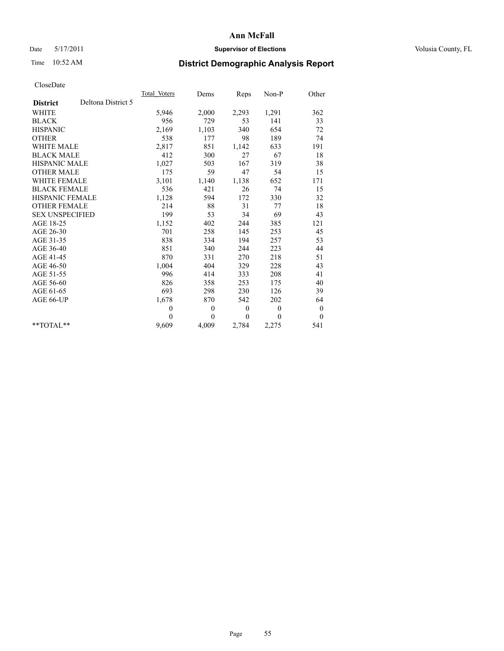## Date 5/17/2011 **Supervisor of Elections Supervisor of Elections** Volusia County, FL

# Time 10:52 AM **District Demographic Analysis Report**

|                                       | Total Voters | Dems         | Reps         | Non-P        | Other            |  |
|---------------------------------------|--------------|--------------|--------------|--------------|------------------|--|
| Deltona District 5<br><b>District</b> |              |              |              |              |                  |  |
| <b>WHITE</b>                          | 5,946        | 2,000        | 2,293        | 1,291        | 362              |  |
| <b>BLACK</b>                          | 956          | 729          | 53           | 141          | 33               |  |
| <b>HISPANIC</b>                       | 2,169        | 1,103        | 340          | 654          | 72               |  |
| <b>OTHER</b>                          | 538          | 177          | 98           | 189          | 74               |  |
| <b>WHITE MALE</b>                     | 2,817        | 851          | 1,142        | 633          | 191              |  |
| <b>BLACK MALE</b>                     | 412          | 300          | 27           | 67           | 18               |  |
| <b>HISPANIC MALE</b>                  | 1,027        | 503          | 167          | 319          | 38               |  |
| <b>OTHER MALE</b>                     | 175          | 59           | 47           | 54           | 15               |  |
| <b>WHITE FEMALE</b>                   | 3,101        | 1,140        | 1,138        | 652          | 171              |  |
| <b>BLACK FEMALE</b>                   | 536          | 421          | 26           | 74           | 15               |  |
| HISPANIC FEMALE                       | 1,128        | 594          | 172          | 330          | 32               |  |
| <b>OTHER FEMALE</b>                   | 214          | 88           | 31           | 77           | 18               |  |
| <b>SEX UNSPECIFIED</b>                | 199          | 53           | 34           | 69           | 43               |  |
| AGE 18-25                             | 1,152        | 402          | 244          | 385          | 121              |  |
| AGE 26-30                             | 701          | 258          | 145          | 253          | 45               |  |
| AGE 31-35                             | 838          | 334          | 194          | 257          | 53               |  |
| AGE 36-40                             | 851          | 340          | 244          | 223          | 44               |  |
| AGE 41-45                             | 870          | 331          | 270          | 218          | 51               |  |
| AGE 46-50                             | 1,004        | 404          | 329          | 228          | 43               |  |
| AGE 51-55                             | 996          | 414          | 333          | 208          | 41               |  |
| AGE 56-60                             | 826          | 358          | 253          | 175          | 40               |  |
| AGE 61-65                             | 693          | 298          | 230          | 126          | 39               |  |
| AGE 66-UP                             | 1,678        | 870          | 542          | 202          | 64               |  |
|                                       | $\mathbf{0}$ | $\mathbf{0}$ | $\mathbf{0}$ | $\mathbf{0}$ | $\boldsymbol{0}$ |  |
|                                       | $\theta$     | $\theta$     | $\theta$     | $\theta$     | $\boldsymbol{0}$ |  |
| $*$ $TOTAI.**$                        | 9,609        | 4,009        | 2,784        | 2,275        | 541              |  |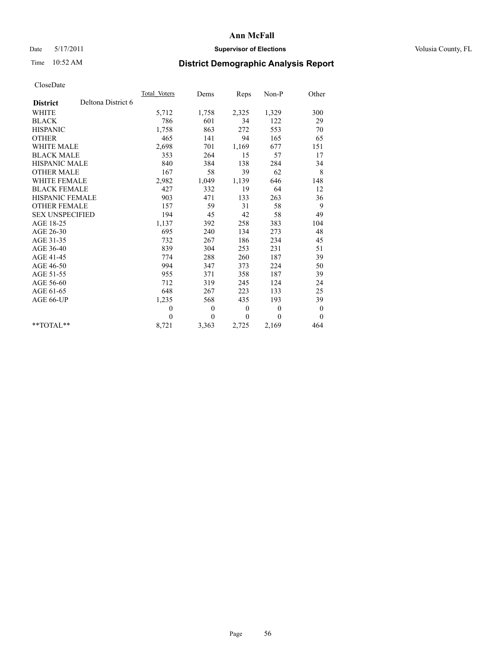## Date 5/17/2011 **Supervisor of Elections Supervisor of Elections** Volusia County, FL

# Time 10:52 AM **District Demographic Analysis Report**

|                                       | Total Voters | Dems         | Reps         | Non-P          | Other            |  |
|---------------------------------------|--------------|--------------|--------------|----------------|------------------|--|
| Deltona District 6<br><b>District</b> |              |              |              |                |                  |  |
| <b>WHITE</b>                          | 5,712        | 1,758        | 2,325        | 1,329          | 300              |  |
| <b>BLACK</b>                          | 786          | 601          | 34           | 122            | 29               |  |
| <b>HISPANIC</b>                       | 1,758        | 863          | 272          | 553            | 70               |  |
| <b>OTHER</b>                          | 465          | 141          | 94           | 165            | 65               |  |
| <b>WHITE MALE</b>                     | 2,698        | 701          | 1,169        | 677            | 151              |  |
| <b>BLACK MALE</b>                     | 353          | 264          | 15           | 57             | 17               |  |
| <b>HISPANIC MALE</b>                  | 840          | 384          | 138          | 284            | 34               |  |
| <b>OTHER MALE</b>                     | 167          | 58           | 39           | 62             | 8                |  |
| WHITE FEMALE                          | 2,982        | 1,049        | 1,139        | 646            | 148              |  |
| <b>BLACK FEMALE</b>                   | 427          | 332          | 19           | 64             | 12               |  |
| HISPANIC FEMALE                       | 903          | 471          | 133          | 263            | 36               |  |
| <b>OTHER FEMALE</b>                   | 157          | 59           | 31           | 58             | 9                |  |
| <b>SEX UNSPECIFIED</b>                | 194          | 45           | 42           | 58             | 49               |  |
| AGE 18-25                             | 1,137        | 392          | 258          | 383            | 104              |  |
| AGE 26-30                             | 695          | 240          | 134          | 273            | 48               |  |
| AGE 31-35                             | 732          | 267          | 186          | 234            | 45               |  |
| AGE 36-40                             | 839          | 304          | 253          | 231            | 51               |  |
| AGE 41-45                             | 774          | 288          | 260          | 187            | 39               |  |
| AGE 46-50                             | 994          | 347          | 373          | 224            | 50               |  |
| AGE 51-55                             | 955          | 371          | 358          | 187            | 39               |  |
| AGE 56-60                             | 712          | 319          | 245          | 124            | 24               |  |
| AGE 61-65                             | 648          | 267          | 223          | 133            | 25               |  |
| AGE 66-UP                             | 1,235        | 568          | 435          | 193            | 39               |  |
|                                       | $\theta$     | $\mathbf{0}$ | $\mathbf{0}$ | $\overline{0}$ | $\boldsymbol{0}$ |  |
|                                       | $\theta$     | $\theta$     | $\theta$     | $\theta$       | $\theta$         |  |
| $*$ $TOTAI.**$                        | 8,721        | 3,363        | 2,725        | 2,169          | 464              |  |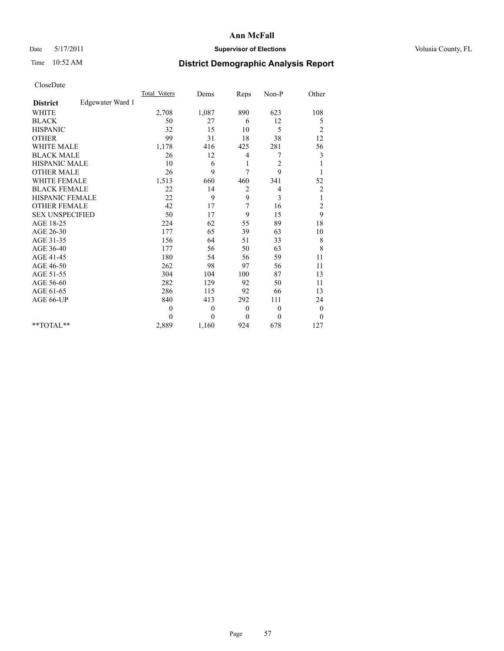## Date 5/17/2011 **Supervisor of Elections Supervisor of Elections** Volusia County, FL

# Time 10:52 AM **District Demographic Analysis Report**

|                                     | Total Voters | Dems         | Reps           | Non-P          | Other                   |  |
|-------------------------------------|--------------|--------------|----------------|----------------|-------------------------|--|
| Edgewater Ward 1<br><b>District</b> |              |              |                |                |                         |  |
| <b>WHITE</b>                        | 2,708        | 1,087        | 890            | 623            | 108                     |  |
| <b>BLACK</b>                        | 50           | 27           | 6              | 12             | 5                       |  |
| <b>HISPANIC</b>                     | 32           | 15           | 10             | 5              | $\overline{c}$          |  |
| <b>OTHER</b>                        | 99           | 31           | 18             | 38             | 12                      |  |
| <b>WHITE MALE</b>                   | 1,178        | 416          | 425            | 281            | 56                      |  |
| <b>BLACK MALE</b>                   | 26           | 12           | $\overline{4}$ | 7              | 3                       |  |
| HISPANIC MALE                       | 10           | 6            | 1              | $\overline{2}$ |                         |  |
| <b>OTHER MALE</b>                   | 26           | 9            | 7              | 9              |                         |  |
| <b>WHITE FEMALE</b>                 | 1,513        | 660          | 460            | 341            | 52                      |  |
| <b>BLACK FEMALE</b>                 | 22           | 14           | 2              | 4              | $\overline{c}$          |  |
| HISPANIC FEMALE                     | 22           | 9            | 9              | 3              | 1                       |  |
| <b>OTHER FEMALE</b>                 | 42           | 17           | 7              | 16             | $\overline{\mathbf{c}}$ |  |
| <b>SEX UNSPECIFIED</b>              | 50           | 17           | 9              | 15             | 9                       |  |
| AGE 18-25                           | 224          | 62           | 55             | 89             | 18                      |  |
| AGE 26-30                           | 177          | 65           | 39             | 63             | 10                      |  |
| AGE 31-35                           | 156          | 64           | 51             | 33             | $\,$ $\,$               |  |
| AGE 36-40                           | 177          | 56           | 50             | 63             | 8                       |  |
| AGE 41-45                           | 180          | 54           | 56             | 59             | 11                      |  |
| AGE 46-50                           | 262          | 98           | 97             | 56             | 11                      |  |
| AGE 51-55                           | 304          | 104          | 100            | 87             | 13                      |  |
| AGE 56-60                           | 282          | 129          | 92             | 50             | 11                      |  |
| AGE 61-65                           | 286          | 115          | 92             | 66             | 13                      |  |
| AGE 66-UP                           | 840          | 413          | 292            | 111            | 24                      |  |
|                                     | $\theta$     | $\mathbf{0}$ | $\theta$       | $\theta$       | $\boldsymbol{0}$        |  |
|                                     | $\theta$     | $\theta$     | $\theta$       | $\theta$       | $\theta$                |  |
| $*$ $TOTAI.**$                      | 2,889        | 1,160        | 924            | 678            | 127                     |  |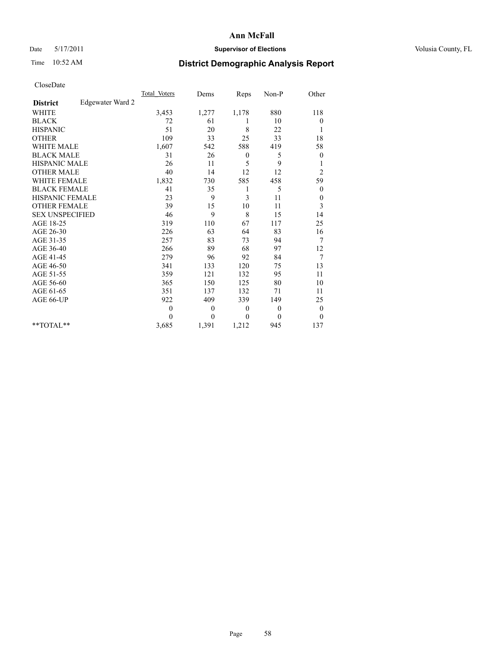## Date 5/17/2011 **Supervisor of Elections Supervisor of Elections** Volusia County, FL

# Time 10:52 AM **District Demographic Analysis Report**

|                                     | <b>Total Voters</b> | Dems             | Reps         | Non-P        | Other            |  |
|-------------------------------------|---------------------|------------------|--------------|--------------|------------------|--|
| Edgewater Ward 2<br><b>District</b> |                     |                  |              |              |                  |  |
| <b>WHITE</b>                        | 3,453               | 1,277            | 1,178        | 880          | 118              |  |
| <b>BLACK</b>                        | 72                  | 61               |              | 10           | $\boldsymbol{0}$ |  |
| <b>HISPANIC</b>                     | 51                  | 20               | 8            | 22           | 1                |  |
| <b>OTHER</b>                        | 109                 | 33               | 25           | 33           | 18               |  |
| <b>WHITE MALE</b>                   | 1,607               | 542              | 588          | 419          | 58               |  |
| <b>BLACK MALE</b>                   | 31                  | 26               | $\mathbf{0}$ | 5            | $\boldsymbol{0}$ |  |
| <b>HISPANIC MALE</b>                | 26                  | 11               | 5            | 9            | 1                |  |
| <b>OTHER MALE</b>                   | 40                  | 14               | 12           | 12           | $\overline{c}$   |  |
| <b>WHITE FEMALE</b>                 | 1,832               | 730              | 585          | 458          | 59               |  |
| <b>BLACK FEMALE</b>                 | 41                  | 35               | 1            | 5            | $\boldsymbol{0}$ |  |
| HISPANIC FEMALE                     | 23                  | 9                | 3            | 11           | $\boldsymbol{0}$ |  |
| <b>OTHER FEMALE</b>                 | 39                  | 15               | 10           | 11           | 3                |  |
| <b>SEX UNSPECIFIED</b>              | 46                  | 9                | 8            | 15           | 14               |  |
| AGE 18-25                           | 319                 | 110              | 67           | 117          | 25               |  |
| AGE 26-30                           | 226                 | 63               | 64           | 83           | 16               |  |
| AGE 31-35                           | 257                 | 83               | 73           | 94           | 7                |  |
| AGE 36-40                           | 266                 | 89               | 68           | 97           | 12               |  |
| AGE 41-45                           | 279                 | 96               | 92           | 84           | 7                |  |
| AGE 46-50                           | 341                 | 133              | 120          | 75           | 13               |  |
| AGE 51-55                           | 359                 | 121              | 132          | 95           | 11               |  |
| AGE 56-60                           | 365                 | 150              | 125          | 80           | 10               |  |
| AGE 61-65                           | 351                 | 137              | 132          | 71           | 11               |  |
| AGE 66-UP                           | 922                 | 409              | 339          | 149          | 25               |  |
|                                     | $\mathbf{0}$        | $\boldsymbol{0}$ | $\mathbf{0}$ | $\mathbf{0}$ | $\boldsymbol{0}$ |  |
|                                     | $\Omega$            | $\theta$         | $\theta$     | $\theta$     | $\theta$         |  |
| $*$ $TOTAI.**$                      | 3,685               | 1,391            | 1,212        | 945          | 137              |  |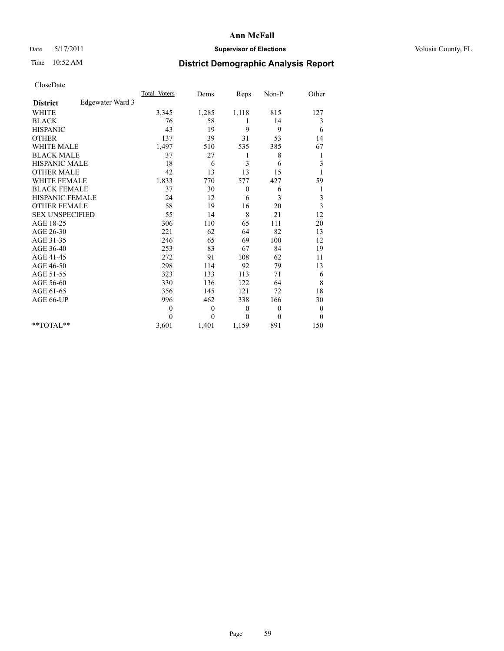## Date 5/17/2011 **Supervisor of Elections Supervisor of Elections** Volusia County, FL

# Time 10:52 AM **District Demographic Analysis Report**

|                                     | <b>Total Voters</b> | Dems             | Reps         | Non-P        | Other            |  |
|-------------------------------------|---------------------|------------------|--------------|--------------|------------------|--|
| Edgewater Ward 3<br><b>District</b> |                     |                  |              |              |                  |  |
| <b>WHITE</b>                        | 3,345               | 1,285            | 1,118        | 815          | 127              |  |
| <b>BLACK</b>                        | 76                  | 58               |              | 14           | 3                |  |
| <b>HISPANIC</b>                     | 43                  | 19               | 9            | 9            | 6                |  |
| <b>OTHER</b>                        | 137                 | 39               | 31           | 53           | 14               |  |
| <b>WHITE MALE</b>                   | 1,497               | 510              | 535          | 385          | 67               |  |
| <b>BLACK MALE</b>                   | 37                  | 27               | 1            | 8            | 1                |  |
| <b>HISPANIC MALE</b>                | 18                  | 6                | 3            | 6            | 3                |  |
| <b>OTHER MALE</b>                   | 42                  | 13               | 13           | 15           |                  |  |
| WHITE FEMALE                        | 1,833               | 770              | 577          | 427          | 59               |  |
| <b>BLACK FEMALE</b>                 | 37                  | 30               | $\mathbf{0}$ | 6            | 1                |  |
| HISPANIC FEMALE                     | 24                  | 12               | 6            | 3            | 3                |  |
| <b>OTHER FEMALE</b>                 | 58                  | 19               | 16           | 20           | 3                |  |
| <b>SEX UNSPECIFIED</b>              | 55                  | 14               | 8            | 21           | 12               |  |
| AGE 18-25                           | 306                 | 110              | 65           | 111          | 20               |  |
| AGE 26-30                           | 221                 | 62               | 64           | 82           | 13               |  |
| AGE 31-35                           | 246                 | 65               | 69           | 100          | 12               |  |
| AGE 36-40                           | 253                 | 83               | 67           | 84           | 19               |  |
| AGE 41-45                           | 272                 | 91               | 108          | 62           | 11               |  |
| AGE 46-50                           | 298                 | 114              | 92           | 79           | 13               |  |
| AGE 51-55                           | 323                 | 133              | 113          | 71           | 6                |  |
| AGE 56-60                           | 330                 | 136              | 122          | 64           | 8                |  |
| AGE 61-65                           | 356                 | 145              | 121          | 72           | 18               |  |
| AGE 66-UP                           | 996                 | 462              | 338          | 166          | 30               |  |
|                                     | $\mathbf{0}$        | $\boldsymbol{0}$ | $\mathbf{0}$ | $\theta$     | $\boldsymbol{0}$ |  |
|                                     | $\Omega$            | $\theta$         | $\theta$     | $\mathbf{0}$ | $\mathbf{0}$     |  |
| $*$ $TOTAI.**$                      | 3,601               | 1,401            | 1,159        | 891          | 150              |  |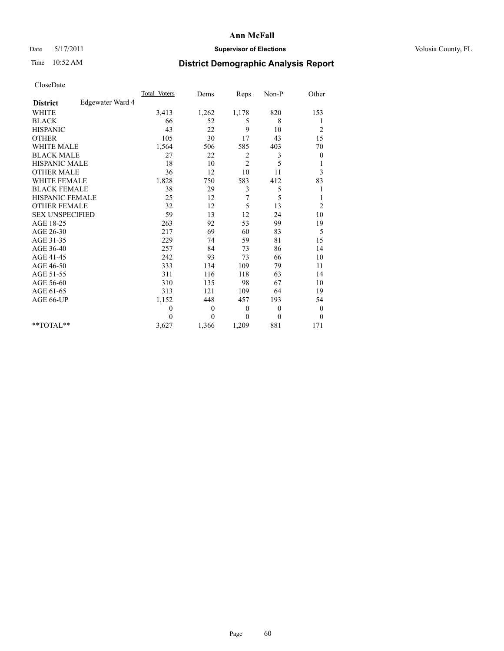## Date 5/17/2011 **Supervisor of Elections Supervisor of Elections** Volusia County, FL

# Time 10:52 AM **District Demographic Analysis Report**

|                                     | <b>Total Voters</b> | Dems             | Reps           | $Non-P$      | Other            |  |
|-------------------------------------|---------------------|------------------|----------------|--------------|------------------|--|
| Edgewater Ward 4<br><b>District</b> |                     |                  |                |              |                  |  |
| <b>WHITE</b>                        | 3,413               | 1,262            | 1,178          | 820          | 153              |  |
| <b>BLACK</b>                        | 66                  | 52               | 5              | 8            | 1                |  |
| <b>HISPANIC</b>                     | 43                  | 22               | 9              | 10           | $\overline{c}$   |  |
| <b>OTHER</b>                        | 105                 | 30               | 17             | 43           | 15               |  |
| <b>WHITE MALE</b>                   | 1,564               | 506              | 585            | 403          | 70               |  |
| <b>BLACK MALE</b>                   | 27                  | 22               | 2              | 3            | $\boldsymbol{0}$ |  |
| <b>HISPANIC MALE</b>                | 18                  | 10               | $\overline{c}$ | 5            | 1                |  |
| <b>OTHER MALE</b>                   | 36                  | 12               | 10             | 11           | 3                |  |
| <b>WHITE FEMALE</b>                 | 1,828               | 750              | 583            | 412          | 83               |  |
| <b>BLACK FEMALE</b>                 | 38                  | 29               | 3              | 5            | 1                |  |
| HISPANIC FEMALE                     | 25                  | 12               | 7              | 5            | 1                |  |
| <b>OTHER FEMALE</b>                 | 32                  | 12               | 5              | 13           | $\overline{2}$   |  |
| <b>SEX UNSPECIFIED</b>              | 59                  | 13               | 12             | 24           | 10               |  |
| AGE 18-25                           | 263                 | 92               | 53             | 99           | 19               |  |
| AGE 26-30                           | 217                 | 69               | 60             | 83           | 5                |  |
| AGE 31-35                           | 229                 | 74               | 59             | 81           | 15               |  |
| AGE 36-40                           | 257                 | 84               | 73             | 86           | 14               |  |
| AGE 41-45                           | 242                 | 93               | 73             | 66           | $10\,$           |  |
| AGE 46-50                           | 333                 | 134              | 109            | 79           | 11               |  |
| AGE 51-55                           | 311                 | 116              | 118            | 63           | 14               |  |
| AGE 56-60                           | 310                 | 135              | 98             | 67           | 10               |  |
| AGE 61-65                           | 313                 | 121              | 109            | 64           | 19               |  |
| AGE 66-UP                           | 1,152               | 448              | 457            | 193          | 54               |  |
|                                     | $\mathbf{0}$        | $\boldsymbol{0}$ | $\mathbf{0}$   | $\theta$     | $\boldsymbol{0}$ |  |
|                                     | $\Omega$            | $\theta$         | $\theta$       | $\mathbf{0}$ | $\theta$         |  |
| $*$ $TOTAI.**$                      | 3,627               | 1,366            | 1,209          | 881          | 171              |  |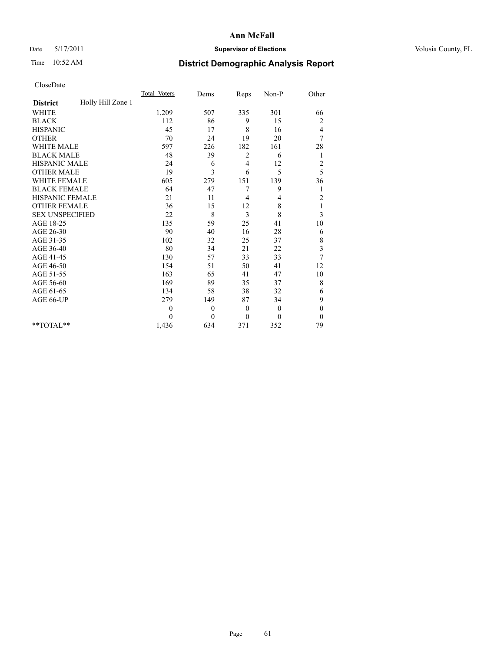## Date 5/17/2011 **Supervisor of Elections Supervisor of Elections** Volusia County, FL

# Time 10:52 AM **District Demographic Analysis Report**

|                                      | <b>Total Voters</b> | Dems     | Reps           | Non-P        | Other                   |  |
|--------------------------------------|---------------------|----------|----------------|--------------|-------------------------|--|
| Holly Hill Zone 1<br><b>District</b> |                     |          |                |              |                         |  |
| <b>WHITE</b>                         | 1,209               | 507      | 335            | 301          | 66                      |  |
| <b>BLACK</b>                         | 112                 | 86       | 9              | 15           | $\overline{\mathbf{c}}$ |  |
| <b>HISPANIC</b>                      | 45                  | 17       | 8              | 16           | 4                       |  |
| <b>OTHER</b>                         | 70                  | 24       | 19             | 20           | 7                       |  |
| <b>WHITE MALE</b>                    | 597                 | 226      | 182            | 161          | 28                      |  |
| <b>BLACK MALE</b>                    | 48                  | 39       | 2              | 6            | 1                       |  |
| HISPANIC MALE                        | 24                  | 6        | $\overline{4}$ | 12           | $\overline{c}$          |  |
| <b>OTHER MALE</b>                    | 19                  | 3        | 6              | 5            | 5                       |  |
| <b>WHITE FEMALE</b>                  | 605                 | 279      | 151            | 139          | 36                      |  |
| <b>BLACK FEMALE</b>                  | 64                  | 47       | 7              | 9            | 1                       |  |
| HISPANIC FEMALE                      | 21                  | 11       | 4              | 4            | $\overline{c}$          |  |
| <b>OTHER FEMALE</b>                  | 36                  | 15       | 12             | $\,$ 8 $\,$  | $\mathbf{1}$            |  |
| <b>SEX UNSPECIFIED</b>               | 22                  | 8        | 3              | 8            | 3                       |  |
| AGE 18-25                            | 135                 | 59       | 25             | 41           | $10\,$                  |  |
| AGE 26-30                            | 90                  | 40       | 16             | 28           | 6                       |  |
| AGE 31-35                            | 102                 | 32       | 25             | 37           | 8                       |  |
| AGE 36-40                            | 80                  | 34       | 21             | 22           | 3                       |  |
| AGE 41-45                            | 130                 | 57       | 33             | 33           | 7                       |  |
| AGE 46-50                            | 154                 | 51       | 50             | 41           | 12                      |  |
| AGE 51-55                            | 163                 | 65       | 41             | 47           | 10                      |  |
| AGE 56-60                            | 169                 | 89       | 35             | 37           | 8                       |  |
| AGE 61-65                            | 134                 | 58       | 38             | 32           | 6                       |  |
| AGE 66-UP                            | 279                 | 149      | 87             | 34           | 9                       |  |
|                                      | $\mathbf{0}$        | $\theta$ | $\mathbf{0}$   | $\mathbf{0}$ | $\boldsymbol{0}$        |  |
|                                      | $\theta$            | $\theta$ | $\mathbf{0}$   | $\theta$     | $\boldsymbol{0}$        |  |
| $*$ $TOTAI.**$                       | 1,436               | 634      | 371            | 352          | 79                      |  |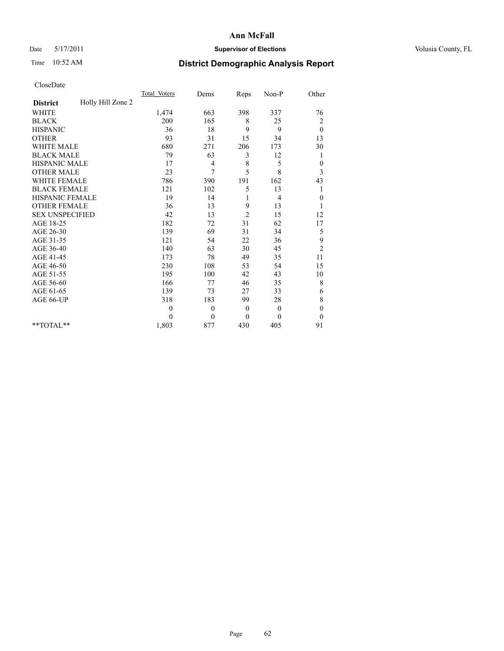## Date 5/17/2011 **Supervisor of Elections Supervisor of Elections** Volusia County, FL

# Time 10:52 AM **District Demographic Analysis Report**

|                        |                   | <b>Total Voters</b> | Dems         | Reps           | Non-P        | Other            |  |
|------------------------|-------------------|---------------------|--------------|----------------|--------------|------------------|--|
| <b>District</b>        | Holly Hill Zone 2 |                     |              |                |              |                  |  |
| <b>WHITE</b>           |                   | 1,474               | 663          | 398            | 337          | 76               |  |
| <b>BLACK</b>           |                   | 200                 | 165          | 8              | 25           | 2                |  |
| <b>HISPANIC</b>        |                   | 36                  | 18           | 9              | 9            | $\theta$         |  |
| <b>OTHER</b>           |                   | 93                  | 31           | 15             | 34           | 13               |  |
| <b>WHITE MALE</b>      |                   | 680                 | 271          | 206            | 173          | 30               |  |
| <b>BLACK MALE</b>      |                   | 79                  | 63           | 3              | 12           | 1                |  |
| HISPANIC MALE          |                   | 17                  | 4            | 8              | 5            | $\boldsymbol{0}$ |  |
| <b>OTHER MALE</b>      |                   | 23                  | 7            | 5              | 8            | 3                |  |
| <b>WHITE FEMALE</b>    |                   | 786                 | 390          | 191            | 162          | 43               |  |
| <b>BLACK FEMALE</b>    |                   | 121                 | 102          | 5              | 13           | 1                |  |
| HISPANIC FEMALE        |                   | 19                  | 14           |                | 4            | $\boldsymbol{0}$ |  |
| <b>OTHER FEMALE</b>    |                   | 36                  | 13           | 9              | 13           | 1                |  |
| <b>SEX UNSPECIFIED</b> |                   | 42                  | 13           | $\overline{c}$ | 15           | 12               |  |
| AGE 18-25              |                   | 182                 | 72           | 31             | 62           | 17               |  |
| AGE 26-30              |                   | 139                 | 69           | 31             | 34           | 5                |  |
| AGE 31-35              |                   | 121                 | 54           | 22             | 36           | 9                |  |
| AGE 36-40              |                   | 140                 | 63           | 30             | 45           | $\overline{c}$   |  |
| AGE 41-45              |                   | 173                 | 78           | 49             | 35           | 11               |  |
| AGE 46-50              |                   | 230                 | 108          | 53             | 54           | 15               |  |
| AGE 51-55              |                   | 195                 | 100          | 42             | 43           | 10               |  |
| AGE 56-60              |                   | 166                 | 77           | 46             | 35           | 8                |  |
| AGE 61-65              |                   | 139                 | 73           | 27             | 33           | 6                |  |
| AGE 66-UP              |                   | 318                 | 183          | 99             | 28           | 8                |  |
|                        |                   | $\theta$            | $\mathbf{0}$ | $\mathbf{0}$   | $\mathbf{0}$ | $\boldsymbol{0}$ |  |
|                        |                   | $\theta$            | $\theta$     | $\theta$       | $\theta$     | $\boldsymbol{0}$ |  |
| $*$ $TOTAI.**$         |                   | 1,803               | 877          | 430            | 405          | 91               |  |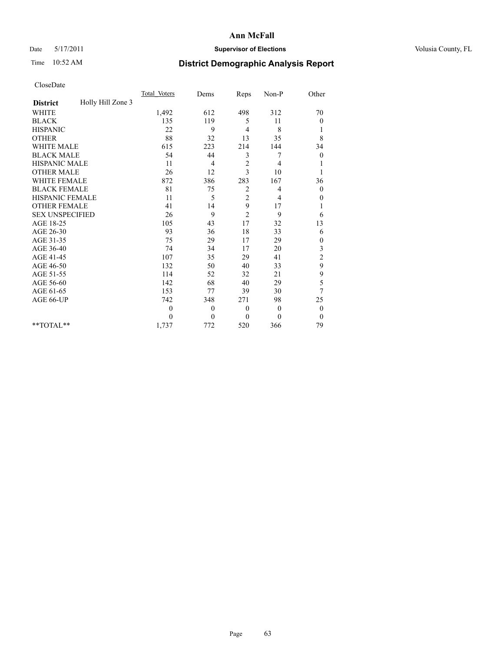## Date 5/17/2011 **Supervisor of Elections Supervisor of Elections** Volusia County, FL

# Time 10:52 AM **District Demographic Analysis Report**

|                                      | <b>Total Voters</b> | Dems         | Reps           | Non-P        | Other            |
|--------------------------------------|---------------------|--------------|----------------|--------------|------------------|
| Holly Hill Zone 3<br><b>District</b> |                     |              |                |              |                  |
| <b>WHITE</b>                         | 1,492               | 612          | 498            | 312          | 70               |
| <b>BLACK</b>                         | 135                 | 119          | 5              | 11           | 0                |
| <b>HISPANIC</b>                      | 22                  | 9            | $\overline{4}$ | 8            | 1                |
| <b>OTHER</b>                         | 88                  | 32           | 13             | 35           | 8                |
| <b>WHITE MALE</b>                    | 615                 | 223          | 214            | 144          | 34               |
| <b>BLACK MALE</b>                    | 54                  | 44           | 3              | 7            | $\theta$         |
| HISPANIC MALE                        | 11                  | 4            | $\sqrt{2}$     | 4            |                  |
| <b>OTHER MALE</b>                    | 26                  | 12           | 3              | 10           |                  |
| <b>WHITE FEMALE</b>                  | 872                 | 386          | 283            | 167          | 36               |
| <b>BLACK FEMALE</b>                  | 81                  | 75           | 2              | 4            | $\boldsymbol{0}$ |
| HISPANIC FEMALE                      | 11                  | 5            | $\overline{c}$ | 4            | 0                |
| <b>OTHER FEMALE</b>                  | 41                  | 14           | 9              | 17           | 1                |
| <b>SEX UNSPECIFIED</b>               | 26                  | 9            | $\overline{2}$ | 9            | 6                |
| AGE 18-25                            | 105                 | 43           | 17             | 32           | 13               |
| AGE 26-30                            | 93                  | 36           | 18             | 33           | 6                |
| AGE 31-35                            | 75                  | 29           | 17             | 29           | $\boldsymbol{0}$ |
| AGE 36-40                            | 74                  | 34           | 17             | 20           | 3                |
| AGE 41-45                            | 107                 | 35           | 29             | 41           | $\overline{c}$   |
| AGE 46-50                            | 132                 | 50           | 40             | 33           | 9                |
| AGE 51-55                            | 114                 | 52           | 32             | 21           | 9                |
| AGE 56-60                            | 142                 | 68           | 40             | 29           | 5                |
| AGE 61-65                            | 153                 | 77           | 39             | 30           | 7                |
| AGE 66-UP                            | 742                 | 348          | 271            | 98           | 25               |
|                                      | $\theta$            | $\mathbf{0}$ | $\theta$       | $\mathbf{0}$ | $\boldsymbol{0}$ |
|                                      | $\theta$            | $\theta$     | $\mathbf{0}$   | $\theta$     | $\boldsymbol{0}$ |
| $*$ $TOTAI.**$                       | 1,737               | 772          | 520            | 366          | 79               |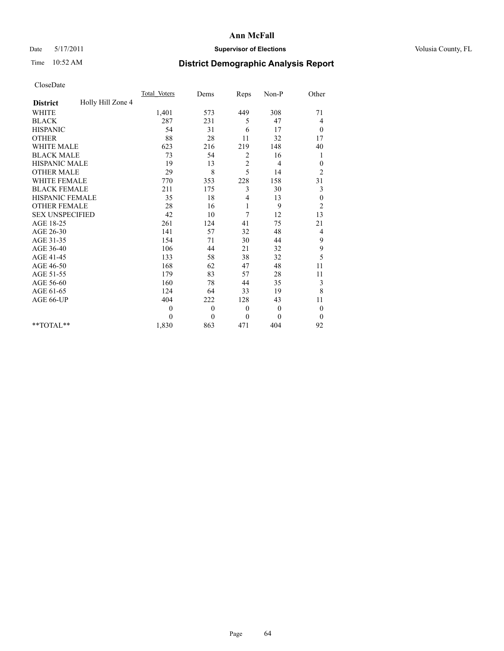## Date 5/17/2011 **Supervisor of Elections Supervisor of Elections** Volusia County, FL

# Time 10:52 AM **District Demographic Analysis Report**

|                                      | Total Voters | Dems         | Reps       | $Non-P$  | Other            |
|--------------------------------------|--------------|--------------|------------|----------|------------------|
| Holly Hill Zone 4<br><b>District</b> |              |              |            |          |                  |
| <b>WHITE</b>                         | 1,401        | 573          | 449        | 308      | 71               |
| <b>BLACK</b>                         | 287          | 231          | 5          | 47       | 4                |
| <b>HISPANIC</b>                      | 54           | 31           | 6          | 17       | $\boldsymbol{0}$ |
| <b>OTHER</b>                         | 88           | 28           | 11         | 32       | 17               |
| <b>WHITE MALE</b>                    | 623          | 216          | 219        | 148      | 40               |
| <b>BLACK MALE</b>                    | 73           | 54           | 2          | 16       | 1                |
| <b>HISPANIC MALE</b>                 | 19           | 13           | $\sqrt{2}$ | 4        | $\theta$         |
| <b>OTHER MALE</b>                    | 29           | 8            | 5          | 14       | $\overline{c}$   |
| WHITE FEMALE                         | 770          | 353          | 228        | 158      | 31               |
| <b>BLACK FEMALE</b>                  | 211          | 175          | 3          | 30       | 3                |
| HISPANIC FEMALE                      | 35           | 18           | 4          | 13       | $\boldsymbol{0}$ |
| <b>OTHER FEMALE</b>                  | 28           | 16           | 1          | 9        | $\overline{c}$   |
| <b>SEX UNSPECIFIED</b>               | 42           | 10           | 7          | 12       | 13               |
| AGE 18-25                            | 261          | 124          | 41         | 75       | 21               |
| AGE 26-30                            | 141          | 57           | 32         | 48       | $\overline{4}$   |
| AGE 31-35                            | 154          | 71           | 30         | 44       | 9                |
| AGE 36-40                            | 106          | 44           | 21         | 32       | 9                |
| AGE 41-45                            | 133          | 58           | 38         | 32       | 5                |
| AGE 46-50                            | 168          | 62           | 47         | 48       | 11               |
| AGE 51-55                            | 179          | 83           | 57         | 28       | 11               |
| AGE 56-60                            | 160          | 78           | 44         | 35       | 3                |
| AGE 61-65                            | 124          | 64           | 33         | 19       | 8                |
| AGE 66-UP                            | 404          | 222          | 128        | 43       | 11               |
|                                      | $\mathbf{0}$ | $\mathbf{0}$ | $\theta$   | $\theta$ | $\boldsymbol{0}$ |
|                                      | $\theta$     | $\theta$     | $\theta$   | $\theta$ | $\theta$         |
| $*$ $TOTAI.**$                       | 1,830        | 863          | 471        | 404      | 92               |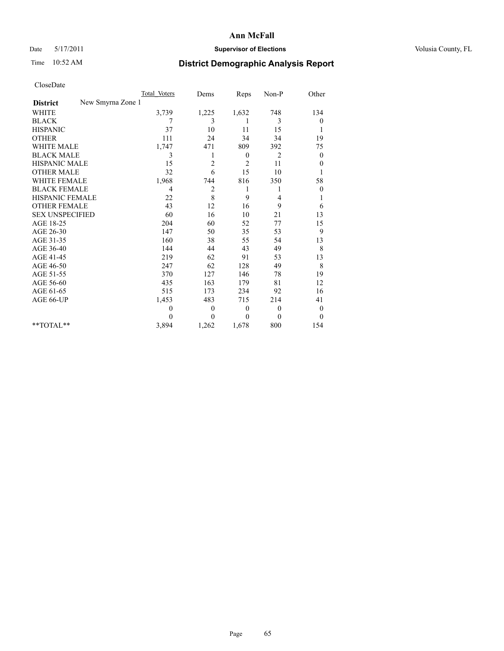## Date 5/17/2011 **Supervisor of Elections Supervisor of Elections** Volusia County, FL

# Time 10:52 AM **District Demographic Analysis Report**

|                                      | <b>Total Voters</b> | Dems                    | Reps           | $Non-P$  | Other            |
|--------------------------------------|---------------------|-------------------------|----------------|----------|------------------|
| New Smyrna Zone 1<br><b>District</b> |                     |                         |                |          |                  |
| <b>WHITE</b>                         | 3,739               | 1,225                   | 1,632          | 748      | 134              |
| <b>BLACK</b>                         | 7                   | 3                       |                | 3        | 0                |
| <b>HISPANIC</b>                      | 37                  | 10                      | 11             | 15       | 1                |
| <b>OTHER</b>                         | 111                 | 24                      | 34             | 34       | 19               |
| <b>WHITE MALE</b>                    | 1,747               | 471                     | 809            | 392      | 75               |
| <b>BLACK MALE</b>                    | 3                   | 1                       | $\mathbf{0}$   | 2        | $\boldsymbol{0}$ |
| HISPANIC MALE                        | 15                  | $\overline{c}$          | $\overline{c}$ | 11       | $\boldsymbol{0}$ |
| <b>OTHER MALE</b>                    | 32                  | 6                       | 15             | 10       | 1                |
| <b>WHITE FEMALE</b>                  | 1,968               | 744                     | 816            | 350      | 58               |
| <b>BLACK FEMALE</b>                  | $\overline{4}$      | $\overline{\mathbf{c}}$ | 1              | 1        | $\boldsymbol{0}$ |
| HISPANIC FEMALE                      | 22                  | 8                       | 9              | 4        | 1                |
| <b>OTHER FEMALE</b>                  | 43                  | 12                      | 16             | 9        | 6                |
| <b>SEX UNSPECIFIED</b>               | 60                  | 16                      | 10             | 21       | 13               |
| AGE 18-25                            | 204                 | 60                      | 52             | 77       | 15               |
| AGE 26-30                            | 147                 | 50                      | 35             | 53       | 9                |
| AGE 31-35                            | 160                 | 38                      | 55             | 54       | 13               |
| AGE 36-40                            | 144                 | 44                      | 43             | 49       | 8                |
| AGE 41-45                            | 219                 | 62                      | 91             | 53       | 13               |
| AGE 46-50                            | 247                 | 62                      | 128            | 49       | 8                |
| AGE 51-55                            | 370                 | 127                     | 146            | 78       | 19               |
| AGE 56-60                            | 435                 | 163                     | 179            | 81       | 12               |
| AGE 61-65                            | 515                 | 173                     | 234            | 92       | 16               |
| AGE 66-UP                            | 1,453               | 483                     | 715            | 214      | 41               |
|                                      | $\theta$            | $\theta$                | $\mathbf{0}$   | $\theta$ | $\boldsymbol{0}$ |
|                                      | $\Omega$            | $\theta$                | $\theta$       | $\theta$ | $\mathbf{0}$     |
| **TOTAL**                            | 3,894               | 1,262                   | 1,678          | 800      | 154              |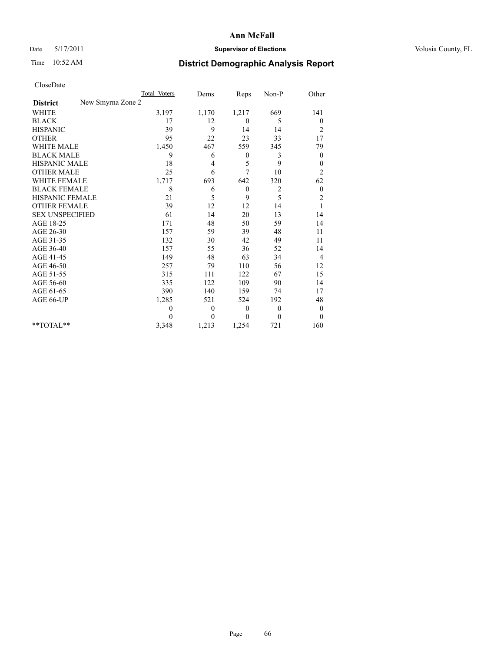## Date 5/17/2011 **Supervisor of Elections Supervisor of Elections** Volusia County, FL

# Time 10:52 AM **District Demographic Analysis Report**

|                                      | <b>Total Voters</b> | Dems     | Reps             | Non-P        | Other            |
|--------------------------------------|---------------------|----------|------------------|--------------|------------------|
| New Smyrna Zone 2<br><b>District</b> |                     |          |                  |              |                  |
| <b>WHITE</b>                         | 3,197               | 1,170    | 1,217            | 669          | 141              |
| <b>BLACK</b>                         | 17                  | 12       | $\theta$         | 5            | $\boldsymbol{0}$ |
| <b>HISPANIC</b>                      | 39                  | 9        | 14               | 14           | $\overline{c}$   |
| <b>OTHER</b>                         | 95                  | 22       | 23               | 33           | 17               |
| <b>WHITE MALE</b>                    | 1,450               | 467      | 559              | 345          | 79               |
| <b>BLACK MALE</b>                    | 9                   | 6        | $\theta$         | 3            | $\boldsymbol{0}$ |
| HISPANIC MALE                        | 18                  | 4        | 5                | 9            | $\boldsymbol{0}$ |
| <b>OTHER MALE</b>                    | 25                  | 6        | 7                | 10           | $\overline{c}$   |
| <b>WHITE FEMALE</b>                  | 1,717               | 693      | 642              | 320          | 62               |
| <b>BLACK FEMALE</b>                  | 8                   | 6        | $\boldsymbol{0}$ | 2            | $\boldsymbol{0}$ |
| <b>HISPANIC FEMALE</b>               | 21                  | 5        | 9                | 5            | $\overline{c}$   |
| <b>OTHER FEMALE</b>                  | 39                  | 12       | 12               | 14           | $\mathbf{1}$     |
| <b>SEX UNSPECIFIED</b>               | 61                  | 14       | 20               | 13           | 14               |
| AGE 18-25                            | 171                 | 48       | 50               | 59           | 14               |
| AGE 26-30                            | 157                 | 59       | 39               | 48           | 11               |
| AGE 31-35                            | 132                 | 30       | 42               | 49           | 11               |
| AGE 36-40                            | 157                 | 55       | 36               | 52           | 14               |
| AGE 41-45                            | 149                 | 48       | 63               | 34           | 4                |
| AGE 46-50                            | 257                 | 79       | 110              | 56           | 12               |
| AGE 51-55                            | 315                 | 111      | 122              | 67           | 15               |
| AGE 56-60                            | 335                 | 122      | 109              | 90           | 14               |
| AGE 61-65                            | 390                 | 140      | 159              | 74           | 17               |
| AGE 66-UP                            | 1,285               | 521      | 524              | 192          | 48               |
|                                      | $\theta$            | $\theta$ | $\mathbf{0}$     | $\mathbf{0}$ | $\boldsymbol{0}$ |
|                                      | $\theta$            | $\theta$ | $\theta$         | $\theta$     | $\mathbf{0}$     |
| $*$ $TOTAI.**$                       | 3,348               | 1,213    | 1,254            | 721          | 160              |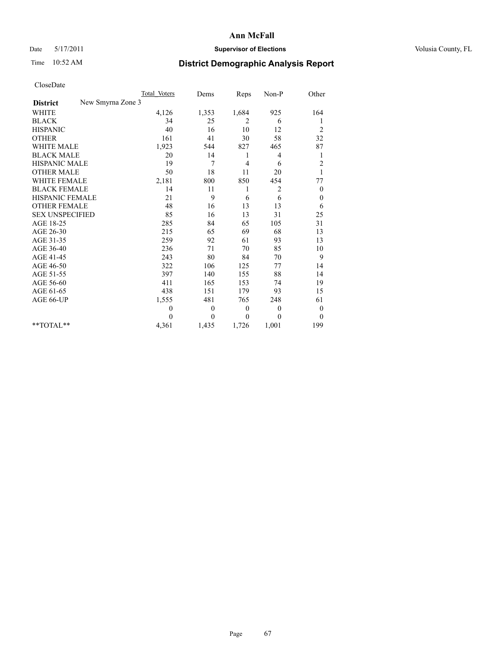## Date 5/17/2011 **Supervisor of Elections Supervisor of Elections** Volusia County, FL

# Time 10:52 AM **District Demographic Analysis Report**

|                                      | <b>Total Voters</b> | Dems     | Reps         | Non-P          | Other            |
|--------------------------------------|---------------------|----------|--------------|----------------|------------------|
| New Smyrna Zone 3<br><b>District</b> |                     |          |              |                |                  |
| <b>WHITE</b>                         | 4,126               | 1,353    | 1,684        | 925            | 164              |
| <b>BLACK</b>                         | 34                  | 25       | 2            | 6              | 1                |
| <b>HISPANIC</b>                      | 40                  | 16       | 10           | 12             | $\overline{c}$   |
| <b>OTHER</b>                         | 161                 | 41       | 30           | 58             | 32               |
| <b>WHITE MALE</b>                    | 1,923               | 544      | 827          | 465            | 87               |
| <b>BLACK MALE</b>                    | 20                  | 14       | 1            | 4              | 1                |
| <b>HISPANIC MALE</b>                 | 19                  | 7        | 4            | 6              | $\overline{c}$   |
| <b>OTHER MALE</b>                    | 50                  | 18       | 11           | 20             | $\mathbf{1}$     |
| WHITE FEMALE                         | 2,181               | 800      | 850          | 454            | 77               |
| <b>BLACK FEMALE</b>                  | 14                  | 11       | 1            | $\overline{c}$ | $\boldsymbol{0}$ |
| HISPANIC FEMALE                      | 21                  | 9        | 6            | 6              | $\boldsymbol{0}$ |
| <b>OTHER FEMALE</b>                  | 48                  | 16       | 13           | 13             | 6                |
| <b>SEX UNSPECIFIED</b>               | 85                  | 16       | 13           | 31             | 25               |
| AGE 18-25                            | 285                 | 84       | 65           | 105            | 31               |
| AGE 26-30                            | 215                 | 65       | 69           | 68             | 13               |
| AGE 31-35                            | 259                 | 92       | 61           | 93             | 13               |
| AGE 36-40                            | 236                 | 71       | 70           | 85             | 10               |
| AGE 41-45                            | 243                 | 80       | 84           | 70             | 9                |
| AGE 46-50                            | 322                 | 106      | 125          | 77             | 14               |
| AGE 51-55                            | 397                 | 140      | 155          | 88             | 14               |
| AGE 56-60                            | 411                 | 165      | 153          | 74             | 19               |
| AGE 61-65                            | 438                 | 151      | 179          | 93             | 15               |
| AGE 66-UP                            | 1,555               | 481      | 765          | 248            | 61               |
|                                      | $\mathbf{0}$        | $\theta$ | $\mathbf{0}$ | $\theta$       | $\boldsymbol{0}$ |
|                                      | $\Omega$            | $\theta$ | $\mathbf{0}$ | $\theta$       | $\mathbf{0}$     |
| $*$ $TOTAI.**$                       | 4,361               | 1,435    | 1,726        | 1,001          | 199              |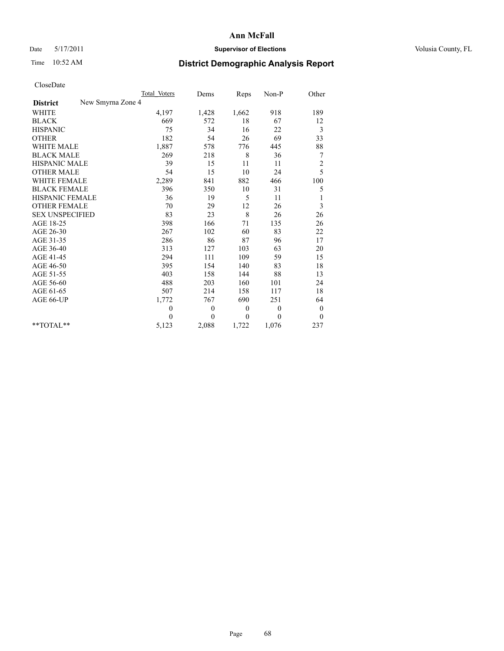## Date 5/17/2011 **Supervisor of Elections Supervisor of Elections** Volusia County, FL

# Time 10:52 AM **District Demographic Analysis Report**

|                                      | Total Voters | Dems         | Reps     | Non-P        | Other            |
|--------------------------------------|--------------|--------------|----------|--------------|------------------|
| New Smyrna Zone 4<br><b>District</b> |              |              |          |              |                  |
| <b>WHITE</b>                         | 4,197        | 1,428        | 1,662    | 918          | 189              |
| <b>BLACK</b>                         | 669          | 572          | 18       | 67           | 12               |
| <b>HISPANIC</b>                      | 75           | 34           | 16       | 22           | 3                |
| <b>OTHER</b>                         | 182          | 54           | 26       | 69           | 33               |
| <b>WHITE MALE</b>                    | 1,887        | 578          | 776      | 445          | 88               |
| <b>BLACK MALE</b>                    | 269          | 218          | 8        | 36           | 7                |
| HISPANIC MALE                        | 39           | 15           | 11       | 11           | $\overline{c}$   |
| <b>OTHER MALE</b>                    | 54           | 15           | 10       | 24           | 5                |
| <b>WHITE FEMALE</b>                  | 2,289        | 841          | 882      | 466          | 100              |
| <b>BLACK FEMALE</b>                  | 396          | 350          | 10       | 31           | 5                |
| HISPANIC FEMALE                      | 36           | 19           | 5        | 11           |                  |
| <b>OTHER FEMALE</b>                  | 70           | 29           | 12       | 26           | 3                |
| <b>SEX UNSPECIFIED</b>               | 83           | 23           | 8        | 26           | 26               |
| AGE 18-25                            | 398          | 166          | 71       | 135          | 26               |
| AGE 26-30                            | 267          | 102          | 60       | 83           | 22               |
| AGE 31-35                            | 286          | 86           | 87       | 96           | 17               |
| AGE 36-40                            | 313          | 127          | 103      | 63           | 20               |
| AGE 41-45                            | 294          | 111          | 109      | 59           | 15               |
| AGE 46-50                            | 395          | 154          | 140      | 83           | 18               |
| AGE 51-55                            | 403          | 158          | 144      | 88           | 13               |
| AGE 56-60                            | 488          | 203          | 160      | 101          | 24               |
| AGE 61-65                            | 507          | 214          | 158      | 117          | 18               |
| AGE 66-UP                            | 1,772        | 767          | 690      | 251          | 64               |
|                                      | $\mathbf{0}$ | $\mathbf{0}$ | $\theta$ | $\mathbf{0}$ | $\boldsymbol{0}$ |
|                                      | $\theta$     | $\theta$     | $\theta$ | $\theta$     | $\boldsymbol{0}$ |
| $*$ $TOTAI.**$                       | 5,123        | 2,088        | 1,722    | 1,076        | 237              |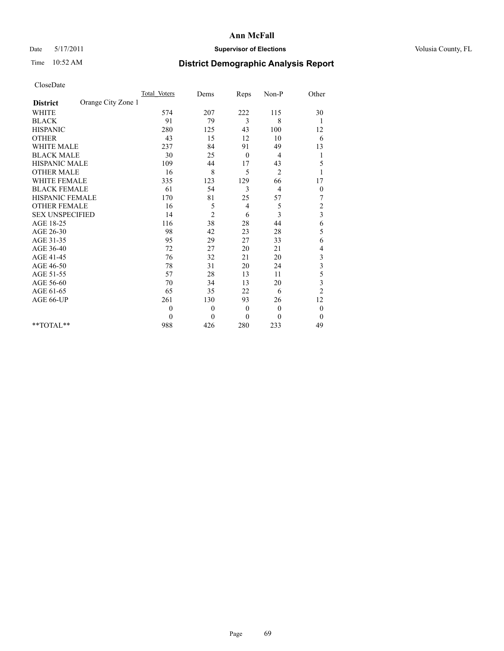## Date 5/17/2011 **Supervisor of Elections Supervisor of Elections** Volusia County, FL

# Time 10:52 AM **District Demographic Analysis Report**

|                                       | Total Voters | Dems     | Reps           | $Non-P$        | Other                   |
|---------------------------------------|--------------|----------|----------------|----------------|-------------------------|
| Orange City Zone 1<br><b>District</b> |              |          |                |                |                         |
| <b>WHITE</b>                          | 574          | 207      | 222            | 115            | 30                      |
| <b>BLACK</b>                          | 91           | 79       | 3              | 8              | 1                       |
| <b>HISPANIC</b>                       | 280          | 125      | 43             | 100            | 12                      |
| <b>OTHER</b>                          | 43           | 15       | 12             | 10             | 6                       |
| <b>WHITE MALE</b>                     | 237          | 84       | 91             | 49             | 13                      |
| <b>BLACK MALE</b>                     | 30           | 25       | $\theta$       | 4              | 1                       |
| <b>HISPANIC MALE</b>                  | 109          | 44       | 17             | 43             | 5                       |
| <b>OTHER MALE</b>                     | 16           | 8        | 5              | 2              |                         |
| <b>WHITE FEMALE</b>                   | 335          | 123      | 129            | 66             | 17                      |
| <b>BLACK FEMALE</b>                   | 61           | 54       | 3              | $\overline{4}$ | $\boldsymbol{0}$        |
| HISPANIC FEMALE                       | 170          | 81       | 25             | 57             | 7                       |
| <b>OTHER FEMALE</b>                   | 16           | 5        | $\overline{4}$ | 5              | $\overline{c}$          |
| <b>SEX UNSPECIFIED</b>                | 14           | 2        | 6              | 3              | $\overline{\mathbf{3}}$ |
| AGE 18-25                             | 116          | 38       | 28             | 44             | 6                       |
| AGE 26-30                             | 98           | 42       | 23             | 28             | 5                       |
| AGE 31-35                             | 95           | 29       | 27             | 33             | 6                       |
| AGE 36-40                             | 72           | 27       | 20             | 21             | 4                       |
| AGE 41-45                             | 76           | 32       | 21             | 20             | 3                       |
| AGE 46-50                             | 78           | 31       | 20             | 24             | $\overline{\mathbf{3}}$ |
| AGE 51-55                             | 57           | 28       | 13             | 11             | 5                       |
| AGE 56-60                             | 70           | 34       | 13             | 20             | 3                       |
| AGE 61-65                             | 65           | 35       | 22             | 6              | $\overline{c}$          |
| AGE 66-UP                             | 261          | 130      | 93             | 26             | 12                      |
|                                       | $\mathbf{0}$ | $\theta$ | $\mathbf{0}$   | $\overline{0}$ | $\boldsymbol{0}$        |
|                                       | $\theta$     | $\theta$ | $\theta$       | $\theta$       | $\theta$                |
| $*$ $TOTAI.**$                        | 988          | 426      | 280            | 233            | 49                      |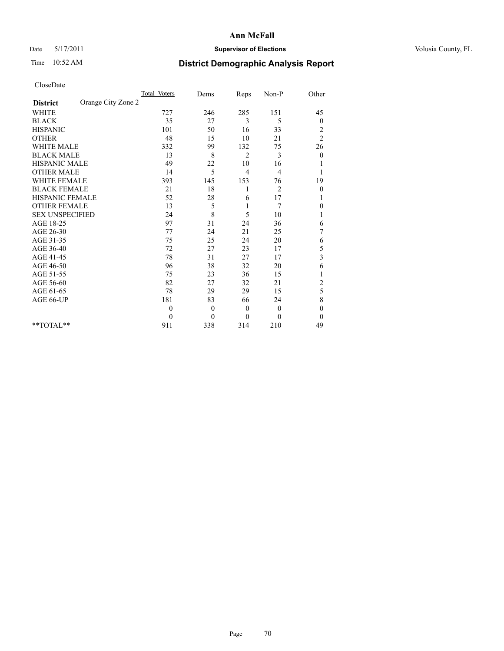## Date 5/17/2011 **Supervisor of Elections Supervisor of Elections** Volusia County, FL

# Time 10:52 AM **District Demographic Analysis Report**

|                                       | <b>Total Voters</b> | Dems     | Reps           | Non-P          | Other            |  |
|---------------------------------------|---------------------|----------|----------------|----------------|------------------|--|
| Orange City Zone 2<br><b>District</b> |                     |          |                |                |                  |  |
| <b>WHITE</b>                          | 727                 | 246      | 285            | 151            | 45               |  |
| <b>BLACK</b>                          | 35                  | 27       | 3              | 5              | 0                |  |
| <b>HISPANIC</b>                       | 101                 | 50       | 16             | 33             | 2                |  |
| <b>OTHER</b>                          | 48                  | 15       | 10             | 21             | $\overline{c}$   |  |
| <b>WHITE MALE</b>                     | 332                 | 99       | 132            | 75             | 26               |  |
| <b>BLACK MALE</b>                     | 13                  | 8        | $\overline{c}$ | 3              | $\theta$         |  |
| HISPANIC MALE                         | 49                  | 22       | 10             | 16             |                  |  |
| <b>OTHER MALE</b>                     | 14                  | 5        | $\overline{4}$ | 4              |                  |  |
| <b>WHITE FEMALE</b>                   | 393                 | 145      | 153            | 76             | 19               |  |
| <b>BLACK FEMALE</b>                   | 21                  | 18       | 1              | $\overline{2}$ | $\boldsymbol{0}$ |  |
| HISPANIC FEMALE                       | 52                  | 28       | 6              | 17             |                  |  |
| <b>OTHER FEMALE</b>                   | 13                  | 5        | 1              | 7              | 0                |  |
| <b>SEX UNSPECIFIED</b>                | 24                  | 8        | 5              | 10             | 1                |  |
| AGE 18-25                             | 97                  | 31       | 24             | 36             | 6                |  |
| AGE 26-30                             | 77                  | 24       | 21             | 25             | 7                |  |
| AGE 31-35                             | 75                  | 25       | 24             | 20             | 6                |  |
| AGE 36-40                             | 72                  | 27       | 23             | 17             | 5                |  |
| AGE 41-45                             | 78                  | 31       | 27             | 17             | $\mathfrak{Z}$   |  |
| AGE 46-50                             | 96                  | 38       | 32             | 20             | 6                |  |
| AGE 51-55                             | 75                  | 23       | 36             | 15             | 1                |  |
| AGE 56-60                             | 82                  | 27       | 32             | 21             | $\overline{c}$   |  |
| AGE 61-65                             | 78                  | 29       | 29             | 15             | 5                |  |
| AGE 66-UP                             | 181                 | 83       | 66             | 24             | 8                |  |
|                                       | $\mathbf{0}$        | $\theta$ | $\mathbf{0}$   | $\mathbf{0}$   | $\boldsymbol{0}$ |  |
|                                       | $\theta$            | $\theta$ | $\mathbf{0}$   | $\theta$       | $\theta$         |  |
| $*$ $TOTAI.**$                        | 911                 | 338      | 314            | 210            | 49               |  |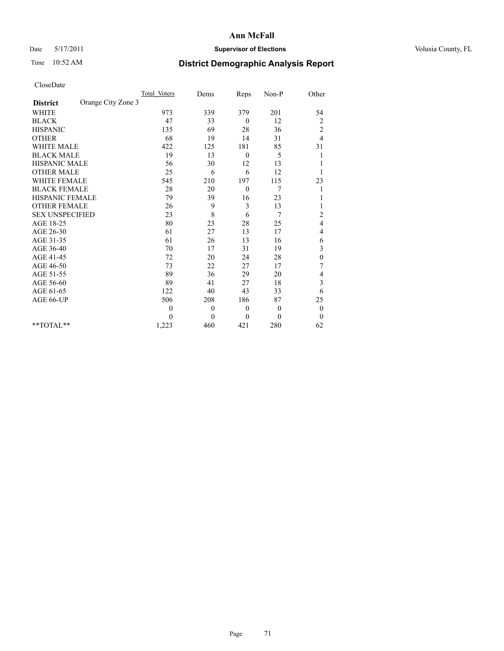## Date 5/17/2011 **Supervisor of Elections Supervisor of Elections** Volusia County, FL

# Time 10:52 AM **District Demographic Analysis Report**

|                                       | Total Voters | Dems     | Reps         | Non-P        | Other                   |
|---------------------------------------|--------------|----------|--------------|--------------|-------------------------|
| Orange City Zone 3<br><b>District</b> |              |          |              |              |                         |
| <b>WHITE</b>                          | 973          | 339      | 379          | 201          | 54                      |
| <b>BLACK</b>                          | 47           | 33       | $\mathbf{0}$ | 12           | 2                       |
| <b>HISPANIC</b>                       | 135          | 69       | 28           | 36           | $\overline{\mathbf{c}}$ |
| <b>OTHER</b>                          | 68           | 19       | 14           | 31           | 4                       |
| <b>WHITE MALE</b>                     | 422          | 125      | 181          | 85           | 31                      |
| <b>BLACK MALE</b>                     | 19           | 13       | $\mathbf{0}$ | 5            |                         |
| <b>HISPANIC MALE</b>                  | 56           | 30       | 12           | 13           |                         |
| <b>OTHER MALE</b>                     | 25           | 6        | 6            | 12           |                         |
| <b>WHITE FEMALE</b>                   | 545          | 210      | 197          | 115          | 23                      |
| <b>BLACK FEMALE</b>                   | 28           | 20       | $\mathbf{0}$ | 7            |                         |
| HISPANIC FEMALE                       | 79           | 39       | 16           | 23           |                         |
| <b>OTHER FEMALE</b>                   | 26           | 9        | 3            | 13           |                         |
| <b>SEX UNSPECIFIED</b>                | 23           | 8        | 6            | 7            | $\mathbf{2}$            |
| AGE 18-25                             | 80           | 23       | 28           | 25           | 4                       |
| AGE 26-30                             | 61           | 27       | 13           | 17           | 4                       |
| AGE 31-35                             | 61           | 26       | 13           | 16           | 6                       |
| AGE 36-40                             | 70           | 17       | 31           | 19           | 3                       |
| AGE 41-45                             | 72           | 20       | 24           | 28           | $\boldsymbol{0}$        |
| AGE 46-50                             | 73           | 22       | 27           | 17           | 7                       |
| AGE 51-55                             | 89           | 36       | 29           | 20           | 4                       |
| AGE 56-60                             | 89           | 41       | 27           | 18           | 3                       |
| AGE 61-65                             | 122          | 40       | 43           | 33           | 6                       |
| AGE 66-UP                             | 506          | 208      | 186          | 87           | 25                      |
|                                       | $\theta$     | $\theta$ | $\mathbf{0}$ | $\mathbf{0}$ | $\boldsymbol{0}$        |
|                                       | 0            | $\theta$ | $\theta$     | $\Omega$     | $\mathbf{0}$            |
| $*$ TOTAL $*$                         | 1,223        | 460      | 421          | 280          | 62                      |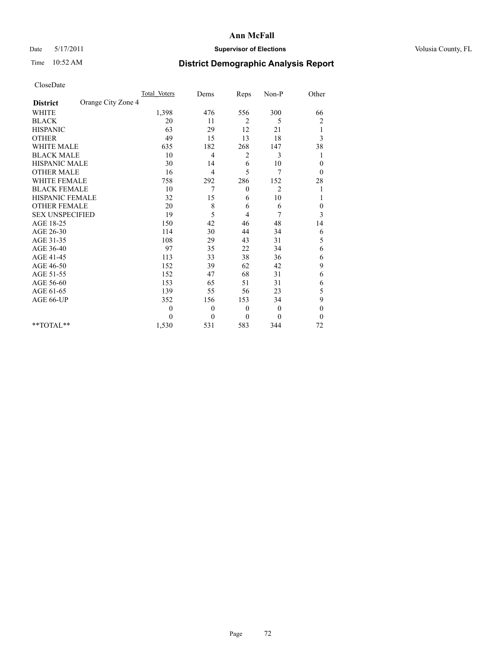## Date 5/17/2011 **Supervisor of Elections Supervisor of Elections** Volusia County, FL

# Time 10:52 AM **District Demographic Analysis Report**

|                                       | <b>Total Voters</b> | Dems     | Reps         | Non-P          | Other                   |
|---------------------------------------|---------------------|----------|--------------|----------------|-------------------------|
| Orange City Zone 4<br><b>District</b> |                     |          |              |                |                         |
| <b>WHITE</b>                          | 1,398               | 476      | 556          | 300            | 66                      |
| <b>BLACK</b>                          | 20                  | 11       | 2            | 5              | $\overline{\mathbf{c}}$ |
| <b>HISPANIC</b>                       | 63                  | 29       | 12           | 21             | 1                       |
| <b>OTHER</b>                          | 49                  | 15       | 13           | 18             | 3                       |
| <b>WHITE MALE</b>                     | 635                 | 182      | 268          | 147            | 38                      |
| <b>BLACK MALE</b>                     | 10                  | 4        | 2            | 3              | 1                       |
| HISPANIC MALE                         | 30                  | 14       | 6            | 10             | $\mathbf{0}$            |
| <b>OTHER MALE</b>                     | 16                  | 4        | 5            | 7              | $\mathbf{0}$            |
| <b>WHITE FEMALE</b>                   | 758                 | 292      | 286          | 152            | 28                      |
| <b>BLACK FEMALE</b>                   | 10                  | 7        | $\mathbf{0}$ | $\overline{2}$ |                         |
| HISPANIC FEMALE                       | 32                  | 15       | 6            | 10             |                         |
| <b>OTHER FEMALE</b>                   | 20                  | 8        | 6            | 6              | 0                       |
| <b>SEX UNSPECIFIED</b>                | 19                  | 5        | 4            | 7              | 3                       |
| AGE 18-25                             | 150                 | 42       | 46           | 48             | 14                      |
| AGE 26-30                             | 114                 | 30       | 44           | 34             | 6                       |
| AGE 31-35                             | 108                 | 29       | 43           | 31             | 5                       |
| AGE 36-40                             | 97                  | 35       | 22           | 34             | 6                       |
| AGE 41-45                             | 113                 | 33       | 38           | 36             | 6                       |
| AGE 46-50                             | 152                 | 39       | 62           | 42             | 9                       |
| AGE 51-55                             | 152                 | 47       | 68           | 31             | 6                       |
| AGE 56-60                             | 153                 | 65       | 51           | 31             | 6                       |
| AGE 61-65                             | 139                 | 55       | 56           | 23             | 5                       |
| AGE 66-UP                             | 352                 | 156      | 153          | 34             | 9                       |
|                                       | $\mathbf{0}$        | $\theta$ | $\mathbf{0}$ | $\mathbf{0}$   | $\boldsymbol{0}$        |
|                                       | 0                   | $\theta$ | $\theta$     | $\mathbf{0}$   | $\boldsymbol{0}$        |
| $*$ $TOTAI.**$                        | 1,530               | 531      | 583          | 344            | 72                      |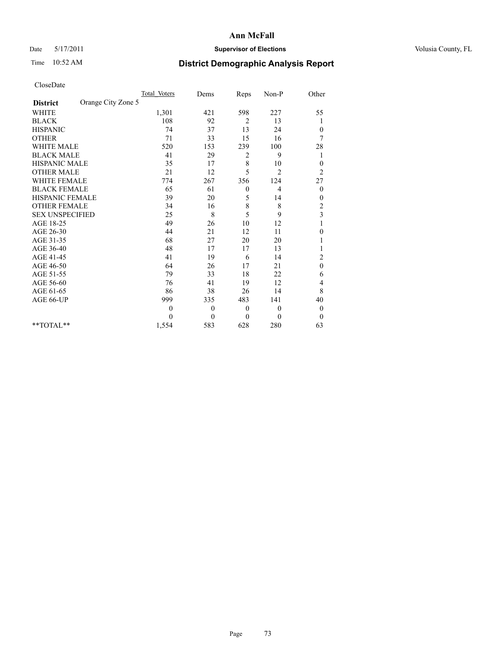## Date 5/17/2011 **Supervisor of Elections Supervisor of Elections** Volusia County, FL

# Time 10:52 AM **District Demographic Analysis Report**

|                                       | <b>Total Voters</b> | Dems         | Reps         | Non-P          | Other                   |  |
|---------------------------------------|---------------------|--------------|--------------|----------------|-------------------------|--|
| Orange City Zone 5<br><b>District</b> |                     |              |              |                |                         |  |
| <b>WHITE</b>                          | 1,301               | 421          | 598          | 227            | 55                      |  |
| <b>BLACK</b>                          | 108                 | 92           | 2            | 13             | 1                       |  |
| <b>HISPANIC</b>                       | 74                  | 37           | 13           | 24             | $\boldsymbol{0}$        |  |
| <b>OTHER</b>                          | 71                  | 33           | 15           | 16             | 7                       |  |
| <b>WHITE MALE</b>                     | 520                 | 153          | 239          | 100            | 28                      |  |
| <b>BLACK MALE</b>                     | 41                  | 29           | 2            | 9              | 1                       |  |
| HISPANIC MALE                         | 35                  | 17           | 8            | 10             | $\boldsymbol{0}$        |  |
| <b>OTHER MALE</b>                     | 21                  | 12           | 5            | $\overline{2}$ | $\overline{c}$          |  |
| <b>WHITE FEMALE</b>                   | 774                 | 267          | 356          | 124            | 27                      |  |
| <b>BLACK FEMALE</b>                   | 65                  | 61           | $\theta$     | 4              | $\boldsymbol{0}$        |  |
| HISPANIC FEMALE                       | 39                  | 20           | 5            | 14             | $\boldsymbol{0}$        |  |
| <b>OTHER FEMALE</b>                   | 34                  | 16           | $\,$ 8 $\,$  | 8              | $\overline{c}$          |  |
| <b>SEX UNSPECIFIED</b>                | 25                  | $\,$ 8 $\,$  | 5            | 9              | $\overline{\mathbf{3}}$ |  |
| AGE 18-25                             | 49                  | 26           | 10           | 12             |                         |  |
| AGE 26-30                             | 44                  | 21           | 12           | 11             | $\overline{0}$          |  |
| AGE 31-35                             | 68                  | 27           | 20           | 20             |                         |  |
| AGE 36-40                             | 48                  | 17           | 17           | 13             |                         |  |
| AGE 41-45                             | 41                  | 19           | 6            | 14             | $\overline{c}$          |  |
| AGE 46-50                             | 64                  | 26           | 17           | 21             | $\mathbf{0}$            |  |
| AGE 51-55                             | 79                  | 33           | 18           | 22             | 6                       |  |
| AGE 56-60                             | 76                  | 41           | 19           | 12             | 4                       |  |
| AGE 61-65                             | 86                  | 38           | 26           | 14             | 8                       |  |
| AGE 66-UP                             | 999                 | 335          | 483          | 141            | 40                      |  |
|                                       | $\theta$            | $\mathbf{0}$ | $\mathbf{0}$ | $\overline{0}$ | $\boldsymbol{0}$        |  |
|                                       | $\theta$            | $\theta$     | $\theta$     | $\theta$       | $\theta$                |  |
| **TOTAL**                             | 1,554               | 583          | 628          | 280            | 63                      |  |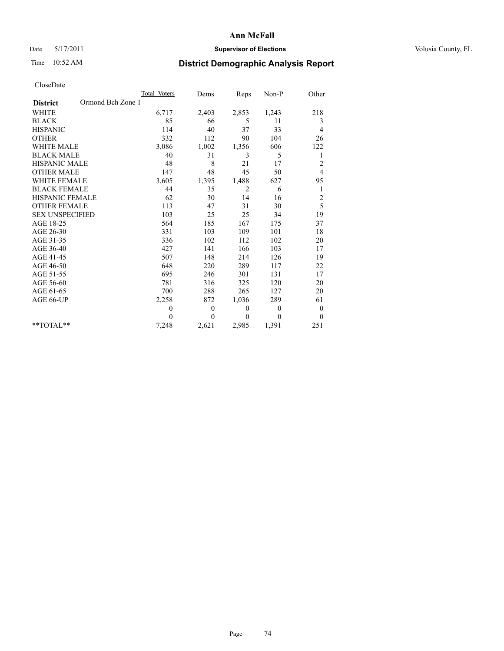## Date 5/17/2011 **Supervisor of Elections Supervisor of Elections** Volusia County, FL

# Time 10:52 AM **District Demographic Analysis Report**

|                                      | Total Voters | Dems         | Reps         | Non-P        | Other                   |
|--------------------------------------|--------------|--------------|--------------|--------------|-------------------------|
| Ormond Bch Zone 1<br><b>District</b> |              |              |              |              |                         |
| <b>WHITE</b>                         | 6,717        | 2,403        | 2,853        | 1,243        | 218                     |
| <b>BLACK</b>                         | 85           | 66           | 5            | 11           | 3                       |
| <b>HISPANIC</b>                      | 114          | 40           | 37           | 33           | 4                       |
| <b>OTHER</b>                         | 332          | 112          | 90           | 104          | 26                      |
| <b>WHITE MALE</b>                    | 3,086        | 1,002        | 1,356        | 606          | 122                     |
| <b>BLACK MALE</b>                    | 40           | 31           | 3            | 5            | 1                       |
| <b>HISPANIC MALE</b>                 | 48           | 8            | 21           | 17           | $\overline{c}$          |
| <b>OTHER MALE</b>                    | 147          | 48           | 45           | 50           | $\overline{4}$          |
| <b>WHITE FEMALE</b>                  | 3,605        | 1,395        | 1,488        | 627          | 95                      |
| <b>BLACK FEMALE</b>                  | 44           | 35           | 2            | 6            | $\mathbf{1}$            |
| HISPANIC FEMALE                      | 62           | 30           | 14           | 16           | $\overline{\mathbf{c}}$ |
| <b>OTHER FEMALE</b>                  | 113          | 47           | 31           | 30           | 5                       |
| <b>SEX UNSPECIFIED</b>               | 103          | 25           | 25           | 34           | 19                      |
| AGE 18-25                            | 564          | 185          | 167          | 175          | 37                      |
| AGE 26-30                            | 331          | 103          | 109          | 101          | 18                      |
| AGE 31-35                            | 336          | 102          | 112          | 102          | 20                      |
| AGE 36-40                            | 427          | 141          | 166          | 103          | 17                      |
| AGE 41-45                            | 507          | 148          | 214          | 126          | 19                      |
| AGE 46-50                            | 648          | 220          | 289          | 117          | 22                      |
| AGE 51-55                            | 695          | 246          | 301          | 131          | 17                      |
| AGE 56-60                            | 781          | 316          | 325          | 120          | 20                      |
| AGE 61-65                            | 700          | 288          | 265          | 127          | 20                      |
| AGE 66-UP                            | 2,258        | 872          | 1,036        | 289          | 61                      |
|                                      | 0            | $\mathbf{0}$ | $\mathbf{0}$ | $\mathbf{0}$ | $\boldsymbol{0}$        |
|                                      | $\theta$     | $\mathbf{0}$ | $\mathbf{0}$ | $\mathbf{0}$ | $\mathbf{0}$            |
| $*$ TOTAL $*$                        | 7,248        | 2,621        | 2,985        | 1,391        | 251                     |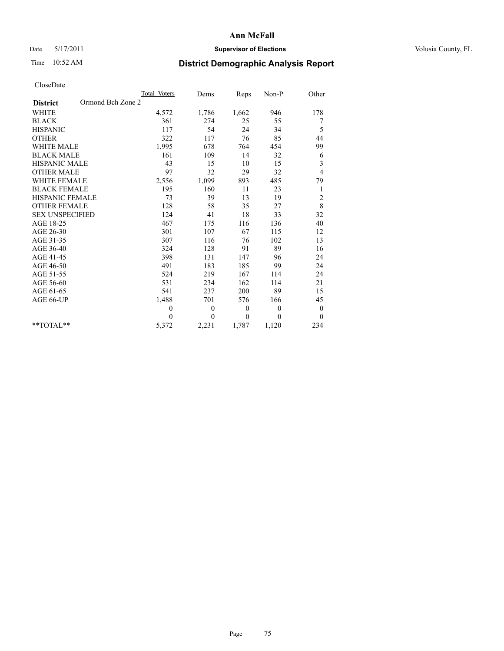## Date 5/17/2011 **Supervisor of Elections Supervisor of Elections** Volusia County, FL

# Time 10:52 AM **District Demographic Analysis Report**

|                                      | Total Voters | Dems         | Reps             | $Non-P$      | Other            |
|--------------------------------------|--------------|--------------|------------------|--------------|------------------|
| Ormond Bch Zone 2<br><b>District</b> |              |              |                  |              |                  |
| <b>WHITE</b>                         | 4,572        | 1,786        | 1,662            | 946          | 178              |
| <b>BLACK</b>                         | 361          | 274          | 25               | 55           | 7                |
| <b>HISPANIC</b>                      | 117          | 54           | 24               | 34           | 5                |
| <b>OTHER</b>                         | 322          | 117          | 76               | 85           | 44               |
| <b>WHITE MALE</b>                    | 1,995        | 678          | 764              | 454          | 99               |
| <b>BLACK MALE</b>                    | 161          | 109          | 14               | 32           | 6                |
| <b>HISPANIC MALE</b>                 | 43           | 15           | 10               | 15           | 3                |
| <b>OTHER MALE</b>                    | 97           | 32           | 29               | 32           | 4                |
| <b>WHITE FEMALE</b>                  | 2,556        | 1,099        | 893              | 485          | 79               |
| <b>BLACK FEMALE</b>                  | 195          | 160          | 11               | 23           | 1                |
| HISPANIC FEMALE                      | 73           | 39           | 13               | 19           | $\overline{c}$   |
| <b>OTHER FEMALE</b>                  | 128          | 58           | 35               | 27           | $\,8\,$          |
| <b>SEX UNSPECIFIED</b>               | 124          | 41           | 18               | 33           | 32               |
| AGE 18-25                            | 467          | 175          | 116              | 136          | 40               |
| AGE 26-30                            | 301          | 107          | 67               | 115          | 12               |
| AGE 31-35                            | 307          | 116          | 76               | 102          | 13               |
| AGE 36-40                            | 324          | 128          | 91               | 89           | 16               |
| AGE 41-45                            | 398          | 131          | 147              | 96           | 24               |
| AGE 46-50                            | 491          | 183          | 185              | 99           | 24               |
| AGE 51-55                            | 524          | 219          | 167              | 114          | 24               |
| AGE 56-60                            | 531          | 234          | 162              | 114          | 21               |
| AGE 61-65                            | 541          | 237          | 200              | 89           | 15               |
| AGE 66-UP                            | 1,488        | 701          | 576              | 166          | 45               |
|                                      | $\mathbf{0}$ | $\mathbf{0}$ | $\boldsymbol{0}$ | $\mathbf{0}$ | $\boldsymbol{0}$ |
|                                      | $\theta$     | $\theta$     | $\theta$         | $\theta$     | $\theta$         |
| $*$ $TOTAI.**$                       | 5,372        | 2,231        | 1,787            | 1,120        | 234              |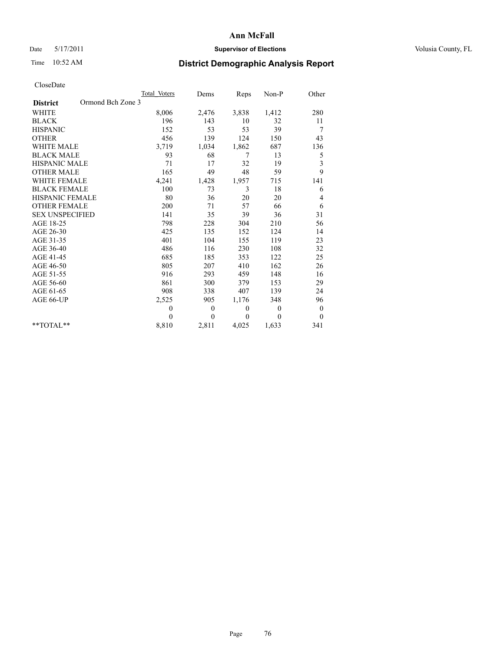## Date 5/17/2011 **Supervisor of Elections Supervisor of Elections** Volusia County, FL

# Time 10:52 AM **District Demographic Analysis Report**

|                                      | Total Voters | Dems         | Reps         | Non-P        | Other                   |
|--------------------------------------|--------------|--------------|--------------|--------------|-------------------------|
| Ormond Bch Zone 3<br><b>District</b> |              |              |              |              |                         |
| <b>WHITE</b>                         | 8,006        | 2,476        | 3,838        | 1,412        | 280                     |
| <b>BLACK</b>                         | 196          | 143          | 10           | 32           | 11                      |
| <b>HISPANIC</b>                      | 152          | 53           | 53           | 39           | 7                       |
| <b>OTHER</b>                         | 456          | 139          | 124          | 150          | 43                      |
| <b>WHITE MALE</b>                    | 3,719        | 1,034        | 1,862        | 687          | 136                     |
| <b>BLACK MALE</b>                    | 93           | 68           | 7            | 13           | 5                       |
| <b>HISPANIC MALE</b>                 | 71           | 17           | 32           | 19           | $\overline{\mathbf{3}}$ |
| <b>OTHER MALE</b>                    | 165          | 49           | 48           | 59           | 9                       |
| <b>WHITE FEMALE</b>                  | 4,241        | 1,428        | 1,957        | 715          | 141                     |
| <b>BLACK FEMALE</b>                  | 100          | 73           | 3            | 18           | 6                       |
| HISPANIC FEMALE                      | 80           | 36           | 20           | 20           | 4                       |
| <b>OTHER FEMALE</b>                  | 200          | 71           | 57           | 66           | 6                       |
| <b>SEX UNSPECIFIED</b>               | 141          | 35           | 39           | 36           | 31                      |
| AGE 18-25                            | 798          | 228          | 304          | 210          | 56                      |
| AGE 26-30                            | 425          | 135          | 152          | 124          | 14                      |
| AGE 31-35                            | 401          | 104          | 155          | 119          | 23                      |
| AGE 36-40                            | 486          | 116          | 230          | 108          | 32                      |
| AGE 41-45                            | 685          | 185          | 353          | 122          | 25                      |
| AGE 46-50                            | 805          | 207          | 410          | 162          | 26                      |
| AGE 51-55                            | 916          | 293          | 459          | 148          | 16                      |
| AGE 56-60                            | 861          | 300          | 379          | 153          | 29                      |
| AGE 61-65                            | 908          | 338          | 407          | 139          | 24                      |
| AGE 66-UP                            | 2,525        | 905          | 1,176        | 348          | 96                      |
|                                      | $\theta$     | $\mathbf{0}$ | $\mathbf{0}$ | $\mathbf{0}$ | $\boldsymbol{0}$        |
|                                      | $\theta$     | $\theta$     | $\theta$     | $\Omega$     | $\mathbf{0}$            |
| $*$ $TOTAI.**$                       | 8,810        | 2,811        | 4,025        | 1,633        | 341                     |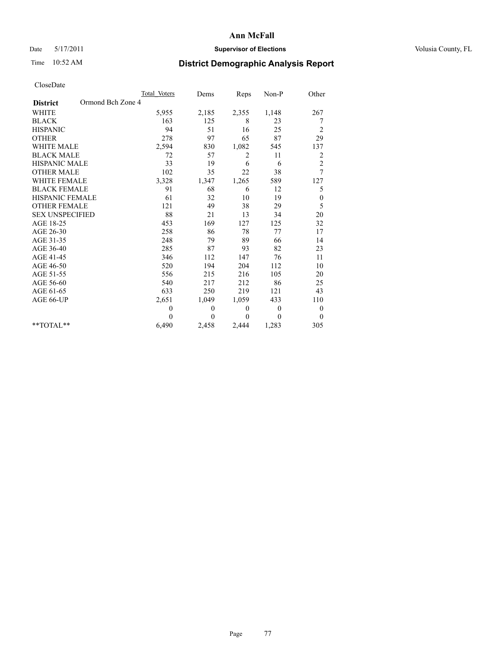## Date 5/17/2011 **Supervisor of Elections Supervisor of Elections** Volusia County, FL

# Time 10:52 AM **District Demographic Analysis Report**

| Cioscoate              |                   |              |                |                |                  |
|------------------------|-------------------|--------------|----------------|----------------|------------------|
|                        | Total Voters      | Dems         | Reps           | Non-P          | Other            |
| <b>District</b>        | Ormond Bch Zone 4 |              |                |                |                  |
| <b>WHITE</b>           | 5,955             | 2,185        | 2,355          | 1,148          | 267              |
| <b>BLACK</b>           | 163               | 125          | 8              | 23             | 7                |
| <b>HISPANIC</b>        | 94                | 51           | 16             | 25             | $\overline{c}$   |
| <b>OTHER</b>           | 278               | 97           | 65             | 87             | 29               |
| <b>WHITE MALE</b>      | 2,594             | 830          | 1,082          | 545            | 137              |
| <b>BLACK MALE</b>      | 72                | 57           | $\overline{2}$ | 11             | 2                |
| HISPANIC MALE          | 33                | 19           | 6              | 6              | $\overline{c}$   |
| <b>OTHER MALE</b>      | 102               | 35           | 22             | 38             | $\overline{7}$   |
| <b>WHITE FEMALE</b>    | 3,328             | 1,347        | 1,265          | 589            | 127              |
| <b>BLACK FEMALE</b>    | 91                | 68           | 6              | 12             | 5                |
| HISPANIC FEMALE        | 61                | 32           | 10             | 19             | $\boldsymbol{0}$ |
| <b>OTHER FEMALE</b>    | 121               | 49           | 38             | 29             | 5                |
| <b>SEX UNSPECIFIED</b> | 88                | 21           | 13             | 34             | 20               |
| AGE 18-25              | 453               | 169          | 127            | 125            | 32               |
| AGE 26-30              | 258               | 86           | 78             | 77             | 17               |
| AGE 31-35              | 248               | 79           | 89             | 66             | 14               |
| AGE 36-40              | 285               | 87           | 93             | 82             | 23               |
| AGE 41-45              | 346               | 112          | 147            | 76             | 11               |
| AGE 46-50              | 520               | 194          | 204            | 112            | 10               |
| AGE 51-55              | 556               | 215          | 216            | 105            | 20               |
| AGE 56-60              | 540               | 217          | 212            | 86             | 25               |
| AGE 61-65              | 633               | 250          | 219            | 121            | 43               |
| AGE 66-UP              | 2,651             | 1,049        | 1,059          | 433            | 110              |
|                        | $\theta$          | $\mathbf{0}$ | $\theta$       | $\overline{0}$ | $\boldsymbol{0}$ |
|                        | $\theta$          | $\theta$     | $\theta$       | $\theta$       | $\theta$         |
| $*$ $TOTAI.**$         | 6,490             | 2,458        | 2,444          | 1,283          | 305              |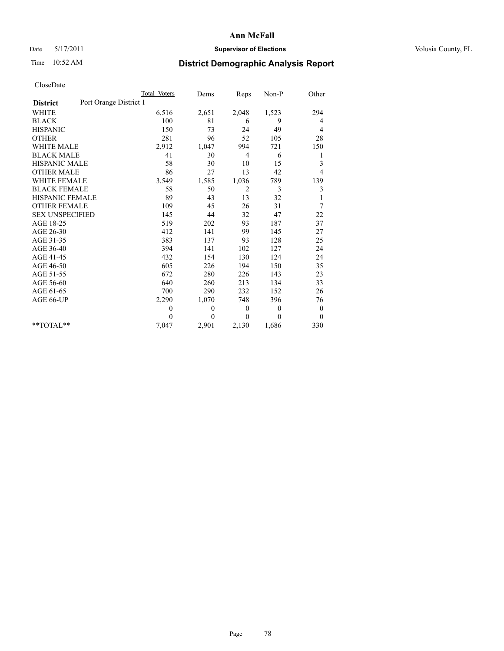## Date 5/17/2011 **Supervisor of Elections Supervisor of Elections** Volusia County, FL

# Time 10:52 AM **District Demographic Analysis Report**

|                                           | Total Voters | Dems     | Reps           | $Non-P$      | Other            |  |
|-------------------------------------------|--------------|----------|----------------|--------------|------------------|--|
| Port Orange District 1<br><b>District</b> |              |          |                |              |                  |  |
| <b>WHITE</b>                              | 6,516        | 2,651    | 2,048          | 1,523        | 294              |  |
| <b>BLACK</b>                              | 100          | 81       | 6              | 9            | 4                |  |
| <b>HISPANIC</b>                           | 150          | 73       | 24             | 49           | 4                |  |
| <b>OTHER</b>                              | 281          | 96       | 52             | 105          | 28               |  |
| <b>WHITE MALE</b>                         | 2,912        | 1,047    | 994            | 721          | 150              |  |
| <b>BLACK MALE</b>                         | 41           | 30       | $\overline{4}$ | 6            | 1                |  |
| HISPANIC MALE                             | 58           | 30       | 10             | 15           | 3                |  |
| <b>OTHER MALE</b>                         | 86           | 27       | 13             | 42           | 4                |  |
| <b>WHITE FEMALE</b>                       | 3,549        | 1,585    | 1,036          | 789          | 139              |  |
| <b>BLACK FEMALE</b>                       | 58           | 50       | 2              | 3            | 3                |  |
| HISPANIC FEMALE                           | 89           | 43       | 13             | 32           |                  |  |
| <b>OTHER FEMALE</b>                       | 109          | 45       | 26             | 31           | 7                |  |
| <b>SEX UNSPECIFIED</b>                    | 145          | 44       | 32             | 47           | 22               |  |
| AGE 18-25                                 | 519          | 202      | 93             | 187          | 37               |  |
| AGE 26-30                                 | 412          | 141      | 99             | 145          | 27               |  |
| AGE 31-35                                 | 383          | 137      | 93             | 128          | 25               |  |
| AGE 36-40                                 | 394          | 141      | 102            | 127          | 24               |  |
| AGE 41-45                                 | 432          | 154      | 130            | 124          | 24               |  |
| AGE 46-50                                 | 605          | 226      | 194            | 150          | 35               |  |
| AGE 51-55                                 | 672          | 280      | 226            | 143          | 23               |  |
| AGE 56-60                                 | 640          | 260      | 213            | 134          | 33               |  |
| AGE 61-65                                 | 700          | 290      | 232            | 152          | 26               |  |
| AGE 66-UP                                 | 2,290        | 1,070    | 748            | 396          | 76               |  |
|                                           | 0            | $\theta$ | $\mathbf{0}$   | $\mathbf{0}$ | $\boldsymbol{0}$ |  |
|                                           | $\theta$     | $\theta$ | $\theta$       | $\Omega$     | $\mathbf{0}$     |  |
| $*$ $TOTAI.**$                            | 7,047        | 2,901    | 2,130          | 1,686        | 330              |  |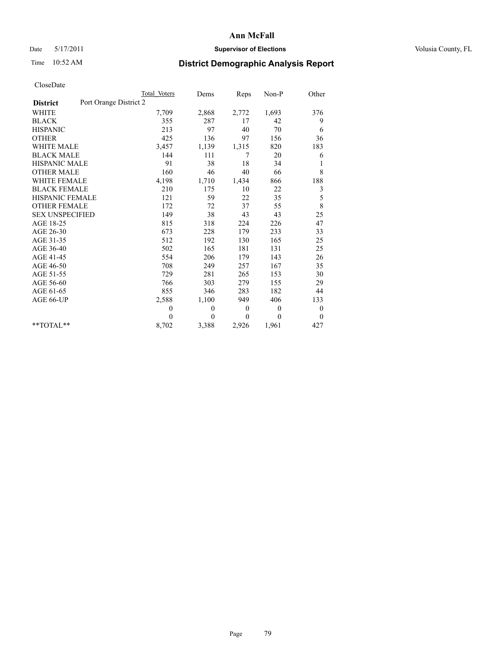## Date 5/17/2011 **Supervisor of Elections Supervisor of Elections** Volusia County, FL

# Time 10:52 AM **District Demographic Analysis Report**

|                                           | Total Voters | Dems     | Reps     | Non-P          | Other            |  |
|-------------------------------------------|--------------|----------|----------|----------------|------------------|--|
| Port Orange District 2<br><b>District</b> |              |          |          |                |                  |  |
| <b>WHITE</b>                              | 7,709        | 2,868    | 2,772    | 1,693          | 376              |  |
| <b>BLACK</b>                              | 355          | 287      | 17       | 42             | 9                |  |
| <b>HISPANIC</b>                           | 213          | 97       | 40       | 70             | 6                |  |
| <b>OTHER</b>                              | 425          | 136      | 97       | 156            | 36               |  |
| <b>WHITE MALE</b>                         | 3,457        | 1,139    | 1,315    | 820            | 183              |  |
| <b>BLACK MALE</b>                         | 144          | 111      | 7        | 20             | 6                |  |
| <b>HISPANIC MALE</b>                      | 91           | 38       | 18       | 34             | 1                |  |
| <b>OTHER MALE</b>                         | 160          | 46       | 40       | 66             | 8                |  |
| <b>WHITE FEMALE</b>                       | 4,198        | 1,710    | 1,434    | 866            | 188              |  |
| <b>BLACK FEMALE</b>                       | 210          | 175      | 10       | 22             | 3                |  |
| HISPANIC FEMALE                           | 121          | 59       | 22       | 35             | 5                |  |
| <b>OTHER FEMALE</b>                       | 172          | 72       | 37       | 55             | $\,8\,$          |  |
| <b>SEX UNSPECIFIED</b>                    | 149          | 38       | 43       | 43             | 25               |  |
| AGE 18-25                                 | 815          | 318      | 224      | 226            | 47               |  |
| AGE 26-30                                 | 673          | 228      | 179      | 233            | 33               |  |
| AGE 31-35                                 | 512          | 192      | 130      | 165            | 25               |  |
| AGE 36-40                                 | 502          | 165      | 181      | 131            | 25               |  |
| AGE 41-45                                 | 554          | 206      | 179      | 143            | 26               |  |
| AGE 46-50                                 | 708          | 249      | 257      | 167            | 35               |  |
| AGE 51-55                                 | 729          | 281      | 265      | 153            | 30               |  |
| AGE 56-60                                 | 766          | 303      | 279      | 155            | 29               |  |
| AGE 61-65                                 | 855          | 346      | 283      | 182            | 44               |  |
| AGE 66-UP                                 | 2,588        | 1,100    | 949      | 406            | 133              |  |
|                                           | $\theta$     | $\theta$ | $\theta$ | $\overline{0}$ | $\boldsymbol{0}$ |  |
|                                           | $\theta$     | $\theta$ | $\theta$ | $\theta$       | $\boldsymbol{0}$ |  |
| $*$ $TOTAI.**$                            | 8,702        | 3,388    | 2,926    | 1,961          | 427              |  |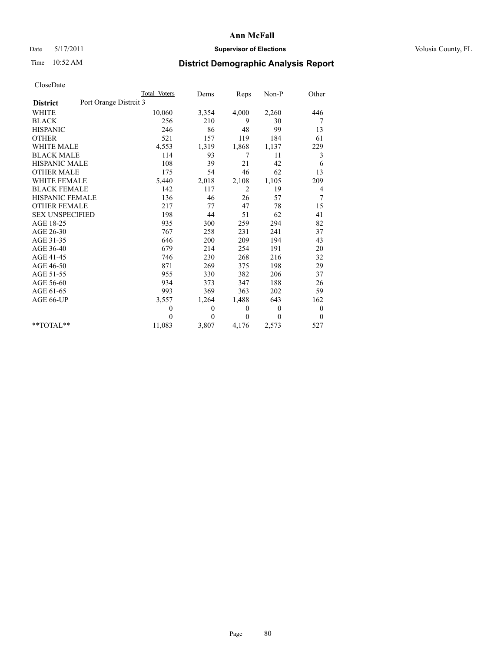## Date 5/17/2011 **Supervisor of Elections Supervisor of Elections** Volusia County, FL

# Time 10:52 AM **District Demographic Analysis Report**

|                                           | Total Voters | Dems         | Reps           | $Non-P$      | Other            |
|-------------------------------------------|--------------|--------------|----------------|--------------|------------------|
| Port Orange Distrcit 3<br><b>District</b> |              |              |                |              |                  |
| <b>WHITE</b>                              | 10,060       | 3,354        | 4,000          | 2,260        | 446              |
| <b>BLACK</b>                              | 256          | 210          | 9              | 30           | 7                |
| <b>HISPANIC</b>                           | 246          | 86           | 48             | 99           | 13               |
| <b>OTHER</b>                              | 521          | 157          | 119            | 184          | 61               |
| <b>WHITE MALE</b>                         | 4,553        | 1,319        | 1,868          | 1,137        | 229              |
| <b>BLACK MALE</b>                         | 114          | 93           | 7              | 11           | 3                |
| <b>HISPANIC MALE</b>                      | 108          | 39           | 21             | 42           | 6                |
| <b>OTHER MALE</b>                         | 175          | 54           | 46             | 62           | 13               |
| <b>WHITE FEMALE</b>                       | 5,440        | 2,018        | 2,108          | 1,105        | 209              |
| <b>BLACK FEMALE</b>                       | 142          | 117          | $\overline{2}$ | 19           | 4                |
| HISPANIC FEMALE                           | 136          | 46           | 26             | 57           | 7                |
| <b>OTHER FEMALE</b>                       | 217          | 77           | 47             | 78           | 15               |
| <b>SEX UNSPECIFIED</b>                    | 198          | 44           | 51             | 62           | 41               |
| AGE 18-25                                 | 935          | 300          | 259            | 294          | 82               |
| AGE 26-30                                 | 767          | 258          | 231            | 241          | 37               |
| AGE 31-35                                 | 646          | 200          | 209            | 194          | 43               |
| AGE 36-40                                 | 679          | 214          | 254            | 191          | 20               |
| AGE 41-45                                 | 746          | 230          | 268            | 216          | 32               |
| AGE 46-50                                 | 871          | 269          | 375            | 198          | 29               |
| AGE 51-55                                 | 955          | 330          | 382            | 206          | 37               |
| AGE 56-60                                 | 934          | 373          | 347            | 188          | 26               |
| AGE 61-65                                 | 993          | 369          | 363            | 202          | 59               |
| AGE 66-UP                                 | 3,557        | 1,264        | 1,488          | 643          | 162              |
|                                           | 0            | $\theta$     | $\mathbf{0}$   | $\mathbf{0}$ | $\boldsymbol{0}$ |
|                                           | $\theta$     | $\mathbf{0}$ | $\mathbf{0}$   | $\theta$     | $\mathbf{0}$     |
| $*$ $TOTAI.**$                            | 11,083       | 3,807        | 4,176          | 2,573        | 527              |